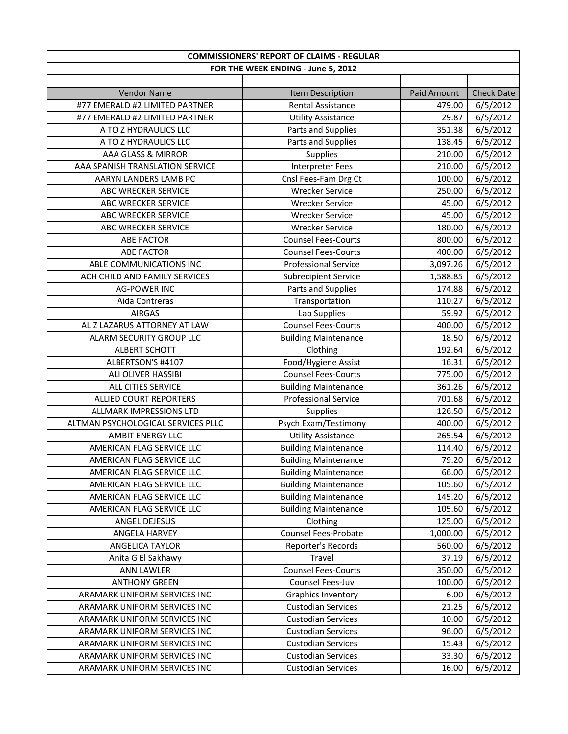| FOR THE WEEK ENDING - June 5, 2012<br><b>Check Date</b><br><b>Vendor Name</b><br>Item Description<br>Paid Amount<br>#77 EMERALD #2 LIMITED PARTNER<br><b>Rental Assistance</b><br>6/5/2012<br>479.00<br>6/5/2012<br>#77 EMERALD #2 LIMITED PARTNER<br><b>Utility Assistance</b><br>29.87<br>6/5/2012<br>A TO Z HYDRAULICS LLC<br>Parts and Supplies<br>351.38<br>Parts and Supplies<br>6/5/2012<br>A TO Z HYDRAULICS LLC<br>138.45<br>AAA GLASS & MIRROR<br>210.00<br>6/5/2012<br>Supplies<br>6/5/2012<br>AAA SPANISH TRANSLATION SERVICE<br><b>Interpreter Fees</b><br>210.00<br>Cnsl Fees-Fam Drg Ct<br>6/5/2012<br>AARYN LANDERS LAMB PC<br>100.00<br><b>Wrecker Service</b><br>6/5/2012<br>ABC WRECKER SERVICE<br>250.00<br>6/5/2012<br>ABC WRECKER SERVICE<br><b>Wrecker Service</b><br>45.00<br>45.00<br>6/5/2012<br>ABC WRECKER SERVICE<br><b>Wrecker Service</b><br>6/5/2012<br>ABC WRECKER SERVICE<br><b>Wrecker Service</b><br>180.00<br>6/5/2012<br><b>ABE FACTOR</b><br><b>Counsel Fees-Courts</b><br>800.00<br>6/5/2012<br><b>ABE FACTOR</b><br><b>Counsel Fees-Courts</b><br>400.00<br><b>Professional Service</b><br>3,097.26<br>6/5/2012<br>ABLE COMMUNICATIONS INC<br>6/5/2012<br>ACH CHILD AND FAMILY SERVICES<br><b>Subrecipient Service</b><br>1,588.85<br>6/5/2012<br><b>AG-POWER INC</b><br>Parts and Supplies<br>174.88<br>Transportation<br>6/5/2012<br>Aida Contreras<br>110.27<br>Lab Supplies<br>6/5/2012<br><b>AIRGAS</b><br>59.92<br>AL Z LAZARUS ATTORNEY AT LAW<br><b>Counsel Fees-Courts</b><br>6/5/2012<br>400.00<br>6/5/2012<br>ALARM SECURITY GROUP LLC<br><b>Building Maintenance</b><br>18.50<br>6/5/2012<br><b>ALBERT SCHOTT</b><br>Clothing<br>192.64<br>6/5/2012<br>Food/Hygiene Assist<br>ALBERTSON'S #4107<br>16.31<br>6/5/2012<br>ALI OLIVER HASSIBI<br><b>Counsel Fees-Courts</b><br>775.00<br>6/5/2012<br>ALL CITIES SERVICE<br><b>Building Maintenance</b><br>361.26<br><b>Professional Service</b><br>6/5/2012<br>ALLIED COURT REPORTERS<br>701.68<br><b>ALLMARK IMPRESSIONS LTD</b><br>Supplies<br>126.50<br>6/5/2012<br>Psych Exam/Testimony<br>6/5/2012<br>ALTMAN PSYCHOLOGICAL SERVICES PLLC<br>400.00<br>6/5/2012<br>AMBIT ENERGY LLC<br><b>Utility Assistance</b><br>265.54<br>AMERICAN FLAG SERVICE LLC<br>6/5/2012<br><b>Building Maintenance</b><br>114.40<br>6/5/2012<br>AMERICAN FLAG SERVICE LLC<br><b>Building Maintenance</b><br>79.20<br>AMERICAN FLAG SERVICE LLC<br><b>Building Maintenance</b><br>66.00<br>6/5/2012<br>6/5/2012<br>AMERICAN FLAG SERVICE LLC<br><b>Building Maintenance</b><br>105.60<br>6/5/2012<br>AMERICAN FLAG SERVICE LLC<br><b>Building Maintenance</b><br>145.20<br>6/5/2012<br>AMERICAN FLAG SERVICE LLC<br><b>Building Maintenance</b><br>105.60<br>125.00<br>6/5/2012<br>ANGEL DEJESUS<br>Clothing<br>Counsel Fees-Probate<br>6/5/2012<br>ANGELA HARVEY<br>1,000.00<br>6/5/2012<br>ANGELICA TAYLOR<br>Reporter's Records<br>560.00<br>6/5/2012<br>Anita G El Sakhawy<br>Travel<br>37.19<br><b>Counsel Fees-Courts</b><br>6/5/2012<br><b>ANN LAWLER</b><br>350.00<br>6/5/2012<br><b>ANTHONY GREEN</b><br>Counsel Fees-Juv<br>100.00<br>6/5/2012<br>ARAMARK UNIFORM SERVICES INC<br><b>Graphics Inventory</b><br>6.00<br>6/5/2012<br>ARAMARK UNIFORM SERVICES INC<br><b>Custodian Services</b><br>21.25<br><b>Custodian Services</b><br>6/5/2012<br>ARAMARK UNIFORM SERVICES INC<br>10.00<br>6/5/2012<br>ARAMARK UNIFORM SERVICES INC<br><b>Custodian Services</b><br>96.00<br>ARAMARK UNIFORM SERVICES INC<br><b>Custodian Services</b><br>15.43<br>6/5/2012<br>6/5/2012<br>ARAMARK UNIFORM SERVICES INC<br><b>Custodian Services</b><br>33.30 | <b>COMMISSIONERS' REPORT OF CLAIMS - REGULAR</b> |                           |       |          |
|------------------------------------------------------------------------------------------------------------------------------------------------------------------------------------------------------------------------------------------------------------------------------------------------------------------------------------------------------------------------------------------------------------------------------------------------------------------------------------------------------------------------------------------------------------------------------------------------------------------------------------------------------------------------------------------------------------------------------------------------------------------------------------------------------------------------------------------------------------------------------------------------------------------------------------------------------------------------------------------------------------------------------------------------------------------------------------------------------------------------------------------------------------------------------------------------------------------------------------------------------------------------------------------------------------------------------------------------------------------------------------------------------------------------------------------------------------------------------------------------------------------------------------------------------------------------------------------------------------------------------------------------------------------------------------------------------------------------------------------------------------------------------------------------------------------------------------------------------------------------------------------------------------------------------------------------------------------------------------------------------------------------------------------------------------------------------------------------------------------------------------------------------------------------------------------------------------------------------------------------------------------------------------------------------------------------------------------------------------------------------------------------------------------------------------------------------------------------------------------------------------------------------------------------------------------------------------------------------------------------------------------------------------------------------------------------------------------------------------------------------------------------------------------------------------------------------------------------------------------------------------------------------------------------------------------------------------------------------------------------------------------------------------------------------------------------------------------------------------------------------------------------------------------------------------------------------------------------------------------------------------------------------------------------------------------------------------------------------------------------------------------------------------------------------------------------------------------------------------------------------------------------------------------------------------------------------------------------------------------------------------------|--------------------------------------------------|---------------------------|-------|----------|
|                                                                                                                                                                                                                                                                                                                                                                                                                                                                                                                                                                                                                                                                                                                                                                                                                                                                                                                                                                                                                                                                                                                                                                                                                                                                                                                                                                                                                                                                                                                                                                                                                                                                                                                                                                                                                                                                                                                                                                                                                                                                                                                                                                                                                                                                                                                                                                                                                                                                                                                                                                                                                                                                                                                                                                                                                                                                                                                                                                                                                                                                                                                                                                                                                                                                                                                                                                                                                                                                                                                                                                                                                                          |                                                  |                           |       |          |
|                                                                                                                                                                                                                                                                                                                                                                                                                                                                                                                                                                                                                                                                                                                                                                                                                                                                                                                                                                                                                                                                                                                                                                                                                                                                                                                                                                                                                                                                                                                                                                                                                                                                                                                                                                                                                                                                                                                                                                                                                                                                                                                                                                                                                                                                                                                                                                                                                                                                                                                                                                                                                                                                                                                                                                                                                                                                                                                                                                                                                                                                                                                                                                                                                                                                                                                                                                                                                                                                                                                                                                                                                                          |                                                  |                           |       |          |
|                                                                                                                                                                                                                                                                                                                                                                                                                                                                                                                                                                                                                                                                                                                                                                                                                                                                                                                                                                                                                                                                                                                                                                                                                                                                                                                                                                                                                                                                                                                                                                                                                                                                                                                                                                                                                                                                                                                                                                                                                                                                                                                                                                                                                                                                                                                                                                                                                                                                                                                                                                                                                                                                                                                                                                                                                                                                                                                                                                                                                                                                                                                                                                                                                                                                                                                                                                                                                                                                                                                                                                                                                                          |                                                  |                           |       |          |
|                                                                                                                                                                                                                                                                                                                                                                                                                                                                                                                                                                                                                                                                                                                                                                                                                                                                                                                                                                                                                                                                                                                                                                                                                                                                                                                                                                                                                                                                                                                                                                                                                                                                                                                                                                                                                                                                                                                                                                                                                                                                                                                                                                                                                                                                                                                                                                                                                                                                                                                                                                                                                                                                                                                                                                                                                                                                                                                                                                                                                                                                                                                                                                                                                                                                                                                                                                                                                                                                                                                                                                                                                                          |                                                  |                           |       |          |
|                                                                                                                                                                                                                                                                                                                                                                                                                                                                                                                                                                                                                                                                                                                                                                                                                                                                                                                                                                                                                                                                                                                                                                                                                                                                                                                                                                                                                                                                                                                                                                                                                                                                                                                                                                                                                                                                                                                                                                                                                                                                                                                                                                                                                                                                                                                                                                                                                                                                                                                                                                                                                                                                                                                                                                                                                                                                                                                                                                                                                                                                                                                                                                                                                                                                                                                                                                                                                                                                                                                                                                                                                                          |                                                  |                           |       |          |
|                                                                                                                                                                                                                                                                                                                                                                                                                                                                                                                                                                                                                                                                                                                                                                                                                                                                                                                                                                                                                                                                                                                                                                                                                                                                                                                                                                                                                                                                                                                                                                                                                                                                                                                                                                                                                                                                                                                                                                                                                                                                                                                                                                                                                                                                                                                                                                                                                                                                                                                                                                                                                                                                                                                                                                                                                                                                                                                                                                                                                                                                                                                                                                                                                                                                                                                                                                                                                                                                                                                                                                                                                                          |                                                  |                           |       |          |
|                                                                                                                                                                                                                                                                                                                                                                                                                                                                                                                                                                                                                                                                                                                                                                                                                                                                                                                                                                                                                                                                                                                                                                                                                                                                                                                                                                                                                                                                                                                                                                                                                                                                                                                                                                                                                                                                                                                                                                                                                                                                                                                                                                                                                                                                                                                                                                                                                                                                                                                                                                                                                                                                                                                                                                                                                                                                                                                                                                                                                                                                                                                                                                                                                                                                                                                                                                                                                                                                                                                                                                                                                                          |                                                  |                           |       |          |
|                                                                                                                                                                                                                                                                                                                                                                                                                                                                                                                                                                                                                                                                                                                                                                                                                                                                                                                                                                                                                                                                                                                                                                                                                                                                                                                                                                                                                                                                                                                                                                                                                                                                                                                                                                                                                                                                                                                                                                                                                                                                                                                                                                                                                                                                                                                                                                                                                                                                                                                                                                                                                                                                                                                                                                                                                                                                                                                                                                                                                                                                                                                                                                                                                                                                                                                                                                                                                                                                                                                                                                                                                                          |                                                  |                           |       |          |
|                                                                                                                                                                                                                                                                                                                                                                                                                                                                                                                                                                                                                                                                                                                                                                                                                                                                                                                                                                                                                                                                                                                                                                                                                                                                                                                                                                                                                                                                                                                                                                                                                                                                                                                                                                                                                                                                                                                                                                                                                                                                                                                                                                                                                                                                                                                                                                                                                                                                                                                                                                                                                                                                                                                                                                                                                                                                                                                                                                                                                                                                                                                                                                                                                                                                                                                                                                                                                                                                                                                                                                                                                                          |                                                  |                           |       |          |
|                                                                                                                                                                                                                                                                                                                                                                                                                                                                                                                                                                                                                                                                                                                                                                                                                                                                                                                                                                                                                                                                                                                                                                                                                                                                                                                                                                                                                                                                                                                                                                                                                                                                                                                                                                                                                                                                                                                                                                                                                                                                                                                                                                                                                                                                                                                                                                                                                                                                                                                                                                                                                                                                                                                                                                                                                                                                                                                                                                                                                                                                                                                                                                                                                                                                                                                                                                                                                                                                                                                                                                                                                                          |                                                  |                           |       |          |
|                                                                                                                                                                                                                                                                                                                                                                                                                                                                                                                                                                                                                                                                                                                                                                                                                                                                                                                                                                                                                                                                                                                                                                                                                                                                                                                                                                                                                                                                                                                                                                                                                                                                                                                                                                                                                                                                                                                                                                                                                                                                                                                                                                                                                                                                                                                                                                                                                                                                                                                                                                                                                                                                                                                                                                                                                                                                                                                                                                                                                                                                                                                                                                                                                                                                                                                                                                                                                                                                                                                                                                                                                                          |                                                  |                           |       |          |
|                                                                                                                                                                                                                                                                                                                                                                                                                                                                                                                                                                                                                                                                                                                                                                                                                                                                                                                                                                                                                                                                                                                                                                                                                                                                                                                                                                                                                                                                                                                                                                                                                                                                                                                                                                                                                                                                                                                                                                                                                                                                                                                                                                                                                                                                                                                                                                                                                                                                                                                                                                                                                                                                                                                                                                                                                                                                                                                                                                                                                                                                                                                                                                                                                                                                                                                                                                                                                                                                                                                                                                                                                                          |                                                  |                           |       |          |
|                                                                                                                                                                                                                                                                                                                                                                                                                                                                                                                                                                                                                                                                                                                                                                                                                                                                                                                                                                                                                                                                                                                                                                                                                                                                                                                                                                                                                                                                                                                                                                                                                                                                                                                                                                                                                                                                                                                                                                                                                                                                                                                                                                                                                                                                                                                                                                                                                                                                                                                                                                                                                                                                                                                                                                                                                                                                                                                                                                                                                                                                                                                                                                                                                                                                                                                                                                                                                                                                                                                                                                                                                                          |                                                  |                           |       |          |
|                                                                                                                                                                                                                                                                                                                                                                                                                                                                                                                                                                                                                                                                                                                                                                                                                                                                                                                                                                                                                                                                                                                                                                                                                                                                                                                                                                                                                                                                                                                                                                                                                                                                                                                                                                                                                                                                                                                                                                                                                                                                                                                                                                                                                                                                                                                                                                                                                                                                                                                                                                                                                                                                                                                                                                                                                                                                                                                                                                                                                                                                                                                                                                                                                                                                                                                                                                                                                                                                                                                                                                                                                                          |                                                  |                           |       |          |
|                                                                                                                                                                                                                                                                                                                                                                                                                                                                                                                                                                                                                                                                                                                                                                                                                                                                                                                                                                                                                                                                                                                                                                                                                                                                                                                                                                                                                                                                                                                                                                                                                                                                                                                                                                                                                                                                                                                                                                                                                                                                                                                                                                                                                                                                                                                                                                                                                                                                                                                                                                                                                                                                                                                                                                                                                                                                                                                                                                                                                                                                                                                                                                                                                                                                                                                                                                                                                                                                                                                                                                                                                                          |                                                  |                           |       |          |
|                                                                                                                                                                                                                                                                                                                                                                                                                                                                                                                                                                                                                                                                                                                                                                                                                                                                                                                                                                                                                                                                                                                                                                                                                                                                                                                                                                                                                                                                                                                                                                                                                                                                                                                                                                                                                                                                                                                                                                                                                                                                                                                                                                                                                                                                                                                                                                                                                                                                                                                                                                                                                                                                                                                                                                                                                                                                                                                                                                                                                                                                                                                                                                                                                                                                                                                                                                                                                                                                                                                                                                                                                                          |                                                  |                           |       |          |
|                                                                                                                                                                                                                                                                                                                                                                                                                                                                                                                                                                                                                                                                                                                                                                                                                                                                                                                                                                                                                                                                                                                                                                                                                                                                                                                                                                                                                                                                                                                                                                                                                                                                                                                                                                                                                                                                                                                                                                                                                                                                                                                                                                                                                                                                                                                                                                                                                                                                                                                                                                                                                                                                                                                                                                                                                                                                                                                                                                                                                                                                                                                                                                                                                                                                                                                                                                                                                                                                                                                                                                                                                                          |                                                  |                           |       |          |
|                                                                                                                                                                                                                                                                                                                                                                                                                                                                                                                                                                                                                                                                                                                                                                                                                                                                                                                                                                                                                                                                                                                                                                                                                                                                                                                                                                                                                                                                                                                                                                                                                                                                                                                                                                                                                                                                                                                                                                                                                                                                                                                                                                                                                                                                                                                                                                                                                                                                                                                                                                                                                                                                                                                                                                                                                                                                                                                                                                                                                                                                                                                                                                                                                                                                                                                                                                                                                                                                                                                                                                                                                                          |                                                  |                           |       |          |
|                                                                                                                                                                                                                                                                                                                                                                                                                                                                                                                                                                                                                                                                                                                                                                                                                                                                                                                                                                                                                                                                                                                                                                                                                                                                                                                                                                                                                                                                                                                                                                                                                                                                                                                                                                                                                                                                                                                                                                                                                                                                                                                                                                                                                                                                                                                                                                                                                                                                                                                                                                                                                                                                                                                                                                                                                                                                                                                                                                                                                                                                                                                                                                                                                                                                                                                                                                                                                                                                                                                                                                                                                                          |                                                  |                           |       |          |
|                                                                                                                                                                                                                                                                                                                                                                                                                                                                                                                                                                                                                                                                                                                                                                                                                                                                                                                                                                                                                                                                                                                                                                                                                                                                                                                                                                                                                                                                                                                                                                                                                                                                                                                                                                                                                                                                                                                                                                                                                                                                                                                                                                                                                                                                                                                                                                                                                                                                                                                                                                                                                                                                                                                                                                                                                                                                                                                                                                                                                                                                                                                                                                                                                                                                                                                                                                                                                                                                                                                                                                                                                                          |                                                  |                           |       |          |
|                                                                                                                                                                                                                                                                                                                                                                                                                                                                                                                                                                                                                                                                                                                                                                                                                                                                                                                                                                                                                                                                                                                                                                                                                                                                                                                                                                                                                                                                                                                                                                                                                                                                                                                                                                                                                                                                                                                                                                                                                                                                                                                                                                                                                                                                                                                                                                                                                                                                                                                                                                                                                                                                                                                                                                                                                                                                                                                                                                                                                                                                                                                                                                                                                                                                                                                                                                                                                                                                                                                                                                                                                                          |                                                  |                           |       |          |
|                                                                                                                                                                                                                                                                                                                                                                                                                                                                                                                                                                                                                                                                                                                                                                                                                                                                                                                                                                                                                                                                                                                                                                                                                                                                                                                                                                                                                                                                                                                                                                                                                                                                                                                                                                                                                                                                                                                                                                                                                                                                                                                                                                                                                                                                                                                                                                                                                                                                                                                                                                                                                                                                                                                                                                                                                                                                                                                                                                                                                                                                                                                                                                                                                                                                                                                                                                                                                                                                                                                                                                                                                                          |                                                  |                           |       |          |
|                                                                                                                                                                                                                                                                                                                                                                                                                                                                                                                                                                                                                                                                                                                                                                                                                                                                                                                                                                                                                                                                                                                                                                                                                                                                                                                                                                                                                                                                                                                                                                                                                                                                                                                                                                                                                                                                                                                                                                                                                                                                                                                                                                                                                                                                                                                                                                                                                                                                                                                                                                                                                                                                                                                                                                                                                                                                                                                                                                                                                                                                                                                                                                                                                                                                                                                                                                                                                                                                                                                                                                                                                                          |                                                  |                           |       |          |
|                                                                                                                                                                                                                                                                                                                                                                                                                                                                                                                                                                                                                                                                                                                                                                                                                                                                                                                                                                                                                                                                                                                                                                                                                                                                                                                                                                                                                                                                                                                                                                                                                                                                                                                                                                                                                                                                                                                                                                                                                                                                                                                                                                                                                                                                                                                                                                                                                                                                                                                                                                                                                                                                                                                                                                                                                                                                                                                                                                                                                                                                                                                                                                                                                                                                                                                                                                                                                                                                                                                                                                                                                                          |                                                  |                           |       |          |
|                                                                                                                                                                                                                                                                                                                                                                                                                                                                                                                                                                                                                                                                                                                                                                                                                                                                                                                                                                                                                                                                                                                                                                                                                                                                                                                                                                                                                                                                                                                                                                                                                                                                                                                                                                                                                                                                                                                                                                                                                                                                                                                                                                                                                                                                                                                                                                                                                                                                                                                                                                                                                                                                                                                                                                                                                                                                                                                                                                                                                                                                                                                                                                                                                                                                                                                                                                                                                                                                                                                                                                                                                                          |                                                  |                           |       |          |
|                                                                                                                                                                                                                                                                                                                                                                                                                                                                                                                                                                                                                                                                                                                                                                                                                                                                                                                                                                                                                                                                                                                                                                                                                                                                                                                                                                                                                                                                                                                                                                                                                                                                                                                                                                                                                                                                                                                                                                                                                                                                                                                                                                                                                                                                                                                                                                                                                                                                                                                                                                                                                                                                                                                                                                                                                                                                                                                                                                                                                                                                                                                                                                                                                                                                                                                                                                                                                                                                                                                                                                                                                                          |                                                  |                           |       |          |
|                                                                                                                                                                                                                                                                                                                                                                                                                                                                                                                                                                                                                                                                                                                                                                                                                                                                                                                                                                                                                                                                                                                                                                                                                                                                                                                                                                                                                                                                                                                                                                                                                                                                                                                                                                                                                                                                                                                                                                                                                                                                                                                                                                                                                                                                                                                                                                                                                                                                                                                                                                                                                                                                                                                                                                                                                                                                                                                                                                                                                                                                                                                                                                                                                                                                                                                                                                                                                                                                                                                                                                                                                                          |                                                  |                           |       |          |
|                                                                                                                                                                                                                                                                                                                                                                                                                                                                                                                                                                                                                                                                                                                                                                                                                                                                                                                                                                                                                                                                                                                                                                                                                                                                                                                                                                                                                                                                                                                                                                                                                                                                                                                                                                                                                                                                                                                                                                                                                                                                                                                                                                                                                                                                                                                                                                                                                                                                                                                                                                                                                                                                                                                                                                                                                                                                                                                                                                                                                                                                                                                                                                                                                                                                                                                                                                                                                                                                                                                                                                                                                                          |                                                  |                           |       |          |
|                                                                                                                                                                                                                                                                                                                                                                                                                                                                                                                                                                                                                                                                                                                                                                                                                                                                                                                                                                                                                                                                                                                                                                                                                                                                                                                                                                                                                                                                                                                                                                                                                                                                                                                                                                                                                                                                                                                                                                                                                                                                                                                                                                                                                                                                                                                                                                                                                                                                                                                                                                                                                                                                                                                                                                                                                                                                                                                                                                                                                                                                                                                                                                                                                                                                                                                                                                                                                                                                                                                                                                                                                                          |                                                  |                           |       |          |
|                                                                                                                                                                                                                                                                                                                                                                                                                                                                                                                                                                                                                                                                                                                                                                                                                                                                                                                                                                                                                                                                                                                                                                                                                                                                                                                                                                                                                                                                                                                                                                                                                                                                                                                                                                                                                                                                                                                                                                                                                                                                                                                                                                                                                                                                                                                                                                                                                                                                                                                                                                                                                                                                                                                                                                                                                                                                                                                                                                                                                                                                                                                                                                                                                                                                                                                                                                                                                                                                                                                                                                                                                                          |                                                  |                           |       |          |
|                                                                                                                                                                                                                                                                                                                                                                                                                                                                                                                                                                                                                                                                                                                                                                                                                                                                                                                                                                                                                                                                                                                                                                                                                                                                                                                                                                                                                                                                                                                                                                                                                                                                                                                                                                                                                                                                                                                                                                                                                                                                                                                                                                                                                                                                                                                                                                                                                                                                                                                                                                                                                                                                                                                                                                                                                                                                                                                                                                                                                                                                                                                                                                                                                                                                                                                                                                                                                                                                                                                                                                                                                                          |                                                  |                           |       |          |
|                                                                                                                                                                                                                                                                                                                                                                                                                                                                                                                                                                                                                                                                                                                                                                                                                                                                                                                                                                                                                                                                                                                                                                                                                                                                                                                                                                                                                                                                                                                                                                                                                                                                                                                                                                                                                                                                                                                                                                                                                                                                                                                                                                                                                                                                                                                                                                                                                                                                                                                                                                                                                                                                                                                                                                                                                                                                                                                                                                                                                                                                                                                                                                                                                                                                                                                                                                                                                                                                                                                                                                                                                                          |                                                  |                           |       |          |
|                                                                                                                                                                                                                                                                                                                                                                                                                                                                                                                                                                                                                                                                                                                                                                                                                                                                                                                                                                                                                                                                                                                                                                                                                                                                                                                                                                                                                                                                                                                                                                                                                                                                                                                                                                                                                                                                                                                                                                                                                                                                                                                                                                                                                                                                                                                                                                                                                                                                                                                                                                                                                                                                                                                                                                                                                                                                                                                                                                                                                                                                                                                                                                                                                                                                                                                                                                                                                                                                                                                                                                                                                                          |                                                  |                           |       |          |
|                                                                                                                                                                                                                                                                                                                                                                                                                                                                                                                                                                                                                                                                                                                                                                                                                                                                                                                                                                                                                                                                                                                                                                                                                                                                                                                                                                                                                                                                                                                                                                                                                                                                                                                                                                                                                                                                                                                                                                                                                                                                                                                                                                                                                                                                                                                                                                                                                                                                                                                                                                                                                                                                                                                                                                                                                                                                                                                                                                                                                                                                                                                                                                                                                                                                                                                                                                                                                                                                                                                                                                                                                                          |                                                  |                           |       |          |
|                                                                                                                                                                                                                                                                                                                                                                                                                                                                                                                                                                                                                                                                                                                                                                                                                                                                                                                                                                                                                                                                                                                                                                                                                                                                                                                                                                                                                                                                                                                                                                                                                                                                                                                                                                                                                                                                                                                                                                                                                                                                                                                                                                                                                                                                                                                                                                                                                                                                                                                                                                                                                                                                                                                                                                                                                                                                                                                                                                                                                                                                                                                                                                                                                                                                                                                                                                                                                                                                                                                                                                                                                                          |                                                  |                           |       |          |
|                                                                                                                                                                                                                                                                                                                                                                                                                                                                                                                                                                                                                                                                                                                                                                                                                                                                                                                                                                                                                                                                                                                                                                                                                                                                                                                                                                                                                                                                                                                                                                                                                                                                                                                                                                                                                                                                                                                                                                                                                                                                                                                                                                                                                                                                                                                                                                                                                                                                                                                                                                                                                                                                                                                                                                                                                                                                                                                                                                                                                                                                                                                                                                                                                                                                                                                                                                                                                                                                                                                                                                                                                                          |                                                  |                           |       |          |
|                                                                                                                                                                                                                                                                                                                                                                                                                                                                                                                                                                                                                                                                                                                                                                                                                                                                                                                                                                                                                                                                                                                                                                                                                                                                                                                                                                                                                                                                                                                                                                                                                                                                                                                                                                                                                                                                                                                                                                                                                                                                                                                                                                                                                                                                                                                                                                                                                                                                                                                                                                                                                                                                                                                                                                                                                                                                                                                                                                                                                                                                                                                                                                                                                                                                                                                                                                                                                                                                                                                                                                                                                                          |                                                  |                           |       |          |
|                                                                                                                                                                                                                                                                                                                                                                                                                                                                                                                                                                                                                                                                                                                                                                                                                                                                                                                                                                                                                                                                                                                                                                                                                                                                                                                                                                                                                                                                                                                                                                                                                                                                                                                                                                                                                                                                                                                                                                                                                                                                                                                                                                                                                                                                                                                                                                                                                                                                                                                                                                                                                                                                                                                                                                                                                                                                                                                                                                                                                                                                                                                                                                                                                                                                                                                                                                                                                                                                                                                                                                                                                                          |                                                  |                           |       |          |
|                                                                                                                                                                                                                                                                                                                                                                                                                                                                                                                                                                                                                                                                                                                                                                                                                                                                                                                                                                                                                                                                                                                                                                                                                                                                                                                                                                                                                                                                                                                                                                                                                                                                                                                                                                                                                                                                                                                                                                                                                                                                                                                                                                                                                                                                                                                                                                                                                                                                                                                                                                                                                                                                                                                                                                                                                                                                                                                                                                                                                                                                                                                                                                                                                                                                                                                                                                                                                                                                                                                                                                                                                                          |                                                  |                           |       |          |
|                                                                                                                                                                                                                                                                                                                                                                                                                                                                                                                                                                                                                                                                                                                                                                                                                                                                                                                                                                                                                                                                                                                                                                                                                                                                                                                                                                                                                                                                                                                                                                                                                                                                                                                                                                                                                                                                                                                                                                                                                                                                                                                                                                                                                                                                                                                                                                                                                                                                                                                                                                                                                                                                                                                                                                                                                                                                                                                                                                                                                                                                                                                                                                                                                                                                                                                                                                                                                                                                                                                                                                                                                                          |                                                  |                           |       |          |
|                                                                                                                                                                                                                                                                                                                                                                                                                                                                                                                                                                                                                                                                                                                                                                                                                                                                                                                                                                                                                                                                                                                                                                                                                                                                                                                                                                                                                                                                                                                                                                                                                                                                                                                                                                                                                                                                                                                                                                                                                                                                                                                                                                                                                                                                                                                                                                                                                                                                                                                                                                                                                                                                                                                                                                                                                                                                                                                                                                                                                                                                                                                                                                                                                                                                                                                                                                                                                                                                                                                                                                                                                                          |                                                  |                           |       |          |
|                                                                                                                                                                                                                                                                                                                                                                                                                                                                                                                                                                                                                                                                                                                                                                                                                                                                                                                                                                                                                                                                                                                                                                                                                                                                                                                                                                                                                                                                                                                                                                                                                                                                                                                                                                                                                                                                                                                                                                                                                                                                                                                                                                                                                                                                                                                                                                                                                                                                                                                                                                                                                                                                                                                                                                                                                                                                                                                                                                                                                                                                                                                                                                                                                                                                                                                                                                                                                                                                                                                                                                                                                                          |                                                  |                           |       |          |
|                                                                                                                                                                                                                                                                                                                                                                                                                                                                                                                                                                                                                                                                                                                                                                                                                                                                                                                                                                                                                                                                                                                                                                                                                                                                                                                                                                                                                                                                                                                                                                                                                                                                                                                                                                                                                                                                                                                                                                                                                                                                                                                                                                                                                                                                                                                                                                                                                                                                                                                                                                                                                                                                                                                                                                                                                                                                                                                                                                                                                                                                                                                                                                                                                                                                                                                                                                                                                                                                                                                                                                                                                                          |                                                  |                           |       |          |
|                                                                                                                                                                                                                                                                                                                                                                                                                                                                                                                                                                                                                                                                                                                                                                                                                                                                                                                                                                                                                                                                                                                                                                                                                                                                                                                                                                                                                                                                                                                                                                                                                                                                                                                                                                                                                                                                                                                                                                                                                                                                                                                                                                                                                                                                                                                                                                                                                                                                                                                                                                                                                                                                                                                                                                                                                                                                                                                                                                                                                                                                                                                                                                                                                                                                                                                                                                                                                                                                                                                                                                                                                                          |                                                  |                           |       |          |
|                                                                                                                                                                                                                                                                                                                                                                                                                                                                                                                                                                                                                                                                                                                                                                                                                                                                                                                                                                                                                                                                                                                                                                                                                                                                                                                                                                                                                                                                                                                                                                                                                                                                                                                                                                                                                                                                                                                                                                                                                                                                                                                                                                                                                                                                                                                                                                                                                                                                                                                                                                                                                                                                                                                                                                                                                                                                                                                                                                                                                                                                                                                                                                                                                                                                                                                                                                                                                                                                                                                                                                                                                                          |                                                  |                           |       |          |
|                                                                                                                                                                                                                                                                                                                                                                                                                                                                                                                                                                                                                                                                                                                                                                                                                                                                                                                                                                                                                                                                                                                                                                                                                                                                                                                                                                                                                                                                                                                                                                                                                                                                                                                                                                                                                                                                                                                                                                                                                                                                                                                                                                                                                                                                                                                                                                                                                                                                                                                                                                                                                                                                                                                                                                                                                                                                                                                                                                                                                                                                                                                                                                                                                                                                                                                                                                                                                                                                                                                                                                                                                                          |                                                  |                           |       |          |
|                                                                                                                                                                                                                                                                                                                                                                                                                                                                                                                                                                                                                                                                                                                                                                                                                                                                                                                                                                                                                                                                                                                                                                                                                                                                                                                                                                                                                                                                                                                                                                                                                                                                                                                                                                                                                                                                                                                                                                                                                                                                                                                                                                                                                                                                                                                                                                                                                                                                                                                                                                                                                                                                                                                                                                                                                                                                                                                                                                                                                                                                                                                                                                                                                                                                                                                                                                                                                                                                                                                                                                                                                                          |                                                  |                           |       |          |
|                                                                                                                                                                                                                                                                                                                                                                                                                                                                                                                                                                                                                                                                                                                                                                                                                                                                                                                                                                                                                                                                                                                                                                                                                                                                                                                                                                                                                                                                                                                                                                                                                                                                                                                                                                                                                                                                                                                                                                                                                                                                                                                                                                                                                                                                                                                                                                                                                                                                                                                                                                                                                                                                                                                                                                                                                                                                                                                                                                                                                                                                                                                                                                                                                                                                                                                                                                                                                                                                                                                                                                                                                                          |                                                  |                           |       |          |
|                                                                                                                                                                                                                                                                                                                                                                                                                                                                                                                                                                                                                                                                                                                                                                                                                                                                                                                                                                                                                                                                                                                                                                                                                                                                                                                                                                                                                                                                                                                                                                                                                                                                                                                                                                                                                                                                                                                                                                                                                                                                                                                                                                                                                                                                                                                                                                                                                                                                                                                                                                                                                                                                                                                                                                                                                                                                                                                                                                                                                                                                                                                                                                                                                                                                                                                                                                                                                                                                                                                                                                                                                                          |                                                  |                           |       |          |
|                                                                                                                                                                                                                                                                                                                                                                                                                                                                                                                                                                                                                                                                                                                                                                                                                                                                                                                                                                                                                                                                                                                                                                                                                                                                                                                                                                                                                                                                                                                                                                                                                                                                                                                                                                                                                                                                                                                                                                                                                                                                                                                                                                                                                                                                                                                                                                                                                                                                                                                                                                                                                                                                                                                                                                                                                                                                                                                                                                                                                                                                                                                                                                                                                                                                                                                                                                                                                                                                                                                                                                                                                                          | ARAMARK UNIFORM SERVICES INC                     | <b>Custodian Services</b> | 16.00 | 6/5/2012 |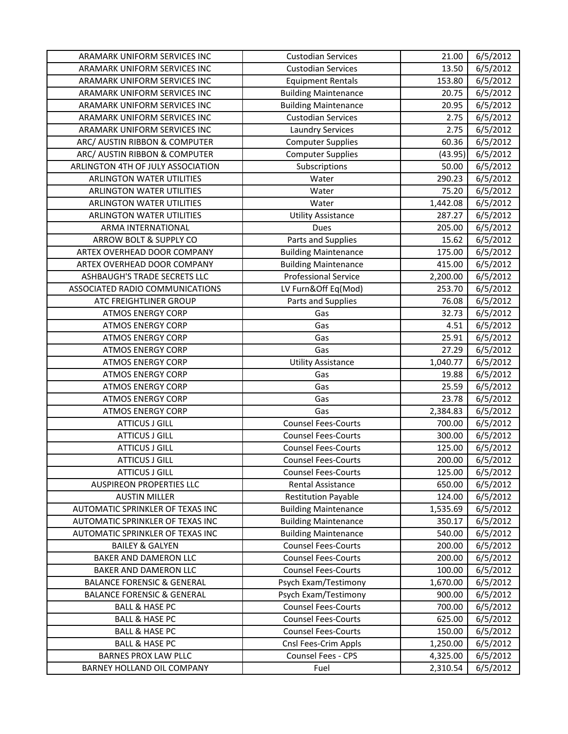| ARAMARK UNIFORM SERVICES INC          | <b>Custodian Services</b>   | 21.00    | 6/5/2012              |
|---------------------------------------|-----------------------------|----------|-----------------------|
| ARAMARK UNIFORM SERVICES INC          | <b>Custodian Services</b>   | 13.50    | 6/5/2012              |
| ARAMARK UNIFORM SERVICES INC          | <b>Equipment Rentals</b>    | 153.80   | 6/5/2012              |
| ARAMARK UNIFORM SERVICES INC          | <b>Building Maintenance</b> | 20.75    | 6/5/2012              |
| ARAMARK UNIFORM SERVICES INC          | <b>Building Maintenance</b> | 20.95    | 6/5/2012              |
| ARAMARK UNIFORM SERVICES INC          | <b>Custodian Services</b>   | 2.75     | 6/5/2012              |
| ARAMARK UNIFORM SERVICES INC          | <b>Laundry Services</b>     | 2.75     | 6/5/2012              |
| ARC/ AUSTIN RIBBON & COMPUTER         | <b>Computer Supplies</b>    | 60.36    | 6/5/2012              |
| ARC/ AUSTIN RIBBON & COMPUTER         | <b>Computer Supplies</b>    | (43.95)  | 6/5/2012              |
| ARLINGTON 4TH OF JULY ASSOCIATION     | Subscriptions               | 50.00    | 6/5/2012              |
| ARLINGTON WATER UTILITIES             | Water                       | 290.23   | 6/5/2012              |
| <b>ARLINGTON WATER UTILITIES</b>      | Water                       | 75.20    | $\frac{1}{6}$ /5/2012 |
| ARLINGTON WATER UTILITIES             | Water                       | 1,442.08 | 6/5/2012              |
| ARLINGTON WATER UTILITIES             | <b>Utility Assistance</b>   | 287.27   | 6/5/2012              |
| ARMA INTERNATIONAL                    | Dues                        | 205.00   | 6/5/2012              |
| ARROW BOLT & SUPPLY CO                | Parts and Supplies          | 15.62    | 6/5/2012              |
| ARTEX OVERHEAD DOOR COMPANY           | <b>Building Maintenance</b> | 175.00   | 6/5/2012              |
| ARTEX OVERHEAD DOOR COMPANY           | <b>Building Maintenance</b> | 415.00   | 6/5/2012              |
| ASHBAUGH'S TRADE SECRETS LLC          | <b>Professional Service</b> | 2,200.00 | 6/5/2012              |
| ASSOCIATED RADIO COMMUNICATIONS       | LV Furn&Off Eq(Mod)         | 253.70   | 6/5/2012              |
| ATC FREIGHTLINER GROUP                | Parts and Supplies          | 76.08    | 6/5/2012              |
| <b>ATMOS ENERGY CORP</b>              | Gas                         | 32.73    | 6/5/2012              |
| <b>ATMOS ENERGY CORP</b>              | Gas                         | 4.51     | 6/5/2012              |
| <b>ATMOS ENERGY CORP</b>              | Gas                         | 25.91    | 6/5/2012              |
| <b>ATMOS ENERGY CORP</b>              | Gas                         | 27.29    | 6/5/2012              |
| <b>ATMOS ENERGY CORP</b>              | <b>Utility Assistance</b>   | 1,040.77 | 6/5/2012              |
| <b>ATMOS ENERGY CORP</b>              | Gas                         | 19.88    | 6/5/2012              |
| <b>ATMOS ENERGY CORP</b>              | Gas                         | 25.59    | 6/5/2012              |
| <b>ATMOS ENERGY CORP</b>              | Gas                         | 23.78    | 6/5/2012              |
| <b>ATMOS ENERGY CORP</b>              | Gas                         | 2,384.83 | 6/5/2012              |
| <b>ATTICUS J GILL</b>                 | <b>Counsel Fees-Courts</b>  | 700.00   | 6/5/2012              |
| <b>ATTICUS J GILL</b>                 | <b>Counsel Fees-Courts</b>  | 300.00   | 6/5/2012              |
| <b>ATTICUS J GILL</b>                 | <b>Counsel Fees-Courts</b>  | 125.00   | 6/5/2012              |
| <b>ATTICUS J GILL</b>                 | <b>Counsel Fees-Courts</b>  | 200.00   | 6/5/2012              |
| <b>ATTICUS J GILL</b>                 | <b>Counsel Fees-Courts</b>  | 125.00   | 6/5/2012              |
| <b>AUSPIREON PROPERTIES LLC</b>       | Rental Assistance           | 650.00   | 6/5/2012              |
| <b>AUSTIN MILLER</b>                  | <b>Restitution Payable</b>  | 124.00   | 6/5/2012              |
| AUTOMATIC SPRINKLER OF TEXAS INC      | <b>Building Maintenance</b> | 1,535.69 | 6/5/2012              |
| AUTOMATIC SPRINKLER OF TEXAS INC      | <b>Building Maintenance</b> | 350.17   | 6/5/2012              |
| AUTOMATIC SPRINKLER OF TEXAS INC      | <b>Building Maintenance</b> | 540.00   | 6/5/2012              |
| <b>BAILEY &amp; GALYEN</b>            | <b>Counsel Fees-Courts</b>  | 200.00   | 6/5/2012              |
| BAKER AND DAMERON LLC                 | <b>Counsel Fees-Courts</b>  | 200.00   | 6/5/2012              |
| BAKER AND DAMERON LLC                 | <b>Counsel Fees-Courts</b>  | 100.00   | 6/5/2012              |
| <b>BALANCE FORENSIC &amp; GENERAL</b> | Psych Exam/Testimony        | 1,670.00 | 6/5/2012              |
| <b>BALANCE FORENSIC &amp; GENERAL</b> | Psych Exam/Testimony        | 900.00   | 6/5/2012              |
| <b>BALL &amp; HASE PC</b>             | <b>Counsel Fees-Courts</b>  | 700.00   | 6/5/2012              |
| <b>BALL &amp; HASE PC</b>             | <b>Counsel Fees-Courts</b>  | 625.00   | 6/5/2012              |
| <b>BALL &amp; HASE PC</b>             | <b>Counsel Fees-Courts</b>  | 150.00   | 6/5/2012              |
| <b>BALL &amp; HASE PC</b>             | Cnsl Fees-Crim Appls        | 1,250.00 | 6/5/2012              |
| <b>BARNES PROX LAW PLLC</b>           | Counsel Fees - CPS          | 4,325.00 | 6/5/2012              |
| BARNEY HOLLAND OIL COMPANY            | Fuel                        | 2,310.54 | 6/5/2012              |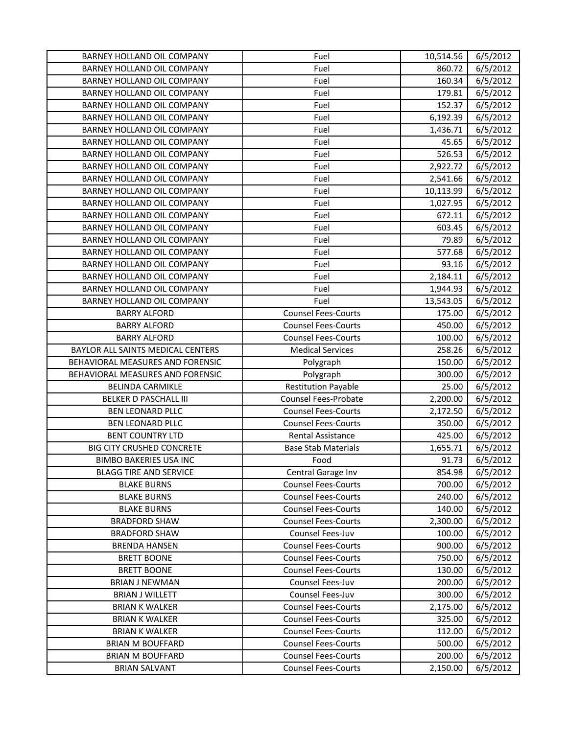| <b>BARNEY HOLLAND OIL COMPANY</b> | Fuel                       | 10,514.56 | 6/5/2012 |
|-----------------------------------|----------------------------|-----------|----------|
| BARNEY HOLLAND OIL COMPANY        | Fuel                       | 860.72    | 6/5/2012 |
| BARNEY HOLLAND OIL COMPANY        | Fuel                       | 160.34    | 6/5/2012 |
| BARNEY HOLLAND OIL COMPANY        | Fuel                       | 179.81    | 6/5/2012 |
| BARNEY HOLLAND OIL COMPANY        | Fuel                       | 152.37    | 6/5/2012 |
| BARNEY HOLLAND OIL COMPANY        | Fuel                       | 6,192.39  | 6/5/2012 |
| BARNEY HOLLAND OIL COMPANY        | Fuel                       | 1,436.71  | 6/5/2012 |
| BARNEY HOLLAND OIL COMPANY        | Fuel                       | 45.65     | 6/5/2012 |
| BARNEY HOLLAND OIL COMPANY        | Fuel                       | 526.53    | 6/5/2012 |
| BARNEY HOLLAND OIL COMPANY        | Fuel                       | 2,922.72  | 6/5/2012 |
| BARNEY HOLLAND OIL COMPANY        | Fuel                       | 2,541.66  | 6/5/2012 |
| BARNEY HOLLAND OIL COMPANY        | Fuel                       | 10,113.99 | 6/5/2012 |
| BARNEY HOLLAND OIL COMPANY        | Fuel                       | 1,027.95  | 6/5/2012 |
| BARNEY HOLLAND OIL COMPANY        | Fuel                       | 672.11    | 6/5/2012 |
| BARNEY HOLLAND OIL COMPANY        | Fuel                       | 603.45    | 6/5/2012 |
| BARNEY HOLLAND OIL COMPANY        | Fuel                       | 79.89     | 6/5/2012 |
| BARNEY HOLLAND OIL COMPANY        | Fuel                       | 577.68    | 6/5/2012 |
| BARNEY HOLLAND OIL COMPANY        | Fuel                       | 93.16     | 6/5/2012 |
| BARNEY HOLLAND OIL COMPANY        | Fuel                       | 2,184.11  | 6/5/2012 |
| BARNEY HOLLAND OIL COMPANY        | Fuel                       | 1,944.93  | 6/5/2012 |
| BARNEY HOLLAND OIL COMPANY        | Fuel                       | 13,543.05 | 6/5/2012 |
| <b>BARRY ALFORD</b>               | <b>Counsel Fees-Courts</b> | 175.00    | 6/5/2012 |
| <b>BARRY ALFORD</b>               | <b>Counsel Fees-Courts</b> | 450.00    | 6/5/2012 |
| <b>BARRY ALFORD</b>               | <b>Counsel Fees-Courts</b> | 100.00    | 6/5/2012 |
| BAYLOR ALL SAINTS MEDICAL CENTERS | <b>Medical Services</b>    | 258.26    | 6/5/2012 |
| BEHAVIORAL MEASURES AND FORENSIC  | Polygraph                  | 150.00    | 6/5/2012 |
| BEHAVIORAL MEASURES AND FORENSIC  | Polygraph                  | 300.00    | 6/5/2012 |
| <b>BELINDA CARMIKLE</b>           | <b>Restitution Payable</b> | 25.00     | 6/5/2012 |
| <b>BELKER D PASCHALL III</b>      | Counsel Fees-Probate       | 2,200.00  | 6/5/2012 |
| <b>BEN LEONARD PLLC</b>           | <b>Counsel Fees-Courts</b> | 2,172.50  | 6/5/2012 |
| <b>BEN LEONARD PLLC</b>           | <b>Counsel Fees-Courts</b> | 350.00    | 6/5/2012 |
| <b>BENT COUNTRY LTD</b>           | <b>Rental Assistance</b>   | 425.00    | 6/5/2012 |
| <b>BIG CITY CRUSHED CONCRETE</b>  | <b>Base Stab Materials</b> | 1,655.71  | 6/5/2012 |
| <b>BIMBO BAKERIES USA INC</b>     | Food                       | 91.73     | 6/5/2012 |
| <b>BLAGG TIRE AND SERVICE</b>     | Central Garage Inv         | 854.98    | 6/5/2012 |
| <b>BLAKE BURNS</b>                | <b>Counsel Fees-Courts</b> | 700.00    | 6/5/2012 |
| <b>BLAKE BURNS</b>                | <b>Counsel Fees-Courts</b> | 240.00    | 6/5/2012 |
| <b>BLAKE BURNS</b>                | <b>Counsel Fees-Courts</b> | 140.00    | 6/5/2012 |
| <b>BRADFORD SHAW</b>              | <b>Counsel Fees-Courts</b> | 2,300.00  | 6/5/2012 |
| <b>BRADFORD SHAW</b>              | Counsel Fees-Juv           | 100.00    | 6/5/2012 |
| <b>BRENDA HANSEN</b>              | <b>Counsel Fees-Courts</b> | 900.00    | 6/5/2012 |
| <b>BRETT BOONE</b>                | <b>Counsel Fees-Courts</b> | 750.00    | 6/5/2012 |
| <b>BRETT BOONE</b>                | <b>Counsel Fees-Courts</b> | 130.00    | 6/5/2012 |
| <b>BRIAN J NEWMAN</b>             | Counsel Fees-Juv           | 200.00    | 6/5/2012 |
| <b>BRIAN J WILLETT</b>            | Counsel Fees-Juv           | 300.00    | 6/5/2012 |
| <b>BRIAN K WALKER</b>             | <b>Counsel Fees-Courts</b> | 2,175.00  | 6/5/2012 |
| <b>BRIAN K WALKER</b>             | <b>Counsel Fees-Courts</b> | 325.00    | 6/5/2012 |
| <b>BRIAN K WALKER</b>             | <b>Counsel Fees-Courts</b> | 112.00    | 6/5/2012 |
| <b>BRIAN M BOUFFARD</b>           | <b>Counsel Fees-Courts</b> | 500.00    | 6/5/2012 |
| <b>BRIAN M BOUFFARD</b>           | <b>Counsel Fees-Courts</b> | 200.00    | 6/5/2012 |
| <b>BRIAN SALVANT</b>              | <b>Counsel Fees-Courts</b> | 2,150.00  | 6/5/2012 |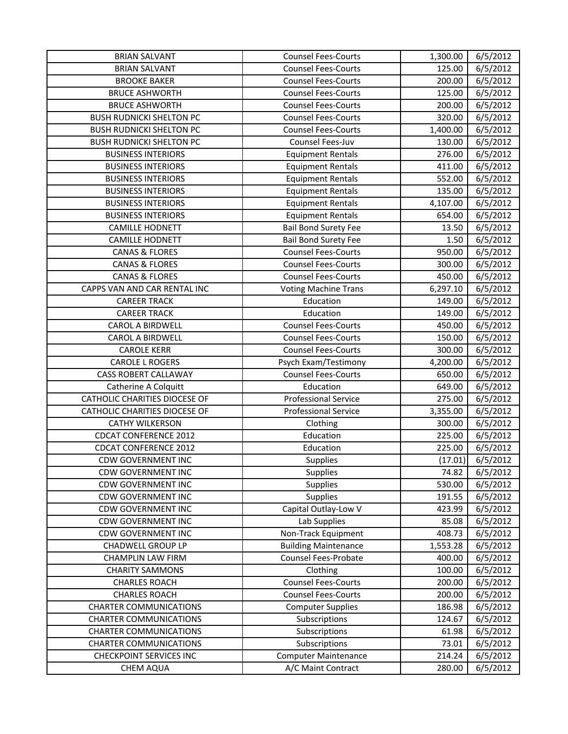| <b>BRIAN SALVANT</b>            | <b>Counsel Fees-Courts</b>  | 1,300.00 | 6/5/2012 |
|---------------------------------|-----------------------------|----------|----------|
| <b>BRIAN SALVANT</b>            | <b>Counsel Fees-Courts</b>  | 125.00   | 6/5/2012 |
| <b>BROOKE BAKER</b>             | <b>Counsel Fees-Courts</b>  | 200.00   | 6/5/2012 |
| <b>BRUCE ASHWORTH</b>           | <b>Counsel Fees-Courts</b>  | 125.00   | 6/5/2012 |
| <b>BRUCE ASHWORTH</b>           | <b>Counsel Fees-Courts</b>  | 200.00   | 6/5/2012 |
| <b>BUSH RUDNICKI SHELTON PC</b> | <b>Counsel Fees-Courts</b>  | 320.00   | 6/5/2012 |
| <b>BUSH RUDNICKI SHELTON PC</b> | <b>Counsel Fees-Courts</b>  | 1,400.00 | 6/5/2012 |
| <b>BUSH RUDNICKI SHELTON PC</b> | Counsel Fees-Juv            | 130.00   | 6/5/2012 |
| <b>BUSINESS INTERIORS</b>       | <b>Equipment Rentals</b>    | 276.00   | 6/5/2012 |
| <b>BUSINESS INTERIORS</b>       | <b>Equipment Rentals</b>    | 411.00   | 6/5/2012 |
| <b>BUSINESS INTERIORS</b>       | <b>Equipment Rentals</b>    | 552.00   | 6/5/2012 |
| <b>BUSINESS INTERIORS</b>       | <b>Equipment Rentals</b>    | 135.00   | 6/5/2012 |
| <b>BUSINESS INTERIORS</b>       | <b>Equipment Rentals</b>    | 4,107.00 | 6/5/2012 |
| <b>BUSINESS INTERIORS</b>       | <b>Equipment Rentals</b>    | 654.00   | 6/5/2012 |
| <b>CAMILLE HODNETT</b>          | <b>Bail Bond Surety Fee</b> | 13.50    | 6/5/2012 |
| <b>CAMILLE HODNETT</b>          | <b>Bail Bond Surety Fee</b> | 1.50     | 6/5/2012 |
| <b>CANAS &amp; FLORES</b>       | <b>Counsel Fees-Courts</b>  | 950.00   | 6/5/2012 |
| <b>CANAS &amp; FLORES</b>       | <b>Counsel Fees-Courts</b>  | 300.00   | 6/5/2012 |
| <b>CANAS &amp; FLORES</b>       | <b>Counsel Fees-Courts</b>  | 450.00   | 6/5/2012 |
| CAPPS VAN AND CAR RENTAL INC    | <b>Voting Machine Trans</b> | 6,297.10 | 6/5/2012 |
| <b>CAREER TRACK</b>             | Education                   | 149.00   | 6/5/2012 |
| <b>CAREER TRACK</b>             | Education                   | 149.00   | 6/5/2012 |
| CAROL A BIRDWELL                | <b>Counsel Fees-Courts</b>  | 450.00   | 6/5/2012 |
| CAROL A BIRDWELL                | <b>Counsel Fees-Courts</b>  | 150.00   | 6/5/2012 |
| <b>CAROLE KERR</b>              | <b>Counsel Fees-Courts</b>  | 300.00   | 6/5/2012 |
| <b>CAROLE L ROGERS</b>          | Psych Exam/Testimony        | 4,200.00 | 6/5/2012 |
| <b>CASS ROBERT CALLAWAY</b>     | <b>Counsel Fees-Courts</b>  | 650.00   | 6/5/2012 |
| Catherine A Colquitt            | Education                   | 649.00   | 6/5/2012 |
| CATHOLIC CHARITIES DIOCESE OF   | <b>Professional Service</b> | 275.00   | 6/5/2012 |
| CATHOLIC CHARITIES DIOCESE OF   | <b>Professional Service</b> | 3,355.00 | 6/5/2012 |
| <b>CATHY WILKERSON</b>          | Clothing                    | 300.00   | 6/5/2012 |
| <b>CDCAT CONFERENCE 2012</b>    | Education                   | 225.00   | 6/5/2012 |
| <b>CDCAT CONFERENCE 2012</b>    | Education                   | 225.00   | 6/5/2012 |
| <b>CDW GOVERNMENT INC</b>       | <b>Supplies</b>             | (17.01)  | 6/5/2012 |
| <b>CDW GOVERNMENT INC</b>       | Supplies                    | 74.82    | 6/5/2012 |
| <b>CDW GOVERNMENT INC</b>       | <b>Supplies</b>             | 530.00   | 6/5/2012 |
| <b>CDW GOVERNMENT INC</b>       | Supplies                    | 191.55   | 6/5/2012 |
| <b>CDW GOVERNMENT INC</b>       | Capital Outlay-Low V        | 423.99   | 6/5/2012 |
| <b>CDW GOVERNMENT INC</b>       | Lab Supplies                | 85.08    | 6/5/2012 |
| <b>CDW GOVERNMENT INC</b>       | Non-Track Equipment         | 408.73   | 6/5/2012 |
| <b>CHADWELL GROUP LP</b>        | <b>Building Maintenance</b> | 1,553.28 | 6/5/2012 |
| <b>CHAMPLIN LAW FIRM</b>        | <b>Counsel Fees-Probate</b> | 400.00   | 6/5/2012 |
| <b>CHARITY SAMMONS</b>          | Clothing                    | 100.00   | 6/5/2012 |
| <b>CHARLES ROACH</b>            | <b>Counsel Fees-Courts</b>  | 200.00   | 6/5/2012 |
| <b>CHARLES ROACH</b>            | <b>Counsel Fees-Courts</b>  | 200.00   | 6/5/2012 |
| <b>CHARTER COMMUNICATIONS</b>   | <b>Computer Supplies</b>    | 186.98   | 6/5/2012 |
| <b>CHARTER COMMUNICATIONS</b>   | Subscriptions               | 124.67   | 6/5/2012 |
| <b>CHARTER COMMUNICATIONS</b>   | Subscriptions               | 61.98    | 6/5/2012 |
| <b>CHARTER COMMUNICATIONS</b>   | Subscriptions               | 73.01    | 6/5/2012 |
| <b>CHECKPOINT SERVICES INC</b>  | <b>Computer Maintenance</b> | 214.24   | 6/5/2012 |
| <b>CHEM AQUA</b>                | A/C Maint Contract          | 280.00   | 6/5/2012 |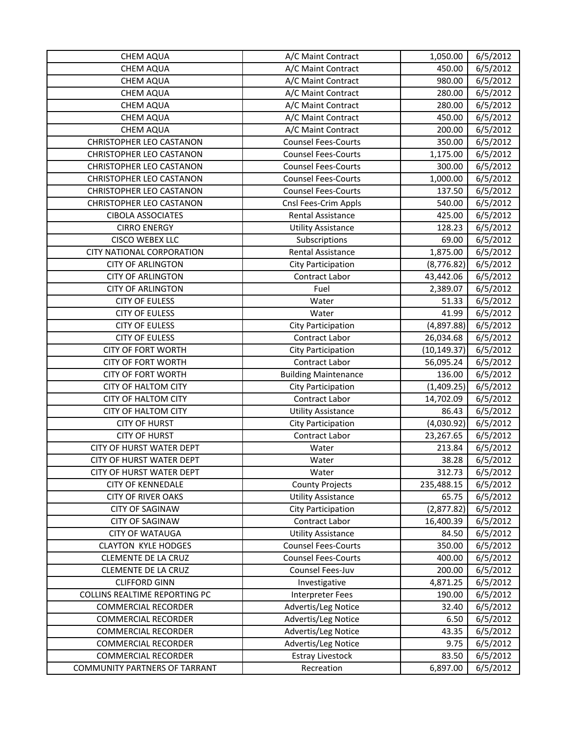| <b>CHEM AQUA</b>                | A/C Maint Contract          | 1,050.00     | 6/5/2012 |
|---------------------------------|-----------------------------|--------------|----------|
| <b>CHEM AQUA</b>                | A/C Maint Contract          | 450.00       | 6/5/2012 |
| <b>CHEM AQUA</b>                | A/C Maint Contract          | 980.00       | 6/5/2012 |
| <b>CHEM AQUA</b>                | A/C Maint Contract          | 280.00       | 6/5/2012 |
| CHEM AQUA                       | A/C Maint Contract          | 280.00       | 6/5/2012 |
| <b>CHEM AQUA</b>                | A/C Maint Contract          | 450.00       | 6/5/2012 |
| <b>CHEM AQUA</b>                | A/C Maint Contract          | 200.00       | 6/5/2012 |
| CHRISTOPHER LEO CASTANON        | <b>Counsel Fees-Courts</b>  | 350.00       | 6/5/2012 |
| <b>CHRISTOPHER LEO CASTANON</b> | <b>Counsel Fees-Courts</b>  | 1,175.00     | 6/5/2012 |
| <b>CHRISTOPHER LEO CASTANON</b> | <b>Counsel Fees-Courts</b>  | 300.00       | 6/5/2012 |
| <b>CHRISTOPHER LEO CASTANON</b> | <b>Counsel Fees-Courts</b>  | 1,000.00     | 6/5/2012 |
| <b>CHRISTOPHER LEO CASTANON</b> | <b>Counsel Fees-Courts</b>  | 137.50       | 6/5/2012 |
| <b>CHRISTOPHER LEO CASTANON</b> | Cnsl Fees-Crim Appls        | 540.00       | 6/5/2012 |
| <b>CIBOLA ASSOCIATES</b>        | Rental Assistance           | 425.00       | 6/5/2012 |
| <b>CIRRO ENERGY</b>             | <b>Utility Assistance</b>   | 128.23       | 6/5/2012 |
| <b>CISCO WEBEX LLC</b>          | Subscriptions               | 69.00        | 6/5/2012 |
| CITY NATIONAL CORPORATION       | Rental Assistance           | 1,875.00     | 6/5/2012 |
| <b>CITY OF ARLINGTON</b>        | City Participation          | (8,776.82)   | 6/5/2012 |
| <b>CITY OF ARLINGTON</b>        | Contract Labor              | 43,442.06    | 6/5/2012 |
| <b>CITY OF ARLINGTON</b>        | Fuel                        | 2,389.07     | 6/5/2012 |
| <b>CITY OF EULESS</b>           | Water                       | 51.33        | 6/5/2012 |
| <b>CITY OF EULESS</b>           | Water                       | 41.99        | 6/5/2012 |
| <b>CITY OF EULESS</b>           | City Participation          | (4,897.88)   | 6/5/2012 |
| <b>CITY OF EULESS</b>           | Contract Labor              | 26,034.68    | 6/5/2012 |
| <b>CITY OF FORT WORTH</b>       | <b>City Participation</b>   | (10, 149.37) | 6/5/2012 |
| <b>CITY OF FORT WORTH</b>       | Contract Labor              | 56,095.24    | 6/5/2012 |
| <b>CITY OF FORT WORTH</b>       | <b>Building Maintenance</b> | 136.00       | 6/5/2012 |
| <b>CITY OF HALTOM CITY</b>      | City Participation          | (1,409.25)   | 6/5/2012 |
| <b>CITY OF HALTOM CITY</b>      | Contract Labor              | 14,702.09    | 6/5/2012 |
| <b>CITY OF HALTOM CITY</b>      | <b>Utility Assistance</b>   | 86.43        | 6/5/2012 |
| <b>CITY OF HURST</b>            | City Participation          | (4,030.92)   | 6/5/2012 |
| <b>CITY OF HURST</b>            | Contract Labor              | 23,267.65    | 6/5/2012 |
| CITY OF HURST WATER DEPT        | Water                       | 213.84       | 6/5/2012 |
| <b>CITY OF HURST WATER DEPT</b> | Water                       | 38.28        | 6/5/2012 |
| <b>CITY OF HURST WATER DEPT</b> | Water                       | 312.73       | 6/5/2012 |
| <b>CITY OF KENNEDALE</b>        | <b>County Projects</b>      | 235,488.15   | 6/5/2012 |
| <b>CITY OF RIVER OAKS</b>       | <b>Utility Assistance</b>   | 65.75        | 6/5/2012 |
| <b>CITY OF SAGINAW</b>          | City Participation          | (2,877.82)   | 6/5/2012 |
| <b>CITY OF SAGINAW</b>          | Contract Labor              | 16,400.39    | 6/5/2012 |
| <b>CITY OF WATAUGA</b>          | <b>Utility Assistance</b>   | 84.50        | 6/5/2012 |
| <b>CLAYTON KYLE HODGES</b>      | <b>Counsel Fees-Courts</b>  | 350.00       | 6/5/2012 |
| CLEMENTE DE LA CRUZ             | <b>Counsel Fees-Courts</b>  | 400.00       | 6/5/2012 |
| <b>CLEMENTE DE LA CRUZ</b>      | Counsel Fees-Juv            | 200.00       | 6/5/2012 |
| <b>CLIFFORD GINN</b>            | Investigative               | 4,871.25     | 6/5/2012 |
| COLLINS REALTIME REPORTING PC   | Interpreter Fees            | 190.00       | 6/5/2012 |
| <b>COMMERCIAL RECORDER</b>      | Advertis/Leg Notice         | 32.40        | 6/5/2012 |
| <b>COMMERCIAL RECORDER</b>      | Advertis/Leg Notice         | 6.50         | 6/5/2012 |
| <b>COMMERCIAL RECORDER</b>      | Advertis/Leg Notice         | 43.35        | 6/5/2012 |
| <b>COMMERCIAL RECORDER</b>      | Advertis/Leg Notice         | 9.75         | 6/5/2012 |
| <b>COMMERCIAL RECORDER</b>      | <b>Estray Livestock</b>     | 83.50        | 6/5/2012 |
| COMMUNITY PARTNERS OF TARRANT   | Recreation                  | 6,897.00     | 6/5/2012 |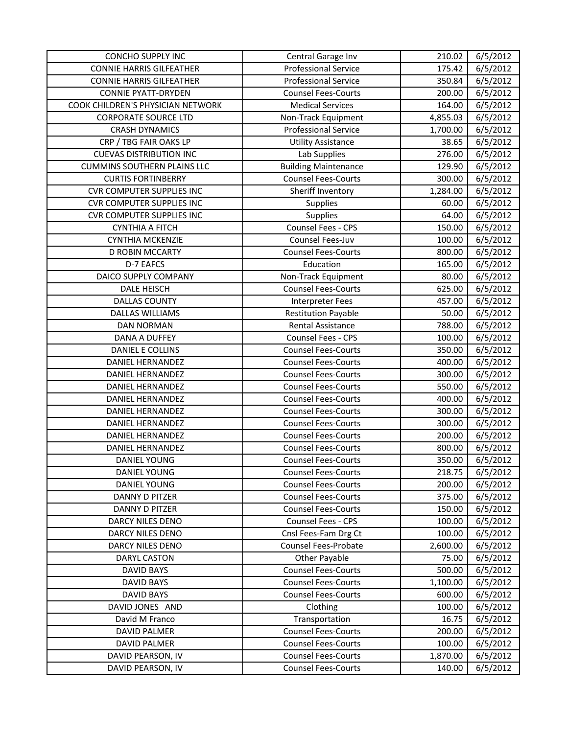| <b>CONCHO SUPPLY INC</b>           | Central Garage Inv          | 210.02   | 6/5/2012 |
|------------------------------------|-----------------------------|----------|----------|
| <b>CONNIE HARRIS GILFEATHER</b>    | <b>Professional Service</b> | 175.42   | 6/5/2012 |
| <b>CONNIE HARRIS GILFEATHER</b>    | <b>Professional Service</b> | 350.84   | 6/5/2012 |
| <b>CONNIE PYATT-DRYDEN</b>         | <b>Counsel Fees-Courts</b>  | 200.00   | 6/5/2012 |
| COOK CHILDREN'S PHYSICIAN NETWORK  | <b>Medical Services</b>     | 164.00   | 6/5/2012 |
| <b>CORPORATE SOURCE LTD</b>        | Non-Track Equipment         | 4,855.03 | 6/5/2012 |
| <b>CRASH DYNAMICS</b>              | <b>Professional Service</b> | 1,700.00 | 6/5/2012 |
| CRP / TBG FAIR OAKS LP             | <b>Utility Assistance</b>   | 38.65    | 6/5/2012 |
| <b>CUEVAS DISTRIBUTION INC</b>     | Lab Supplies                | 276.00   | 6/5/2012 |
| <b>CUMMINS SOUTHERN PLAINS LLC</b> | <b>Building Maintenance</b> | 129.90   | 6/5/2012 |
| <b>CURTIS FORTINBERRY</b>          | <b>Counsel Fees-Courts</b>  | 300.00   | 6/5/2012 |
| <b>CVR COMPUTER SUPPLIES INC</b>   | Sheriff Inventory           | 1,284.00 | 6/5/2012 |
| <b>CVR COMPUTER SUPPLIES INC</b>   | Supplies                    | 60.00    | 6/5/2012 |
| <b>CVR COMPUTER SUPPLIES INC</b>   | Supplies                    | 64.00    | 6/5/2012 |
| <b>CYNTHIA A FITCH</b>             | Counsel Fees - CPS          | 150.00   | 6/5/2012 |
| CYNTHIA MCKENZIE                   | Counsel Fees-Juv            | 100.00   | 6/5/2012 |
| D ROBIN MCCARTY                    | <b>Counsel Fees-Courts</b>  | 800.00   | 6/5/2012 |
| D-7 EAFCS                          | Education                   | 165.00   | 6/5/2012 |
| DAICO SUPPLY COMPANY               | Non-Track Equipment         | 80.00    | 6/5/2012 |
| <b>DALE HEISCH</b>                 | <b>Counsel Fees-Courts</b>  | 625.00   | 6/5/2012 |
| <b>DALLAS COUNTY</b>               | Interpreter Fees            | 457.00   | 6/5/2012 |
| <b>DALLAS WILLIAMS</b>             | <b>Restitution Payable</b>  | 50.00    | 6/5/2012 |
| <b>DAN NORMAN</b>                  | Rental Assistance           | 788.00   | 6/5/2012 |
| DANA A DUFFEY                      | Counsel Fees - CPS          | 100.00   | 6/5/2012 |
| DANIEL E COLLINS                   | <b>Counsel Fees-Courts</b>  | 350.00   | 6/5/2012 |
| DANIEL HERNANDEZ                   | <b>Counsel Fees-Courts</b>  | 400.00   | 6/5/2012 |
| <b>DANIEL HERNANDEZ</b>            | <b>Counsel Fees-Courts</b>  | 300.00   | 6/5/2012 |
| <b>DANIEL HERNANDEZ</b>            | <b>Counsel Fees-Courts</b>  | 550.00   | 6/5/2012 |
| DANIEL HERNANDEZ                   | <b>Counsel Fees-Courts</b>  | 400.00   | 6/5/2012 |
| DANIEL HERNANDEZ                   | <b>Counsel Fees-Courts</b>  | 300.00   | 6/5/2012 |
| <b>DANIEL HERNANDEZ</b>            | <b>Counsel Fees-Courts</b>  | 300.00   | 6/5/2012 |
| <b>DANIEL HERNANDEZ</b>            | <b>Counsel Fees-Courts</b>  | 200.00   | 6/5/2012 |
| <b>DANIEL HERNANDEZ</b>            | <b>Counsel Fees-Courts</b>  | 800.00   | 6/5/2012 |
| DANIEL YOUNG                       | <b>Counsel Fees-Courts</b>  | 350.00   | 6/5/2012 |
| <b>DANIEL YOUNG</b>                | <b>Counsel Fees-Courts</b>  | 218.75   | 6/5/2012 |
| <b>DANIEL YOUNG</b>                | <b>Counsel Fees-Courts</b>  | 200.00   | 6/5/2012 |
| <b>DANNY D PITZER</b>              | <b>Counsel Fees-Courts</b>  | 375.00   | 6/5/2012 |
| DANNY D PITZER                     | <b>Counsel Fees-Courts</b>  | 150.00   | 6/5/2012 |
| DARCY NILES DENO                   | Counsel Fees - CPS          | 100.00   | 6/5/2012 |
| <b>DARCY NILES DENO</b>            | Cnsl Fees-Fam Drg Ct        | 100.00   | 6/5/2012 |
| DARCY NILES DENO                   | <b>Counsel Fees-Probate</b> | 2,600.00 | 6/5/2012 |
| <b>DARYL CASTON</b>                | Other Payable               | 75.00    | 6/5/2012 |
| <b>DAVID BAYS</b>                  | <b>Counsel Fees-Courts</b>  | 500.00   | 6/5/2012 |
| <b>DAVID BAYS</b>                  | <b>Counsel Fees-Courts</b>  | 1,100.00 | 6/5/2012 |
| <b>DAVID BAYS</b>                  | <b>Counsel Fees-Courts</b>  | 600.00   | 6/5/2012 |
| DAVID JONES AND                    | Clothing                    | 100.00   | 6/5/2012 |
| David M Franco                     | Transportation              | 16.75    | 6/5/2012 |
| <b>DAVID PALMER</b>                | <b>Counsel Fees-Courts</b>  | 200.00   | 6/5/2012 |
| DAVID PALMER                       | <b>Counsel Fees-Courts</b>  | 100.00   | 6/5/2012 |
| DAVID PEARSON, IV                  | <b>Counsel Fees-Courts</b>  | 1,870.00 | 6/5/2012 |
| DAVID PEARSON, IV                  | <b>Counsel Fees-Courts</b>  | 140.00   | 6/5/2012 |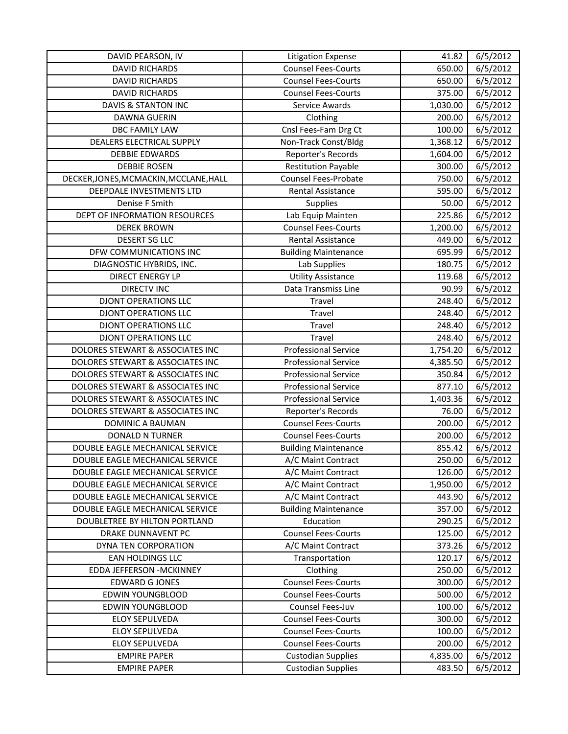| DAVID PEARSON, IV                      | <b>Litigation Expense</b>   | 41.82    | 6/5/2012 |
|----------------------------------------|-----------------------------|----------|----------|
| <b>DAVID RICHARDS</b>                  | <b>Counsel Fees-Courts</b>  | 650.00   | 6/5/2012 |
| <b>DAVID RICHARDS</b>                  | <b>Counsel Fees-Courts</b>  | 650.00   | 6/5/2012 |
| <b>DAVID RICHARDS</b>                  | <b>Counsel Fees-Courts</b>  | 375.00   | 6/5/2012 |
| <b>DAVIS &amp; STANTON INC</b>         | Service Awards              | 1,030.00 | 6/5/2012 |
| DAWNA GUERIN                           | Clothing                    | 200.00   | 6/5/2012 |
| <b>DBC FAMILY LAW</b>                  | Cnsl Fees-Fam Drg Ct        | 100.00   | 6/5/2012 |
| DEALERS ELECTRICAL SUPPLY              | Non-Track Const/Bldg        | 1,368.12 | 6/5/2012 |
| <b>DEBBIE EDWARDS</b>                  | Reporter's Records          | 1,604.00 | 6/5/2012 |
| <b>DEBBIE ROSEN</b>                    | <b>Restitution Payable</b>  | 300.00   | 6/5/2012 |
| DECKER, JONES, MCMACKIN, MCCLANE, HALL | <b>Counsel Fees-Probate</b> | 750.00   | 6/5/2012 |
| DEEPDALE INVESTMENTS LTD               | <b>Rental Assistance</b>    | 595.00   | 6/5/2012 |
| Denise F Smith                         | Supplies                    | 50.00    | 6/5/2012 |
| DEPT OF INFORMATION RESOURCES          | Lab Equip Mainten           | 225.86   | 6/5/2012 |
| <b>DEREK BROWN</b>                     | <b>Counsel Fees-Courts</b>  | 1,200.00 | 6/5/2012 |
| <b>DESERT SG LLC</b>                   | Rental Assistance           | 449.00   | 6/5/2012 |
| DFW COMMUNICATIONS INC                 | <b>Building Maintenance</b> | 695.99   | 6/5/2012 |
| DIAGNOSTIC HYBRIDS, INC.               | Lab Supplies                | 180.75   | 6/5/2012 |
| <b>DIRECT ENERGY LP</b>                | <b>Utility Assistance</b>   | 119.68   | 6/5/2012 |
| <b>DIRECTV INC</b>                     | Data Transmiss Line         | 90.99    | 6/5/2012 |
| <b>DJONT OPERATIONS LLC</b>            | Travel                      | 248.40   | 6/5/2012 |
| <b>DJONT OPERATIONS LLC</b>            | Travel                      | 248.40   | 6/5/2012 |
| <b>DJONT OPERATIONS LLC</b>            | Travel                      | 248.40   | 6/5/2012 |
| <b>DJONT OPERATIONS LLC</b>            | Travel                      | 248.40   | 6/5/2012 |
| DOLORES STEWART & ASSOCIATES INC       | <b>Professional Service</b> | 1,754.20 | 6/5/2012 |
| DOLORES STEWART & ASSOCIATES INC       | <b>Professional Service</b> | 4,385.50 | 6/5/2012 |
| DOLORES STEWART & ASSOCIATES INC       | <b>Professional Service</b> | 350.84   | 6/5/2012 |
| DOLORES STEWART & ASSOCIATES INC       | <b>Professional Service</b> | 877.10   | 6/5/2012 |
| DOLORES STEWART & ASSOCIATES INC       | <b>Professional Service</b> | 1,403.36 | 6/5/2012 |
| DOLORES STEWART & ASSOCIATES INC       | Reporter's Records          | 76.00    | 6/5/2012 |
| DOMINIC A BAUMAN                       | <b>Counsel Fees-Courts</b>  | 200.00   | 6/5/2012 |
| <b>DONALD N TURNER</b>                 | <b>Counsel Fees-Courts</b>  | 200.00   | 6/5/2012 |
| DOUBLE EAGLE MECHANICAL SERVICE        | <b>Building Maintenance</b> | 855.42   | 6/5/2012 |
| DOUBLE EAGLE MECHANICAL SERVICE        | A/C Maint Contract          | 250.00   | 6/5/2012 |
| DOUBLE EAGLE MECHANICAL SERVICE        | A/C Maint Contract          | 126.00   | 6/5/2012 |
| DOUBLE EAGLE MECHANICAL SERVICE        | A/C Maint Contract          | 1,950.00 | 6/5/2012 |
| DOUBLE EAGLE MECHANICAL SERVICE        | A/C Maint Contract          | 443.90   | 6/5/2012 |
| DOUBLE EAGLE MECHANICAL SERVICE        | <b>Building Maintenance</b> | 357.00   | 6/5/2012 |
| DOUBLETREE BY HILTON PORTLAND          | Education                   | 290.25   | 6/5/2012 |
| DRAKE DUNNAVENT PC                     | <b>Counsel Fees-Courts</b>  | 125.00   | 6/5/2012 |
| DYNA TEN CORPORATION                   | A/C Maint Contract          | 373.26   | 6/5/2012 |
| EAN HOLDINGS LLC                       | Transportation              | 120.17   | 6/5/2012 |
| EDDA JEFFERSON - MCKINNEY              | Clothing                    | 250.00   | 6/5/2012 |
| <b>EDWARD G JONES</b>                  | <b>Counsel Fees-Courts</b>  | 300.00   | 6/5/2012 |
| EDWIN YOUNGBLOOD                       | <b>Counsel Fees-Courts</b>  | 500.00   | 6/5/2012 |
| EDWIN YOUNGBLOOD                       | Counsel Fees-Juv            | 100.00   | 6/5/2012 |
| <b>ELOY SEPULVEDA</b>                  | <b>Counsel Fees-Courts</b>  | 300.00   | 6/5/2012 |
| <b>ELOY SEPULVEDA</b>                  | <b>Counsel Fees-Courts</b>  | 100.00   | 6/5/2012 |
| <b>ELOY SEPULVEDA</b>                  | <b>Counsel Fees-Courts</b>  | 200.00   | 6/5/2012 |
| <b>EMPIRE PAPER</b>                    | <b>Custodian Supplies</b>   | 4,835.00 | 6/5/2012 |
| <b>EMPIRE PAPER</b>                    | <b>Custodian Supplies</b>   | 483.50   | 6/5/2012 |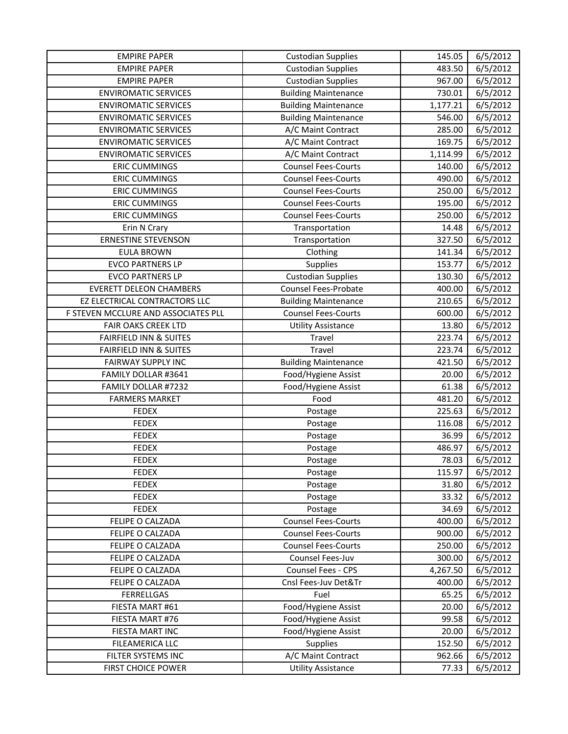| <b>EMPIRE PAPER</b>                 | <b>Custodian Supplies</b>   | 145.05   | 6/5/2012 |
|-------------------------------------|-----------------------------|----------|----------|
| <b>EMPIRE PAPER</b>                 | <b>Custodian Supplies</b>   | 483.50   | 6/5/2012 |
| <b>EMPIRE PAPER</b>                 | <b>Custodian Supplies</b>   | 967.00   | 6/5/2012 |
| <b>ENVIROMATIC SERVICES</b>         | <b>Building Maintenance</b> | 730.01   | 6/5/2012 |
| <b>ENVIROMATIC SERVICES</b>         | <b>Building Maintenance</b> | 1,177.21 | 6/5/2012 |
| <b>ENVIROMATIC SERVICES</b>         | <b>Building Maintenance</b> | 546.00   | 6/5/2012 |
| <b>ENVIROMATIC SERVICES</b>         | A/C Maint Contract          | 285.00   | 6/5/2012 |
| <b>ENVIROMATIC SERVICES</b>         | A/C Maint Contract          | 169.75   | 6/5/2012 |
| <b>ENVIROMATIC SERVICES</b>         | A/C Maint Contract          | 1,114.99 | 6/5/2012 |
| <b>ERIC CUMMINGS</b>                | <b>Counsel Fees-Courts</b>  | 140.00   | 6/5/2012 |
| <b>ERIC CUMMINGS</b>                | <b>Counsel Fees-Courts</b>  | 490.00   | 6/5/2012 |
| <b>ERIC CUMMINGS</b>                | <b>Counsel Fees-Courts</b>  | 250.00   | 6/5/2012 |
| <b>ERIC CUMMINGS</b>                | <b>Counsel Fees-Courts</b>  | 195.00   | 6/5/2012 |
| <b>ERIC CUMMINGS</b>                | <b>Counsel Fees-Courts</b>  | 250.00   | 6/5/2012 |
| Erin N Crary                        | Transportation              | 14.48    | 6/5/2012 |
| <b>ERNESTINE STEVENSON</b>          | Transportation              | 327.50   | 6/5/2012 |
| <b>EULA BROWN</b>                   | Clothing                    | 141.34   | 6/5/2012 |
| <b>EVCO PARTNERS LP</b>             | Supplies                    | 153.77   | 6/5/2012 |
| <b>EVCO PARTNERS LP</b>             | <b>Custodian Supplies</b>   | 130.30   | 6/5/2012 |
| <b>EVERETT DELEON CHAMBERS</b>      | <b>Counsel Fees-Probate</b> | 400.00   | 6/5/2012 |
| EZ ELECTRICAL CONTRACTORS LLC       | <b>Building Maintenance</b> | 210.65   | 6/5/2012 |
| F STEVEN MCCLURE AND ASSOCIATES PLL | <b>Counsel Fees-Courts</b>  | 600.00   | 6/5/2012 |
| <b>FAIR OAKS CREEK LTD</b>          | <b>Utility Assistance</b>   | 13.80    | 6/5/2012 |
| <b>FAIRFIELD INN &amp; SUITES</b>   | Travel                      | 223.74   | 6/5/2012 |
| <b>FAIRFIELD INN &amp; SUITES</b>   | Travel                      | 223.74   | 6/5/2012 |
| <b>FAIRWAY SUPPLY INC</b>           | <b>Building Maintenance</b> | 421.50   | 6/5/2012 |
| FAMILY DOLLAR #3641                 | Food/Hygiene Assist         | 20.00    | 6/5/2012 |
| FAMILY DOLLAR #7232                 | Food/Hygiene Assist         | 61.38    | 6/5/2012 |
| <b>FARMERS MARKET</b>               | Food                        | 481.20   | 6/5/2012 |
| <b>FEDEX</b>                        | Postage                     | 225.63   | 6/5/2012 |
| <b>FEDEX</b>                        | Postage                     | 116.08   | 6/5/2012 |
| <b>FEDEX</b>                        | Postage                     | 36.99    | 6/5/2012 |
| <b>FEDEX</b>                        | Postage                     | 486.97   | 6/5/2012 |
| <b>FEDEX</b>                        | Postage                     | 78.03    | 6/5/2012 |
| <b>FEDEX</b>                        | Postage                     | 115.97   | 6/5/2012 |
| <b>FEDEX</b>                        | Postage                     | 31.80    | 6/5/2012 |
| <b>FEDEX</b>                        | Postage                     | 33.32    | 6/5/2012 |
| <b>FEDEX</b>                        | Postage                     | 34.69    | 6/5/2012 |
| FELIPE O CALZADA                    | <b>Counsel Fees-Courts</b>  | 400.00   | 6/5/2012 |
| FELIPE O CALZADA                    | <b>Counsel Fees-Courts</b>  | 900.00   | 6/5/2012 |
| FELIPE O CALZADA                    | <b>Counsel Fees-Courts</b>  | 250.00   | 6/5/2012 |
| FELIPE O CALZADA                    | Counsel Fees-Juv            | 300.00   | 6/5/2012 |
| FELIPE O CALZADA                    | Counsel Fees - CPS          | 4,267.50 | 6/5/2012 |
| FELIPE O CALZADA                    | Cnsl Fees-Juv Det&Tr        | 400.00   | 6/5/2012 |
| <b>FERRELLGAS</b>                   | Fuel                        | 65.25    | 6/5/2012 |
| FIESTA MART #61                     | Food/Hygiene Assist         | 20.00    | 6/5/2012 |
| FIESTA MART #76                     | Food/Hygiene Assist         | 99.58    | 6/5/2012 |
| FIESTA MART INC                     | Food/Hygiene Assist         | 20.00    | 6/5/2012 |
| FILEAMERICA LLC                     | <b>Supplies</b>             | 152.50   | 6/5/2012 |
| FILTER SYSTEMS INC                  | A/C Maint Contract          | 962.66   | 6/5/2012 |
| FIRST CHOICE POWER                  | <b>Utility Assistance</b>   | 77.33    | 6/5/2012 |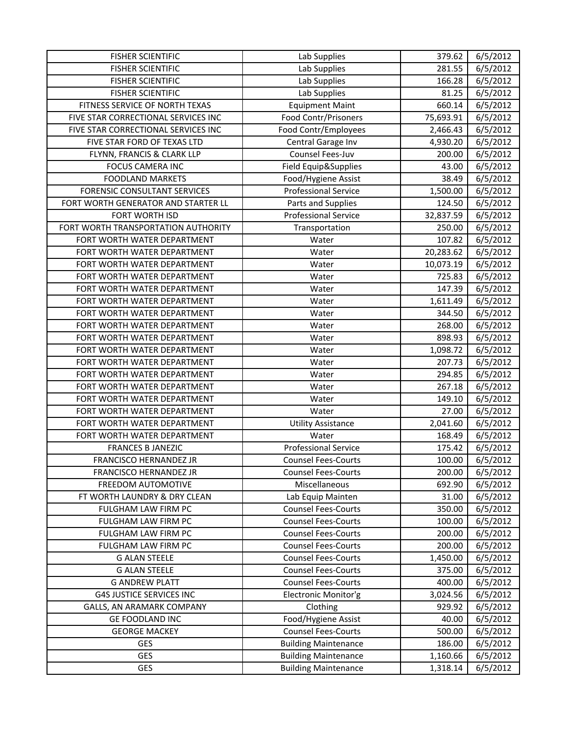| <b>FISHER SCIENTIFIC</b>            | Lab Supplies                | 379.62    | 6/5/2012 |
|-------------------------------------|-----------------------------|-----------|----------|
| <b>FISHER SCIENTIFIC</b>            | Lab Supplies                | 281.55    | 6/5/2012 |
| <b>FISHER SCIENTIFIC</b>            | Lab Supplies                | 166.28    | 6/5/2012 |
| <b>FISHER SCIENTIFIC</b>            | Lab Supplies                | 81.25     | 6/5/2012 |
| FITNESS SERVICE OF NORTH TEXAS      | <b>Equipment Maint</b>      | 660.14    | 6/5/2012 |
| FIVE STAR CORRECTIONAL SERVICES INC | <b>Food Contr/Prisoners</b> | 75,693.91 | 6/5/2012 |
| FIVE STAR CORRECTIONAL SERVICES INC | Food Contr/Employees        | 2,466.43  | 6/5/2012 |
| FIVE STAR FORD OF TEXAS LTD         | Central Garage Inv          | 4,930.20  | 6/5/2012 |
| FLYNN, FRANCIS & CLARK LLP          | Counsel Fees-Juv            | 200.00    | 6/5/2012 |
| <b>FOCUS CAMERA INC</b>             | Field Equip&Supplies        | 43.00     | 6/5/2012 |
| <b>FOODLAND MARKETS</b>             | Food/Hygiene Assist         | 38.49     | 6/5/2012 |
| <b>FORENSIC CONSULTANT SERVICES</b> | <b>Professional Service</b> | 1,500.00  | 6/5/2012 |
| FORT WORTH GENERATOR AND STARTER LL | Parts and Supplies          | 124.50    | 6/5/2012 |
| FORT WORTH ISD                      | <b>Professional Service</b> | 32,837.59 | 6/5/2012 |
| FORT WORTH TRANSPORTATION AUTHORITY | Transportation              | 250.00    | 6/5/2012 |
| FORT WORTH WATER DEPARTMENT         | Water                       | 107.82    | 6/5/2012 |
| FORT WORTH WATER DEPARTMENT         | Water                       | 20,283.62 | 6/5/2012 |
| FORT WORTH WATER DEPARTMENT         | Water                       | 10,073.19 | 6/5/2012 |
| FORT WORTH WATER DEPARTMENT         | Water                       | 725.83    | 6/5/2012 |
| FORT WORTH WATER DEPARTMENT         | Water                       | 147.39    | 6/5/2012 |
| FORT WORTH WATER DEPARTMENT         | Water                       | 1,611.49  | 6/5/2012 |
| FORT WORTH WATER DEPARTMENT         | Water                       | 344.50    | 6/5/2012 |
| FORT WORTH WATER DEPARTMENT         | Water                       | 268.00    | 6/5/2012 |
| FORT WORTH WATER DEPARTMENT         | Water                       | 898.93    | 6/5/2012 |
| FORT WORTH WATER DEPARTMENT         | Water                       | 1,098.72  | 6/5/2012 |
| FORT WORTH WATER DEPARTMENT         | Water                       | 207.73    | 6/5/2012 |
| FORT WORTH WATER DEPARTMENT         | Water                       | 294.85    | 6/5/2012 |
| FORT WORTH WATER DEPARTMENT         | Water                       | 267.18    | 6/5/2012 |
| FORT WORTH WATER DEPARTMENT         | Water                       | 149.10    | 6/5/2012 |
| FORT WORTH WATER DEPARTMENT         | Water                       | 27.00     | 6/5/2012 |
| FORT WORTH WATER DEPARTMENT         | <b>Utility Assistance</b>   | 2,041.60  | 6/5/2012 |
| FORT WORTH WATER DEPARTMENT         | Water                       | 168.49    | 6/5/2012 |
| <b>FRANCES B JANEZIC</b>            | <b>Professional Service</b> | 175.42    | 6/5/2012 |
| FRANCISCO HERNANDEZ JR              | <b>Counsel Fees-Courts</b>  | 100.00    | 6/5/2012 |
| FRANCISCO HERNANDEZ JR              | <b>Counsel Fees-Courts</b>  | 200.00    | 6/5/2012 |
| FREEDOM AUTOMOTIVE                  | Miscellaneous               | 692.90    | 6/5/2012 |
| FT WORTH LAUNDRY & DRY CLEAN        | Lab Equip Mainten           | 31.00     | 6/5/2012 |
| FULGHAM LAW FIRM PC                 | <b>Counsel Fees-Courts</b>  | 350.00    | 6/5/2012 |
| FULGHAM LAW FIRM PC                 | <b>Counsel Fees-Courts</b>  | 100.00    | 6/5/2012 |
| FULGHAM LAW FIRM PC                 | <b>Counsel Fees-Courts</b>  | 200.00    | 6/5/2012 |
| FULGHAM LAW FIRM PC                 | <b>Counsel Fees-Courts</b>  | 200.00    | 6/5/2012 |
| <b>G ALAN STEELE</b>                | <b>Counsel Fees-Courts</b>  | 1,450.00  | 6/5/2012 |
| <b>G ALAN STEELE</b>                | <b>Counsel Fees-Courts</b>  | 375.00    | 6/5/2012 |
| <b>G ANDREW PLATT</b>               | <b>Counsel Fees-Courts</b>  | 400.00    | 6/5/2012 |
| <b>G4S JUSTICE SERVICES INC</b>     | Electronic Monitor'g        | 3,024.56  | 6/5/2012 |
| GALLS, AN ARAMARK COMPANY           | Clothing                    | 929.92    | 6/5/2012 |
| GE FOODLAND INC                     | Food/Hygiene Assist         | 40.00     | 6/5/2012 |
| <b>GEORGE MACKEY</b>                | <b>Counsel Fees-Courts</b>  | 500.00    | 6/5/2012 |
| <b>GES</b>                          | <b>Building Maintenance</b> | 186.00    | 6/5/2012 |
| <b>GES</b>                          | <b>Building Maintenance</b> | 1,160.66  | 6/5/2012 |
| GES                                 | <b>Building Maintenance</b> | 1,318.14  | 6/5/2012 |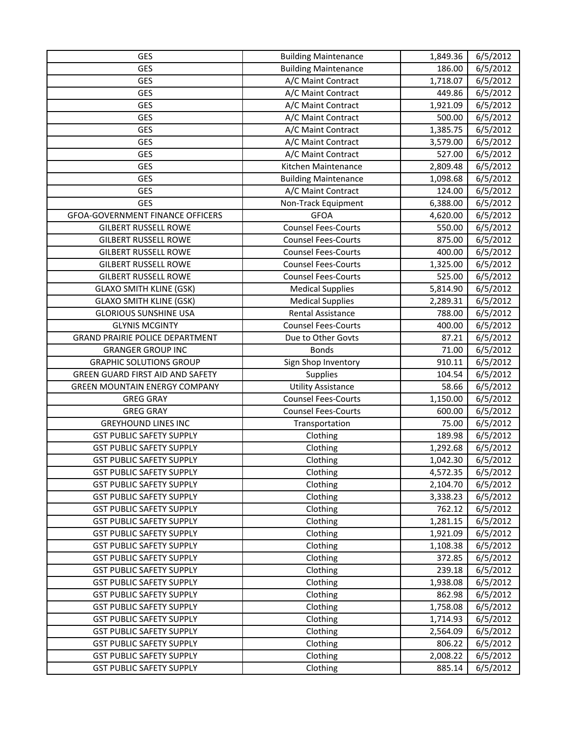| GES                                     | <b>Building Maintenance</b> | 1,849.36 | 6/5/2012 |
|-----------------------------------------|-----------------------------|----------|----------|
| <b>GES</b>                              | <b>Building Maintenance</b> | 186.00   | 6/5/2012 |
| <b>GES</b>                              | A/C Maint Contract          | 1,718.07 | 6/5/2012 |
| <b>GES</b>                              | A/C Maint Contract          | 449.86   | 6/5/2012 |
| <b>GES</b>                              | A/C Maint Contract          | 1,921.09 | 6/5/2012 |
| <b>GES</b>                              | A/C Maint Contract          | 500.00   | 6/5/2012 |
| <b>GES</b>                              | A/C Maint Contract          | 1,385.75 | 6/5/2012 |
| <b>GES</b>                              | A/C Maint Contract          | 3,579.00 | 6/5/2012 |
| <b>GES</b>                              | A/C Maint Contract          | 527.00   | 6/5/2012 |
| GES                                     | Kitchen Maintenance         | 2,809.48 | 6/5/2012 |
| <b>GES</b>                              | <b>Building Maintenance</b> | 1,098.68 | 6/5/2012 |
| GES                                     | A/C Maint Contract          | 124.00   | 6/5/2012 |
| <b>GES</b>                              | Non-Track Equipment         | 6,388.00 | 6/5/2012 |
| <b>GFOA-GOVERNMENT FINANCE OFFICERS</b> | <b>GFOA</b>                 | 4,620.00 | 6/5/2012 |
| <b>GILBERT RUSSELL ROWE</b>             | <b>Counsel Fees-Courts</b>  | 550.00   | 6/5/2012 |
| <b>GILBERT RUSSELL ROWE</b>             | <b>Counsel Fees-Courts</b>  | 875.00   | 6/5/2012 |
| <b>GILBERT RUSSELL ROWE</b>             | <b>Counsel Fees-Courts</b>  | 400.00   | 6/5/2012 |
| <b>GILBERT RUSSELL ROWE</b>             | <b>Counsel Fees-Courts</b>  | 1,325.00 | 6/5/2012 |
| <b>GILBERT RUSSELL ROWE</b>             | <b>Counsel Fees-Courts</b>  | 525.00   | 6/5/2012 |
| <b>GLAXO SMITH KLINE (GSK)</b>          | <b>Medical Supplies</b>     | 5,814.90 | 6/5/2012 |
| <b>GLAXO SMITH KLINE (GSK)</b>          | <b>Medical Supplies</b>     | 2,289.31 | 6/5/2012 |
| <b>GLORIOUS SUNSHINE USA</b>            | <b>Rental Assistance</b>    | 788.00   | 6/5/2012 |
| <b>GLYNIS MCGINTY</b>                   | <b>Counsel Fees-Courts</b>  | 400.00   | 6/5/2012 |
| <b>GRAND PRAIRIE POLICE DEPARTMENT</b>  | Due to Other Govts          | 87.21    | 6/5/2012 |
| <b>GRANGER GROUP INC</b>                | <b>Bonds</b>                | 71.00    | 6/5/2012 |
| <b>GRAPHIC SOLUTIONS GROUP</b>          | Sign Shop Inventory         | 910.11   | 6/5/2012 |
| GREEN GUARD FIRST AID AND SAFETY        | <b>Supplies</b>             | 104.54   | 6/5/2012 |
| <b>GREEN MOUNTAIN ENERGY COMPANY</b>    | <b>Utility Assistance</b>   | 58.66    | 6/5/2012 |
| <b>GREG GRAY</b>                        | <b>Counsel Fees-Courts</b>  | 1,150.00 | 6/5/2012 |
| <b>GREG GRAY</b>                        | <b>Counsel Fees-Courts</b>  | 600.00   | 6/5/2012 |
| <b>GREYHOUND LINES INC</b>              | Transportation              | 75.00    | 6/5/2012 |
| <b>GST PUBLIC SAFETY SUPPLY</b>         | Clothing                    | 189.98   | 6/5/2012 |
| <b>GST PUBLIC SAFETY SUPPLY</b>         | Clothing                    | 1,292.68 | 6/5/2012 |
| <b>GST PUBLIC SAFETY SUPPLY</b>         | Clothing                    | 1,042.30 | 6/5/2012 |
| <b>GST PUBLIC SAFETY SUPPLY</b>         | Clothing                    | 4,572.35 | 6/5/2012 |
| <b>GST PUBLIC SAFETY SUPPLY</b>         | Clothing                    | 2,104.70 | 6/5/2012 |
| <b>GST PUBLIC SAFETY SUPPLY</b>         | Clothing                    | 3,338.23 | 6/5/2012 |
| <b>GST PUBLIC SAFETY SUPPLY</b>         | Clothing                    | 762.12   | 6/5/2012 |
| <b>GST PUBLIC SAFETY SUPPLY</b>         | Clothing                    | 1,281.15 | 6/5/2012 |
| <b>GST PUBLIC SAFETY SUPPLY</b>         | Clothing                    | 1,921.09 | 6/5/2012 |
| <b>GST PUBLIC SAFETY SUPPLY</b>         | Clothing                    | 1,108.38 | 6/5/2012 |
| <b>GST PUBLIC SAFETY SUPPLY</b>         | Clothing                    | 372.85   | 6/5/2012 |
| <b>GST PUBLIC SAFETY SUPPLY</b>         | Clothing                    | 239.18   | 6/5/2012 |
| <b>GST PUBLIC SAFETY SUPPLY</b>         | Clothing                    | 1,938.08 | 6/5/2012 |
| <b>GST PUBLIC SAFETY SUPPLY</b>         | Clothing                    | 862.98   | 6/5/2012 |
| <b>GST PUBLIC SAFETY SUPPLY</b>         | Clothing                    | 1,758.08 | 6/5/2012 |
| <b>GST PUBLIC SAFETY SUPPLY</b>         | Clothing                    | 1,714.93 | 6/5/2012 |
| <b>GST PUBLIC SAFETY SUPPLY</b>         | Clothing                    | 2,564.09 | 6/5/2012 |
| <b>GST PUBLIC SAFETY SUPPLY</b>         | Clothing                    | 806.22   | 6/5/2012 |
| <b>GST PUBLIC SAFETY SUPPLY</b>         | Clothing                    | 2,008.22 | 6/5/2012 |
| <b>GST PUBLIC SAFETY SUPPLY</b>         | Clothing                    | 885.14   | 6/5/2012 |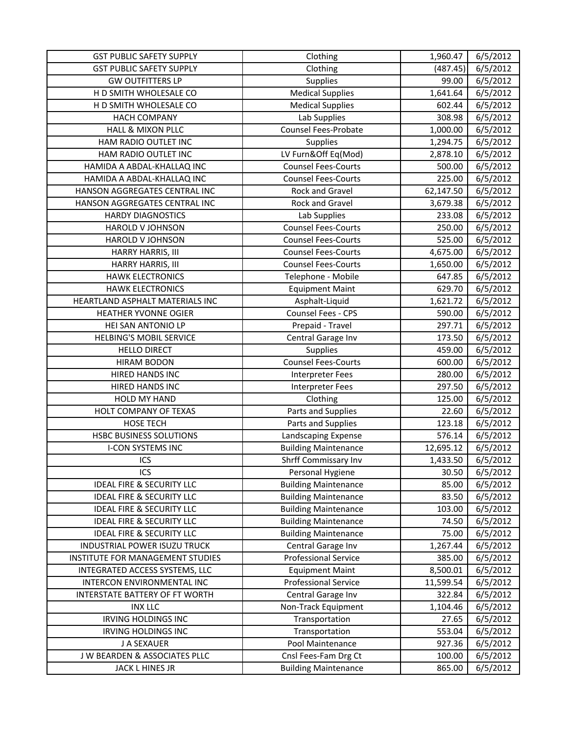| <b>GST PUBLIC SAFETY SUPPLY</b>      | Clothing                    | 1,960.47  | 6/5/2012 |
|--------------------------------------|-----------------------------|-----------|----------|
| <b>GST PUBLIC SAFETY SUPPLY</b>      | Clothing                    | (487.45)  | 6/5/2012 |
| <b>GW OUTFITTERS LP</b>              | Supplies                    | 99.00     | 6/5/2012 |
| H D SMITH WHOLESALE CO               | <b>Medical Supplies</b>     | 1,641.64  | 6/5/2012 |
| H D SMITH WHOLESALE CO               | <b>Medical Supplies</b>     | 602.44    | 6/5/2012 |
| <b>HACH COMPANY</b>                  | Lab Supplies                | 308.98    | 6/5/2012 |
| <b>HALL &amp; MIXON PLLC</b>         | Counsel Fees-Probate        | 1,000.00  | 6/5/2012 |
| HAM RADIO OUTLET INC                 | <b>Supplies</b>             | 1,294.75  | 6/5/2012 |
| HAM RADIO OUTLET INC                 | LV Furn&Off Eq(Mod)         | 2,878.10  | 6/5/2012 |
| HAMIDA A ABDAL-KHALLAQ INC           | <b>Counsel Fees-Courts</b>  | 500.00    | 6/5/2012 |
| HAMIDA A ABDAL-KHALLAQ INC           | <b>Counsel Fees-Courts</b>  | 225.00    | 6/5/2012 |
| HANSON AGGREGATES CENTRAL INC        | Rock and Gravel             | 62,147.50 | 6/5/2012 |
| HANSON AGGREGATES CENTRAL INC        | Rock and Gravel             | 3,679.38  | 6/5/2012 |
| <b>HARDY DIAGNOSTICS</b>             | Lab Supplies                | 233.08    | 6/5/2012 |
| <b>HAROLD V JOHNSON</b>              | <b>Counsel Fees-Courts</b>  | 250.00    | 6/5/2012 |
| <b>HAROLD V JOHNSON</b>              | <b>Counsel Fees-Courts</b>  | 525.00    | 6/5/2012 |
| HARRY HARRIS, III                    | <b>Counsel Fees-Courts</b>  | 4,675.00  | 6/5/2012 |
| HARRY HARRIS, III                    | <b>Counsel Fees-Courts</b>  | 1,650.00  | 6/5/2012 |
| <b>HAWK ELECTRONICS</b>              | Telephone - Mobile          | 647.85    | 6/5/2012 |
| <b>HAWK ELECTRONICS</b>              | <b>Equipment Maint</b>      | 629.70    | 6/5/2012 |
| HEARTLAND ASPHALT MATERIALS INC      | Asphalt-Liquid              | 1,621.72  | 6/5/2012 |
| <b>HEATHER YVONNE OGIER</b>          | Counsel Fees - CPS          | 590.00    | 6/5/2012 |
| HEI SAN ANTONIO LP                   | Prepaid - Travel            | 297.71    | 6/5/2012 |
| <b>HELBING'S MOBIL SERVICE</b>       | Central Garage Inv          | 173.50    | 6/5/2012 |
| <b>HELLO DIRECT</b>                  | Supplies                    | 459.00    | 6/5/2012 |
| <b>HIRAM BODON</b>                   | <b>Counsel Fees-Courts</b>  | 600.00    | 6/5/2012 |
| <b>HIRED HANDS INC</b>               | <b>Interpreter Fees</b>     | 280.00    | 6/5/2012 |
| HIRED HANDS INC                      | Interpreter Fees            | 297.50    | 6/5/2012 |
| HOLD MY HAND                         | Clothing                    | 125.00    | 6/5/2012 |
| HOLT COMPANY OF TEXAS                | Parts and Supplies          | 22.60     | 6/5/2012 |
| <b>HOSE TECH</b>                     | Parts and Supplies          | 123.18    | 6/5/2012 |
| <b>HSBC BUSINESS SOLUTIONS</b>       | Landscaping Expense         | 576.14    | 6/5/2012 |
| <b>I-CON SYSTEMS INC</b>             | <b>Building Maintenance</b> | 12,695.12 | 6/5/2012 |
| ICS                                  | Shrff Commissary Inv        | 1,433.50  | 6/5/2012 |
| ICS                                  | Personal Hygiene            | 30.50     | 6/5/2012 |
| <b>IDEAL FIRE &amp; SECURITY LLC</b> | <b>Building Maintenance</b> | 85.00     | 6/5/2012 |
| <b>IDEAL FIRE &amp; SECURITY LLC</b> | <b>Building Maintenance</b> | 83.50     | 6/5/2012 |
| <b>IDEAL FIRE &amp; SECURITY LLC</b> | <b>Building Maintenance</b> | 103.00    | 6/5/2012 |
| <b>IDEAL FIRE &amp; SECURITY LLC</b> | <b>Building Maintenance</b> | 74.50     | 6/5/2012 |
| <b>IDEAL FIRE &amp; SECURITY LLC</b> | <b>Building Maintenance</b> | 75.00     | 6/5/2012 |
| INDUSTRIAL POWER ISUZU TRUCK         | Central Garage Inv          | 1,267.44  | 6/5/2012 |
| INSTITUTE FOR MANAGEMENT STUDIES     | <b>Professional Service</b> | 385.00    | 6/5/2012 |
| INTEGRATED ACCESS SYSTEMS, LLC       | <b>Equipment Maint</b>      | 8,500.01  | 6/5/2012 |
| INTERCON ENVIRONMENTAL INC           | <b>Professional Service</b> | 11,599.54 | 6/5/2012 |
| INTERSTATE BATTERY OF FT WORTH       | Central Garage Inv          | 322.84    | 6/5/2012 |
| <b>INX LLC</b>                       | Non-Track Equipment         | 1,104.46  | 6/5/2012 |
| <b>IRVING HOLDINGS INC</b>           | Transportation              | 27.65     | 6/5/2012 |
| <b>IRVING HOLDINGS INC</b>           | Transportation              | 553.04    | 6/5/2012 |
| J A SEXAUER                          | Pool Maintenance            | 927.36    | 6/5/2012 |
| J W BEARDEN & ASSOCIATES PLLC        | Cnsl Fees-Fam Drg Ct        | 100.00    | 6/5/2012 |
| JACK L HINES JR                      | <b>Building Maintenance</b> | 865.00    | 6/5/2012 |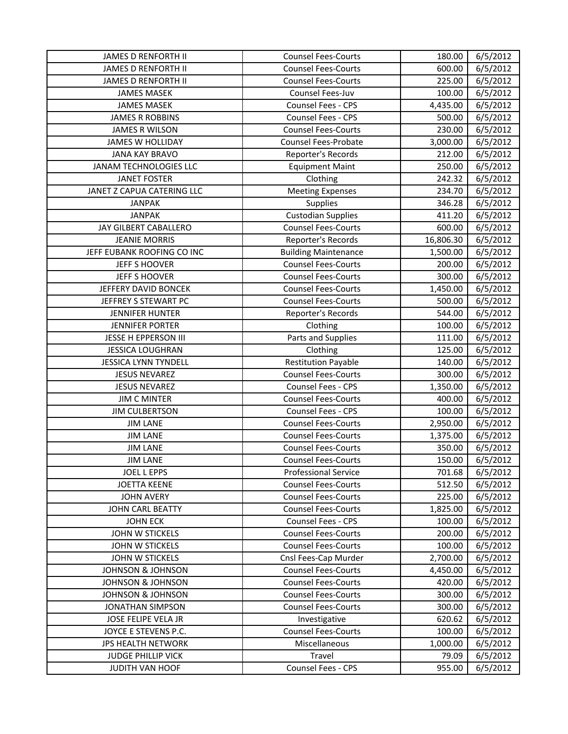| <b>JAMES D RENFORTH II</b>   | <b>Counsel Fees-Courts</b>  | 180.00    | 6/5/2012 |
|------------------------------|-----------------------------|-----------|----------|
| <b>JAMES D RENFORTH II</b>   | <b>Counsel Fees-Courts</b>  | 600.00    | 6/5/2012 |
| <b>JAMES D RENFORTH II</b>   | <b>Counsel Fees-Courts</b>  | 225.00    | 6/5/2012 |
| <b>JAMES MASEK</b>           | Counsel Fees-Juv            | 100.00    | 6/5/2012 |
| <b>JAMES MASEK</b>           | Counsel Fees - CPS          | 4,435.00  | 6/5/2012 |
| <b>JAMES R ROBBINS</b>       | Counsel Fees - CPS          | 500.00    | 6/5/2012 |
| <b>JAMES R WILSON</b>        | <b>Counsel Fees-Courts</b>  | 230.00    | 6/5/2012 |
| <b>JAMES W HOLLIDAY</b>      | <b>Counsel Fees-Probate</b> | 3,000.00  | 6/5/2012 |
| <b>JANA KAY BRAVO</b>        | Reporter's Records          | 212.00    | 6/5/2012 |
| JANAM TECHNOLOGIES LLC       | <b>Equipment Maint</b>      | 250.00    | 6/5/2012 |
| <b>JANET FOSTER</b>          | Clothing                    | 242.32    | 6/5/2012 |
| JANET Z CAPUA CATERING LLC   | <b>Meeting Expenses</b>     | 234.70    | 6/5/2012 |
| <b>JANPAK</b>                | Supplies                    | 346.28    | 6/5/2012 |
| <b>JANPAK</b>                | <b>Custodian Supplies</b>   | 411.20    | 6/5/2012 |
| JAY GILBERT CABALLERO        | <b>Counsel Fees-Courts</b>  | 600.00    | 6/5/2012 |
| <b>JEANIE MORRIS</b>         | Reporter's Records          | 16,806.30 | 6/5/2012 |
| JEFF EUBANK ROOFING CO INC   | <b>Building Maintenance</b> | 1,500.00  | 6/5/2012 |
| <b>JEFF S HOOVER</b>         | <b>Counsel Fees-Courts</b>  | 200.00    | 6/5/2012 |
| <b>JEFF S HOOVER</b>         | <b>Counsel Fees-Courts</b>  | 300.00    | 6/5/2012 |
| JEFFERY DAVID BONCEK         | <b>Counsel Fees-Courts</b>  | 1,450.00  | 6/5/2012 |
| JEFFREY S STEWART PC         | <b>Counsel Fees-Courts</b>  | 500.00    | 6/5/2012 |
| <b>JENNIFER HUNTER</b>       | Reporter's Records          | 544.00    | 6/5/2012 |
| <b>JENNIFER PORTER</b>       | Clothing                    | 100.00    | 6/5/2012 |
| JESSE H EPPERSON III         | Parts and Supplies          | 111.00    | 6/5/2012 |
| <b>JESSICA LOUGHRAN</b>      | Clothing                    | 125.00    | 6/5/2012 |
| <b>JESSICA LYNN TYNDELL</b>  | <b>Restitution Payable</b>  | 140.00    | 6/5/2012 |
| <b>JESUS NEVAREZ</b>         | <b>Counsel Fees-Courts</b>  | 300.00    | 6/5/2012 |
| <b>JESUS NEVAREZ</b>         | Counsel Fees - CPS          | 1,350.00  | 6/5/2012 |
| <b>JIM C MINTER</b>          | <b>Counsel Fees-Courts</b>  | 400.00    | 6/5/2012 |
| <b>JIM CULBERTSON</b>        | Counsel Fees - CPS          | 100.00    | 6/5/2012 |
| <b>JIM LANE</b>              | <b>Counsel Fees-Courts</b>  | 2,950.00  | 6/5/2012 |
| <b>JIM LANE</b>              | <b>Counsel Fees-Courts</b>  | 1,375.00  | 6/5/2012 |
| <b>JIM LANE</b>              | <b>Counsel Fees-Courts</b>  | 350.00    | 6/5/2012 |
| <b>JIM LANE</b>              | <b>Counsel Fees-Courts</b>  | 150.00    | 6/5/2012 |
| <b>JOEL L EPPS</b>           | <b>Professional Service</b> | 701.68    | 6/5/2012 |
| <b>JOETTA KEENE</b>          | <b>Counsel Fees-Courts</b>  | 512.50    | 6/5/2012 |
| <b>JOHN AVERY</b>            | <b>Counsel Fees-Courts</b>  | 225.00    | 6/5/2012 |
| JOHN CARL BEATTY             | <b>Counsel Fees-Courts</b>  | 1,825.00  | 6/5/2012 |
| <b>JOHN ECK</b>              | <b>Counsel Fees - CPS</b>   | 100.00    | 6/5/2012 |
| JOHN W STICKELS              | <b>Counsel Fees-Courts</b>  | 200.00    | 6/5/2012 |
| JOHN W STICKELS              | <b>Counsel Fees-Courts</b>  | 100.00    | 6/5/2012 |
| <b>JOHN W STICKELS</b>       | Cnsl Fees-Cap Murder        | 2,700.00  | 6/5/2012 |
| <b>JOHNSON &amp; JOHNSON</b> | <b>Counsel Fees-Courts</b>  | 4,450.00  | 6/5/2012 |
| <b>JOHNSON &amp; JOHNSON</b> | <b>Counsel Fees-Courts</b>  | 420.00    | 6/5/2012 |
| JOHNSON & JOHNSON            | <b>Counsel Fees-Courts</b>  | 300.00    | 6/5/2012 |
| <b>JONATHAN SIMPSON</b>      | <b>Counsel Fees-Courts</b>  | 300.00    | 6/5/2012 |
| JOSE FELIPE VELA JR          | Investigative               | 620.62    | 6/5/2012 |
| JOYCE E STEVENS P.C.         | <b>Counsel Fees-Courts</b>  | 100.00    | 6/5/2012 |
| JPS HEALTH NETWORK           | Miscellaneous               | 1,000.00  | 6/5/2012 |
| <b>JUDGE PHILLIP VICK</b>    | Travel                      | 79.09     | 6/5/2012 |
| <b>JUDITH VAN HOOF</b>       | <b>Counsel Fees - CPS</b>   | 955.00    | 6/5/2012 |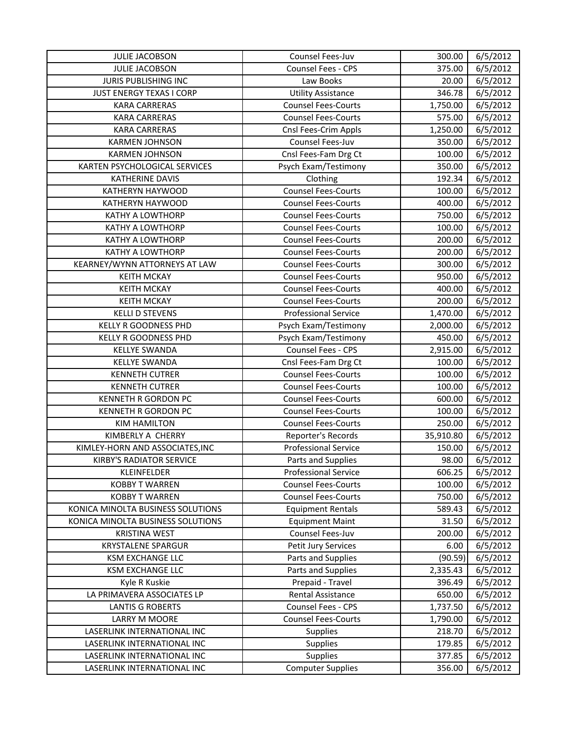| <b>JULIE JACOBSON</b>             | Counsel Fees-Juv            | 300.00    | 6/5/2012 |
|-----------------------------------|-----------------------------|-----------|----------|
| <b>JULIE JACOBSON</b>             | Counsel Fees - CPS          | 375.00    | 6/5/2012 |
| JURIS PUBLISHING INC              | Law Books                   | 20.00     | 6/5/2012 |
| JUST ENERGY TEXAS I CORP          | <b>Utility Assistance</b>   | 346.78    | 6/5/2012 |
| <b>KARA CARRERAS</b>              | <b>Counsel Fees-Courts</b>  | 1,750.00  | 6/5/2012 |
| <b>KARA CARRERAS</b>              | <b>Counsel Fees-Courts</b>  | 575.00    | 6/5/2012 |
| <b>KARA CARRERAS</b>              | Cnsl Fees-Crim Appls        | 1,250.00  | 6/5/2012 |
| <b>KARMEN JOHNSON</b>             | Counsel Fees-Juv            | 350.00    | 6/5/2012 |
| <b>KARMEN JOHNSON</b>             | Cnsl Fees-Fam Drg Ct        | 100.00    | 6/5/2012 |
| KARTEN PSYCHOLOGICAL SERVICES     | Psych Exam/Testimony        | 350.00    | 6/5/2012 |
| <b>KATHERINE DAVIS</b>            | Clothing                    | 192.34    | 6/5/2012 |
| KATHERYN HAYWOOD                  | <b>Counsel Fees-Courts</b>  | 100.00    | 6/5/2012 |
| KATHERYN HAYWOOD                  | <b>Counsel Fees-Courts</b>  | 400.00    | 6/5/2012 |
| <b>KATHY A LOWTHORP</b>           | <b>Counsel Fees-Courts</b>  | 750.00    | 6/5/2012 |
| <b>KATHY A LOWTHORP</b>           | <b>Counsel Fees-Courts</b>  | 100.00    | 6/5/2012 |
| KATHY A LOWTHORP                  | <b>Counsel Fees-Courts</b>  | 200.00    | 6/5/2012 |
| <b>KATHY A LOWTHORP</b>           | <b>Counsel Fees-Courts</b>  | 200.00    | 6/5/2012 |
| KEARNEY/WYNN ATTORNEYS AT LAW     | <b>Counsel Fees-Courts</b>  | 300.00    | 6/5/2012 |
| <b>KEITH MCKAY</b>                | <b>Counsel Fees-Courts</b>  | 950.00    | 6/5/2012 |
| <b>KEITH MCKAY</b>                | <b>Counsel Fees-Courts</b>  | 400.00    | 6/5/2012 |
| <b>KEITH MCKAY</b>                | <b>Counsel Fees-Courts</b>  | 200.00    | 6/5/2012 |
| <b>KELLI D STEVENS</b>            | <b>Professional Service</b> | 1,470.00  | 6/5/2012 |
| KELLY R GOODNESS PHD              | Psych Exam/Testimony        | 2,000.00  | 6/5/2012 |
| <b>KELLY R GOODNESS PHD</b>       | Psych Exam/Testimony        | 450.00    | 6/5/2012 |
| <b>KELLYE SWANDA</b>              | Counsel Fees - CPS          | 2,915.00  | 6/5/2012 |
| <b>KELLYE SWANDA</b>              | Cnsl Fees-Fam Drg Ct        | 100.00    | 6/5/2012 |
| <b>KENNETH CUTRER</b>             | <b>Counsel Fees-Courts</b>  | 100.00    | 6/5/2012 |
| <b>KENNETH CUTRER</b>             | <b>Counsel Fees-Courts</b>  | 100.00    | 6/5/2012 |
| <b>KENNETH R GORDON PC</b>        | <b>Counsel Fees-Courts</b>  | 600.00    | 6/5/2012 |
| <b>KENNETH R GORDON PC</b>        | <b>Counsel Fees-Courts</b>  | 100.00    | 6/5/2012 |
| <b>KIM HAMILTON</b>               | <b>Counsel Fees-Courts</b>  | 250.00    | 6/5/2012 |
| KIMBERLY A CHERRY                 | Reporter's Records          | 35,910.80 | 6/5/2012 |
| KIMLEY-HORN AND ASSOCIATES, INC   | <b>Professional Service</b> | 150.00    | 6/5/2012 |
| <b>KIRBY'S RADIATOR SERVICE</b>   | Parts and Supplies          | 98.00     | 6/5/2012 |
| KLEINFELDER                       | <b>Professional Service</b> | 606.25    | 6/5/2012 |
| <b>KOBBY T WARREN</b>             | <b>Counsel Fees-Courts</b>  | 100.00    | 6/5/2012 |
| <b>KOBBY T WARREN</b>             | <b>Counsel Fees-Courts</b>  | 750.00    | 6/5/2012 |
| KONICA MINOLTA BUSINESS SOLUTIONS | <b>Equipment Rentals</b>    | 589.43    | 6/5/2012 |
| KONICA MINOLTA BUSINESS SOLUTIONS | <b>Equipment Maint</b>      | 31.50     | 6/5/2012 |
| <b>KRISTINA WEST</b>              | Counsel Fees-Juv            | 200.00    | 6/5/2012 |
| <b>KRYSTALENE SPARGUR</b>         | Petit Jury Services         | 6.00      | 6/5/2012 |
| <b>KSM EXCHANGE LLC</b>           | Parts and Supplies          | (90.59)   | 6/5/2012 |
| <b>KSM EXCHANGE LLC</b>           | Parts and Supplies          | 2,335.43  | 6/5/2012 |
| Kyle R Kuskie                     | Prepaid - Travel            | 396.49    | 6/5/2012 |
| LA PRIMAVERA ASSOCIATES LP        | <b>Rental Assistance</b>    | 650.00    | 6/5/2012 |
| <b>LANTIS G ROBERTS</b>           | Counsel Fees - CPS          | 1,737.50  | 6/5/2012 |
| LARRY M MOORE                     | <b>Counsel Fees-Courts</b>  | 1,790.00  | 6/5/2012 |
| LASERLINK INTERNATIONAL INC       | <b>Supplies</b>             | 218.70    | 6/5/2012 |
| LASERLINK INTERNATIONAL INC       | Supplies                    | 179.85    | 6/5/2012 |
| LASERLINK INTERNATIONAL INC       | Supplies                    | 377.85    | 6/5/2012 |
| LASERLINK INTERNATIONAL INC       | <b>Computer Supplies</b>    | 356.00    | 6/5/2012 |
|                                   |                             |           |          |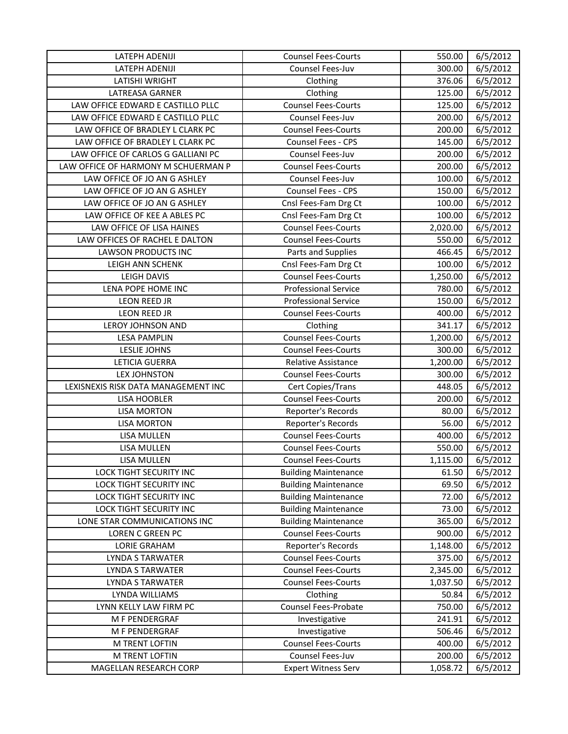| LATEPH ADENIJI                      | <b>Counsel Fees-Courts</b>  | 550.00   | 6/5/2012 |
|-------------------------------------|-----------------------------|----------|----------|
| LATEPH ADENIJI                      | Counsel Fees-Juv            | 300.00   | 6/5/2012 |
| LATISHI WRIGHT                      | Clothing                    | 376.06   | 6/5/2012 |
| LATREASA GARNER                     | Clothing                    | 125.00   | 6/5/2012 |
| LAW OFFICE EDWARD E CASTILLO PLLC   | <b>Counsel Fees-Courts</b>  | 125.00   | 6/5/2012 |
| LAW OFFICE EDWARD E CASTILLO PLLC   | Counsel Fees-Juv            | 200.00   | 6/5/2012 |
| LAW OFFICE OF BRADLEY L CLARK PC    | <b>Counsel Fees-Courts</b>  | 200.00   | 6/5/2012 |
| LAW OFFICE OF BRADLEY L CLARK PC    | Counsel Fees - CPS          | 145.00   | 6/5/2012 |
| LAW OFFICE OF CARLOS G GALLIANI PC  | Counsel Fees-Juv            | 200.00   | 6/5/2012 |
| LAW OFFICE OF HARMONY M SCHUERMAN P | <b>Counsel Fees-Courts</b>  | 200.00   | 6/5/2012 |
| LAW OFFICE OF JO AN G ASHLEY        | Counsel Fees-Juv            | 100.00   | 6/5/2012 |
| LAW OFFICE OF JO AN G ASHLEY        | Counsel Fees - CPS          | 150.00   | 6/5/2012 |
| LAW OFFICE OF JO AN G ASHLEY        | Cnsl Fees-Fam Drg Ct        | 100.00   | 6/5/2012 |
| LAW OFFICE OF KEE A ABLES PC        | Cnsl Fees-Fam Drg Ct        | 100.00   | 6/5/2012 |
| LAW OFFICE OF LISA HAINES           | <b>Counsel Fees-Courts</b>  | 2,020.00 | 6/5/2012 |
| LAW OFFICES OF RACHEL E DALTON      | <b>Counsel Fees-Courts</b>  | 550.00   | 6/5/2012 |
| LAWSON PRODUCTS INC                 | Parts and Supplies          | 466.45   | 6/5/2012 |
| LEIGH ANN SCHENK                    | Cnsl Fees-Fam Drg Ct        | 100.00   | 6/5/2012 |
| LEIGH DAVIS                         | <b>Counsel Fees-Courts</b>  | 1,250.00 | 6/5/2012 |
| LENA POPE HOME INC                  | <b>Professional Service</b> | 780.00   | 6/5/2012 |
| <b>LEON REED JR</b>                 | <b>Professional Service</b> | 150.00   | 6/5/2012 |
| LEON REED JR                        | <b>Counsel Fees-Courts</b>  | 400.00   | 6/5/2012 |
| LEROY JOHNSON AND                   | Clothing                    | 341.17   | 6/5/2012 |
| <b>LESA PAMPLIN</b>                 | <b>Counsel Fees-Courts</b>  | 1,200.00 | 6/5/2012 |
| LESLIE JOHNS                        | <b>Counsel Fees-Courts</b>  | 300.00   | 6/5/2012 |
| <b>LETICIA GUERRA</b>               | Relative Assistance         | 1,200.00 | 6/5/2012 |
| <b>LEX JOHNSTON</b>                 | <b>Counsel Fees-Courts</b>  | 300.00   | 6/5/2012 |
| LEXISNEXIS RISK DATA MANAGEMENT INC | Cert Copies/Trans           | 448.05   | 6/5/2012 |
| LISA HOOBLER                        | <b>Counsel Fees-Courts</b>  | 200.00   | 6/5/2012 |
| <b>LISA MORTON</b>                  | Reporter's Records          | 80.00    | 6/5/2012 |
| <b>LISA MORTON</b>                  | Reporter's Records          | 56.00    | 6/5/2012 |
| LISA MULLEN                         | <b>Counsel Fees-Courts</b>  | 400.00   | 6/5/2012 |
| LISA MULLEN                         | <b>Counsel Fees-Courts</b>  | 550.00   | 6/5/2012 |
| <b>LISA MULLEN</b>                  | <b>Counsel Fees-Courts</b>  | 1,115.00 | 6/5/2012 |
| LOCK TIGHT SECURITY INC             | <b>Building Maintenance</b> | 61.50    | 6/5/2012 |
| LOCK TIGHT SECURITY INC             | <b>Building Maintenance</b> | 69.50    | 6/5/2012 |
| LOCK TIGHT SECURITY INC             | <b>Building Maintenance</b> | 72.00    | 6/5/2012 |
| LOCK TIGHT SECURITY INC             | <b>Building Maintenance</b> | 73.00    | 6/5/2012 |
| LONE STAR COMMUNICATIONS INC        | <b>Building Maintenance</b> | 365.00   | 6/5/2012 |
| LOREN C GREEN PC                    | <b>Counsel Fees-Courts</b>  | 900.00   | 6/5/2012 |
| <b>LORIE GRAHAM</b>                 | Reporter's Records          | 1,148.00 | 6/5/2012 |
| <b>LYNDA S TARWATER</b>             | <b>Counsel Fees-Courts</b>  | 375.00   | 6/5/2012 |
| <b>LYNDA S TARWATER</b>             | <b>Counsel Fees-Courts</b>  | 2,345.00 | 6/5/2012 |
| LYNDA S TARWATER                    | <b>Counsel Fees-Courts</b>  | 1,037.50 | 6/5/2012 |
| LYNDA WILLIAMS                      | Clothing                    | 50.84    | 6/5/2012 |
| LYNN KELLY LAW FIRM PC              | Counsel Fees-Probate        | 750.00   | 6/5/2012 |
| M F PENDERGRAF                      | Investigative               | 241.91   | 6/5/2012 |
| M F PENDERGRAF                      | Investigative               | 506.46   | 6/5/2012 |
| M TRENT LOFTIN                      | <b>Counsel Fees-Courts</b>  | 400.00   | 6/5/2012 |
| M TRENT LOFTIN                      | Counsel Fees-Juv            | 200.00   | 6/5/2012 |
| MAGELLAN RESEARCH CORP              | <b>Expert Witness Serv</b>  | 1,058.72 | 6/5/2012 |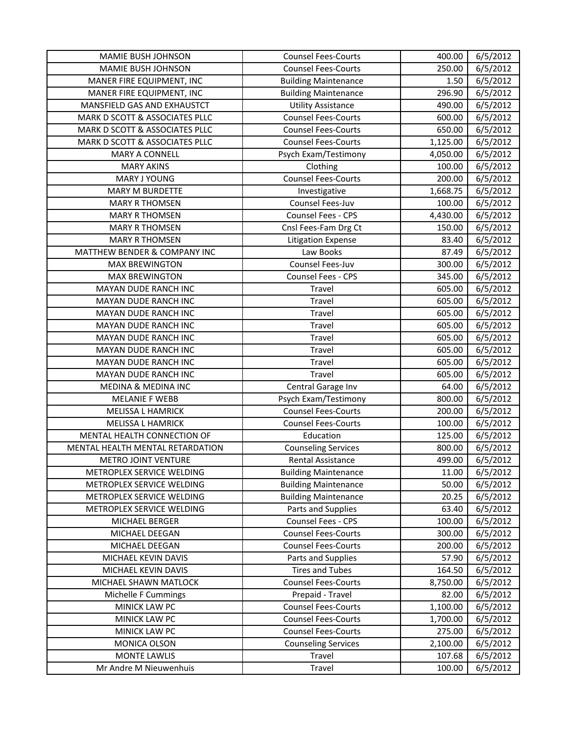| MAMIE BUSH JOHNSON               | <b>Counsel Fees-Courts</b>  | 400.00   | 6/5/2012 |
|----------------------------------|-----------------------------|----------|----------|
| MAMIE BUSH JOHNSON               | <b>Counsel Fees-Courts</b>  | 250.00   | 6/5/2012 |
| MANER FIRE EQUIPMENT, INC        | <b>Building Maintenance</b> | 1.50     | 6/5/2012 |
| MANER FIRE EQUIPMENT, INC        | <b>Building Maintenance</b> | 296.90   | 6/5/2012 |
| MANSFIELD GAS AND EXHAUSTCT      | <b>Utility Assistance</b>   | 490.00   | 6/5/2012 |
| MARK D SCOTT & ASSOCIATES PLLC   | <b>Counsel Fees-Courts</b>  | 600.00   | 6/5/2012 |
| MARK D SCOTT & ASSOCIATES PLLC   | <b>Counsel Fees-Courts</b>  | 650.00   | 6/5/2012 |
| MARK D SCOTT & ASSOCIATES PLLC   | <b>Counsel Fees-Courts</b>  | 1,125.00 | 6/5/2012 |
| <b>MARY A CONNELL</b>            | Psych Exam/Testimony        | 4,050.00 | 6/5/2012 |
| <b>MARY AKINS</b>                | Clothing                    | 100.00   | 6/5/2012 |
| <b>MARY J YOUNG</b>              | <b>Counsel Fees-Courts</b>  | 200.00   | 6/5/2012 |
| MARY M BURDETTE                  | Investigative               | 1,668.75 | 6/5/2012 |
| <b>MARY R THOMSEN</b>            | Counsel Fees-Juv            | 100.00   | 6/5/2012 |
| <b>MARY R THOMSEN</b>            | Counsel Fees - CPS          | 4,430.00 | 6/5/2012 |
| <b>MARY R THOMSEN</b>            | Cnsl Fees-Fam Drg Ct        | 150.00   | 6/5/2012 |
| <b>MARY R THOMSEN</b>            | <b>Litigation Expense</b>   | 83.40    | 6/5/2012 |
| MATTHEW BENDER & COMPANY INC     | Law Books                   | 87.49    | 6/5/2012 |
| <b>MAX BREWINGTON</b>            | Counsel Fees-Juv            | 300.00   | 6/5/2012 |
| <b>MAX BREWINGTON</b>            | Counsel Fees - CPS          | 345.00   | 6/5/2012 |
| <b>MAYAN DUDE RANCH INC</b>      | Travel                      | 605.00   | 6/5/2012 |
| MAYAN DUDE RANCH INC             | Travel                      | 605.00   | 6/5/2012 |
| MAYAN DUDE RANCH INC             | Travel                      | 605.00   | 6/5/2012 |
| MAYAN DUDE RANCH INC             | Travel                      | 605.00   | 6/5/2012 |
| MAYAN DUDE RANCH INC             | Travel                      | 605.00   | 6/5/2012 |
| MAYAN DUDE RANCH INC             | Travel                      | 605.00   | 6/5/2012 |
| MAYAN DUDE RANCH INC             | Travel                      | 605.00   | 6/5/2012 |
| MAYAN DUDE RANCH INC             | Travel                      | 605.00   | 6/5/2012 |
| MEDINA & MEDINA INC              | Central Garage Inv          | 64.00    | 6/5/2012 |
| <b>MELANIE F WEBB</b>            | Psych Exam/Testimony        | 800.00   | 6/5/2012 |
| <b>MELISSA L HAMRICK</b>         | <b>Counsel Fees-Courts</b>  | 200.00   | 6/5/2012 |
| <b>MELISSA L HAMRICK</b>         | <b>Counsel Fees-Courts</b>  | 100.00   | 6/5/2012 |
| MENTAL HEALTH CONNECTION OF      | Education                   | 125.00   | 6/5/2012 |
| MENTAL HEALTH MENTAL RETARDATION | <b>Counseling Services</b>  | 800.00   | 6/5/2012 |
| <b>METRO JOINT VENTURE</b>       | Rental Assistance           | 499.00   | 6/5/2012 |
| METROPLEX SERVICE WELDING        | <b>Building Maintenance</b> | 11.00    | 6/5/2012 |
| METROPLEX SERVICE WELDING        | <b>Building Maintenance</b> | 50.00    | 6/5/2012 |
| METROPLEX SERVICE WELDING        | <b>Building Maintenance</b> | 20.25    | 6/5/2012 |
| METROPLEX SERVICE WELDING        | Parts and Supplies          | 63.40    | 6/5/2012 |
| MICHAEL BERGER                   | Counsel Fees - CPS          | 100.00   | 6/5/2012 |
| MICHAEL DEEGAN                   | <b>Counsel Fees-Courts</b>  | 300.00   | 6/5/2012 |
| MICHAEL DEEGAN                   | <b>Counsel Fees-Courts</b>  | 200.00   | 6/5/2012 |
| MICHAEL KEVIN DAVIS              | Parts and Supplies          | 57.90    | 6/5/2012 |
| MICHAEL KEVIN DAVIS              | <b>Tires and Tubes</b>      | 164.50   | 6/5/2012 |
| MICHAEL SHAWN MATLOCK            | <b>Counsel Fees-Courts</b>  | 8,750.00 | 6/5/2012 |
| Michelle F Cummings              | Prepaid - Travel            | 82.00    | 6/5/2012 |
| MINICK LAW PC                    | <b>Counsel Fees-Courts</b>  | 1,100.00 | 6/5/2012 |
| MINICK LAW PC                    | <b>Counsel Fees-Courts</b>  | 1,700.00 | 6/5/2012 |
| MINICK LAW PC                    | <b>Counsel Fees-Courts</b>  | 275.00   | 6/5/2012 |
| MONICA OLSON                     | <b>Counseling Services</b>  | 2,100.00 | 6/5/2012 |
| <b>MONTE LAWLIS</b>              | Travel                      | 107.68   | 6/5/2012 |
| Mr Andre M Nieuwenhuis           | Travel                      | 100.00   | 6/5/2012 |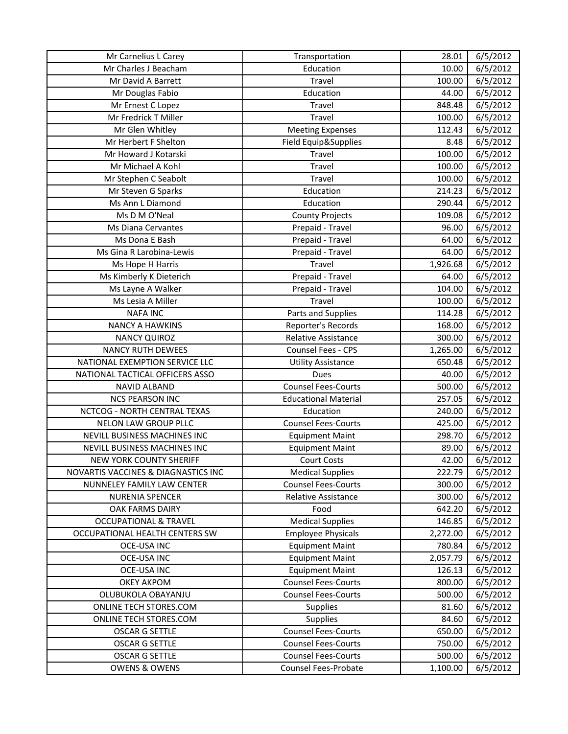| Mr Carnelius L Carey                | Transportation              | 28.01    | 6/5/2012 |
|-------------------------------------|-----------------------------|----------|----------|
| Mr Charles J Beacham                | Education                   | 10.00    | 6/5/2012 |
| Mr David A Barrett                  | Travel                      | 100.00   | 6/5/2012 |
| Mr Douglas Fabio                    | Education                   | 44.00    | 6/5/2012 |
| Mr Ernest C Lopez                   | Travel                      | 848.48   | 6/5/2012 |
| Mr Fredrick T Miller                | Travel                      | 100.00   | 6/5/2012 |
| Mr Glen Whitley                     | <b>Meeting Expenses</b>     | 112.43   | 6/5/2012 |
| Mr Herbert F Shelton                | Field Equip&Supplies        | 8.48     | 6/5/2012 |
| Mr Howard J Kotarski                | Travel                      | 100.00   | 6/5/2012 |
| Mr Michael A Kohl                   | Travel                      | 100.00   | 6/5/2012 |
| Mr Stephen C Seabolt                | Travel                      | 100.00   | 6/5/2012 |
| Mr Steven G Sparks                  | Education                   | 214.23   | 6/5/2012 |
| Ms Ann L Diamond                    | Education                   | 290.44   | 6/5/2012 |
| Ms D M O'Neal                       | <b>County Projects</b>      | 109.08   | 6/5/2012 |
| Ms Diana Cervantes                  | Prepaid - Travel            | 96.00    | 6/5/2012 |
| Ms Dona E Bash                      | Prepaid - Travel            | 64.00    | 6/5/2012 |
| Ms Gina R Larobina-Lewis            | Prepaid - Travel            | 64.00    | 6/5/2012 |
| Ms Hope H Harris                    | Travel                      | 1,926.68 | 6/5/2012 |
| Ms Kimberly K Dieterich             | Prepaid - Travel            | 64.00    | 6/5/2012 |
| Ms Layne A Walker                   | Prepaid - Travel            | 104.00   | 6/5/2012 |
| Ms Lesia A Miller                   | Travel                      | 100.00   | 6/5/2012 |
| <b>NAFA INC</b>                     | Parts and Supplies          | 114.28   | 6/5/2012 |
| <b>NANCY A HAWKINS</b>              | Reporter's Records          | 168.00   | 6/5/2012 |
| <b>NANCY QUIROZ</b>                 | Relative Assistance         | 300.00   | 6/5/2012 |
| <b>NANCY RUTH DEWEES</b>            | Counsel Fees - CPS          | 1,265.00 | 6/5/2012 |
| NATIONAL EXEMPTION SERVICE LLC      | <b>Utility Assistance</b>   | 650.48   | 6/5/2012 |
| NATIONAL TACTICAL OFFICERS ASSO     | Dues                        | 40.00    | 6/5/2012 |
| NAVID ALBAND                        | <b>Counsel Fees-Courts</b>  | 500.00   | 6/5/2012 |
| <b>NCS PEARSON INC</b>              | <b>Educational Material</b> | 257.05   | 6/5/2012 |
| <b>NCTCOG - NORTH CENTRAL TEXAS</b> | Education                   | 240.00   | 6/5/2012 |
| <b>NELON LAW GROUP PLLC</b>         | <b>Counsel Fees-Courts</b>  | 425.00   | 6/5/2012 |
| NEVILL BUSINESS MACHINES INC        | <b>Equipment Maint</b>      | 298.70   | 6/5/2012 |
| NEVILL BUSINESS MACHINES INC        | <b>Equipment Maint</b>      | 89.00    | 6/5/2012 |
| NEW YORK COUNTY SHERIFF             | <b>Court Costs</b>          | 42.00    | 6/5/2012 |
| NOVARTIS VACCINES & DIAGNASTICS INC | <b>Medical Supplies</b>     | 222.79   | 6/5/2012 |
| NUNNELEY FAMILY LAW CENTER          | <b>Counsel Fees-Courts</b>  | 300.00   | 6/5/2012 |
| <b>NURENIA SPENCER</b>              | Relative Assistance         | 300.00   | 6/5/2012 |
| OAK FARMS DAIRY                     | Food                        | 642.20   | 6/5/2012 |
| <b>OCCUPATIONAL &amp; TRAVEL</b>    | <b>Medical Supplies</b>     | 146.85   | 6/5/2012 |
| OCCUPATIONAL HEALTH CENTERS SW      | <b>Employee Physicals</b>   | 2,272.00 | 6/5/2012 |
| OCE-USA INC                         | <b>Equipment Maint</b>      | 780.84   | 6/5/2012 |
| <b>OCE-USA INC</b>                  | <b>Equipment Maint</b>      | 2,057.79 | 6/5/2012 |
| OCE-USA INC                         | <b>Equipment Maint</b>      | 126.13   | 6/5/2012 |
| <b>OKEY AKPOM</b>                   | <b>Counsel Fees-Courts</b>  | 800.00   | 6/5/2012 |
| OLUBUKOLA OBAYANJU                  | <b>Counsel Fees-Courts</b>  | 500.00   | 6/5/2012 |
| ONLINE TECH STORES.COM              | <b>Supplies</b>             | 81.60    | 6/5/2012 |
| ONLINE TECH STORES.COM              | <b>Supplies</b>             | 84.60    | 6/5/2012 |
| <b>OSCAR G SETTLE</b>               | <b>Counsel Fees-Courts</b>  | 650.00   | 6/5/2012 |
| <b>OSCAR G SETTLE</b>               | <b>Counsel Fees-Courts</b>  | 750.00   | 6/5/2012 |
| <b>OSCAR G SETTLE</b>               | <b>Counsel Fees-Courts</b>  | 500.00   | 6/5/2012 |
| <b>OWENS &amp; OWENS</b>            | Counsel Fees-Probate        | 1,100.00 | 6/5/2012 |
|                                     |                             |          |          |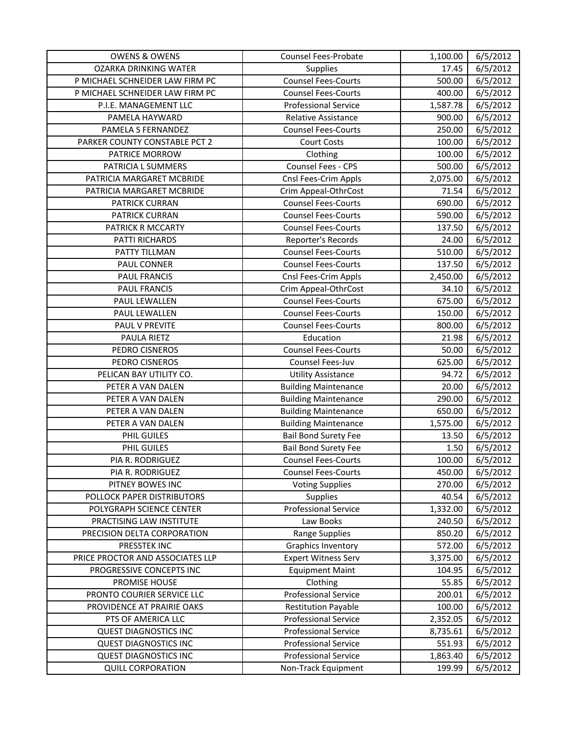| <b>OWENS &amp; OWENS</b>         | <b>Counsel Fees-Probate</b> | 1,100.00 | 6/5/2012 |
|----------------------------------|-----------------------------|----------|----------|
| <b>OZARKA DRINKING WATER</b>     | <b>Supplies</b>             | 17.45    | 6/5/2012 |
| P MICHAEL SCHNEIDER LAW FIRM PC  | <b>Counsel Fees-Courts</b>  | 500.00   | 6/5/2012 |
| P MICHAEL SCHNEIDER LAW FIRM PC  | <b>Counsel Fees-Courts</b>  | 400.00   | 6/5/2012 |
| P.I.E. MANAGEMENT LLC            | <b>Professional Service</b> | 1,587.78 | 6/5/2012 |
| PAMELA HAYWARD                   | Relative Assistance         | 900.00   | 6/5/2012 |
| PAMELA S FERNANDEZ               | <b>Counsel Fees-Courts</b>  | 250.00   | 6/5/2012 |
| PARKER COUNTY CONSTABLE PCT 2    | <b>Court Costs</b>          | 100.00   | 6/5/2012 |
| PATRICE MORROW                   | Clothing                    | 100.00   | 6/5/2012 |
| PATRICIA L SUMMERS               | Counsel Fees - CPS          | 500.00   | 6/5/2012 |
| PATRICIA MARGARET MCBRIDE        | Cnsl Fees-Crim Appls        | 2,075.00 | 6/5/2012 |
| PATRICIA MARGARET MCBRIDE        | Crim Appeal-OthrCost        | 71.54    | 6/5/2012 |
| PATRICK CURRAN                   | <b>Counsel Fees-Courts</b>  | 690.00   | 6/5/2012 |
| <b>PATRICK CURRAN</b>            | <b>Counsel Fees-Courts</b>  | 590.00   | 6/5/2012 |
| PATRICK R MCCARTY                | <b>Counsel Fees-Courts</b>  | 137.50   | 6/5/2012 |
| PATTI RICHARDS                   | Reporter's Records          | 24.00    | 6/5/2012 |
| PATTY TILLMAN                    | <b>Counsel Fees-Courts</b>  | 510.00   | 6/5/2012 |
| PAUL CONNER                      | <b>Counsel Fees-Courts</b>  | 137.50   | 6/5/2012 |
| <b>PAUL FRANCIS</b>              | Cnsl Fees-Crim Appls        | 2,450.00 | 6/5/2012 |
| <b>PAUL FRANCIS</b>              | Crim Appeal-OthrCost        | 34.10    | 6/5/2012 |
| PAUL LEWALLEN                    | <b>Counsel Fees-Courts</b>  | 675.00   | 6/5/2012 |
| PAUL LEWALLEN                    | <b>Counsel Fees-Courts</b>  | 150.00   | 6/5/2012 |
| PAUL V PREVITE                   | <b>Counsel Fees-Courts</b>  | 800.00   | 6/5/2012 |
| PAULA RIETZ                      | Education                   | 21.98    | 6/5/2012 |
| PEDRO CISNEROS                   | <b>Counsel Fees-Courts</b>  | 50.00    | 6/5/2012 |
| PEDRO CISNEROS                   | Counsel Fees-Juv            | 625.00   | 6/5/2012 |
| PELICAN BAY UTILITY CO.          | <b>Utility Assistance</b>   | 94.72    | 6/5/2012 |
| PETER A VAN DALEN                | <b>Building Maintenance</b> | 20.00    | 6/5/2012 |
| PETER A VAN DALEN                | <b>Building Maintenance</b> | 290.00   | 6/5/2012 |
| PETER A VAN DALEN                | <b>Building Maintenance</b> | 650.00   | 6/5/2012 |
| PETER A VAN DALEN                | <b>Building Maintenance</b> | 1,575.00 | 6/5/2012 |
| PHIL GUILES                      | <b>Bail Bond Surety Fee</b> | 13.50    | 6/5/2012 |
| PHIL GUILES                      | <b>Bail Bond Surety Fee</b> | 1.50     | 6/5/2012 |
| PIA R. RODRIGUEZ                 | <b>Counsel Fees-Courts</b>  | 100.00   | 6/5/2012 |
| PIA R. RODRIGUEZ                 | <b>Counsel Fees-Courts</b>  | 450.00   | 6/5/2012 |
| PITNEY BOWES INC                 | <b>Voting Supplies</b>      | 270.00   | 6/5/2012 |
| POLLOCK PAPER DISTRIBUTORS       | <b>Supplies</b>             | 40.54    | 6/5/2012 |
| POLYGRAPH SCIENCE CENTER         | <b>Professional Service</b> | 1,332.00 | 6/5/2012 |
| PRACTISING LAW INSTITUTE         | Law Books                   | 240.50   | 6/5/2012 |
| PRECISION DELTA CORPORATION      | Range Supplies              | 850.20   | 6/5/2012 |
| PRESSTEK INC                     | <b>Graphics Inventory</b>   | 572.00   | 6/5/2012 |
| PRICE PROCTOR AND ASSOCIATES LLP | <b>Expert Witness Serv</b>  | 3,375.00 | 6/5/2012 |
| PROGRESSIVE CONCEPTS INC         | <b>Equipment Maint</b>      | 104.95   | 6/5/2012 |
| PROMISE HOUSE                    | Clothing                    | 55.85    | 6/5/2012 |
| PRONTO COURIER SERVICE LLC       | <b>Professional Service</b> | 200.01   | 6/5/2012 |
| PROVIDENCE AT PRAIRIE OAKS       | <b>Restitution Payable</b>  | 100.00   | 6/5/2012 |
| PTS OF AMERICA LLC               | <b>Professional Service</b> | 2,352.05 | 6/5/2012 |
| <b>QUEST DIAGNOSTICS INC</b>     | <b>Professional Service</b> | 8,735.61 | 6/5/2012 |
| <b>QUEST DIAGNOSTICS INC</b>     | <b>Professional Service</b> | 551.93   | 6/5/2012 |
| <b>QUEST DIAGNOSTICS INC</b>     | <b>Professional Service</b> | 1,863.40 | 6/5/2012 |
| <b>QUILL CORPORATION</b>         | Non-Track Equipment         | 199.99   | 6/5/2012 |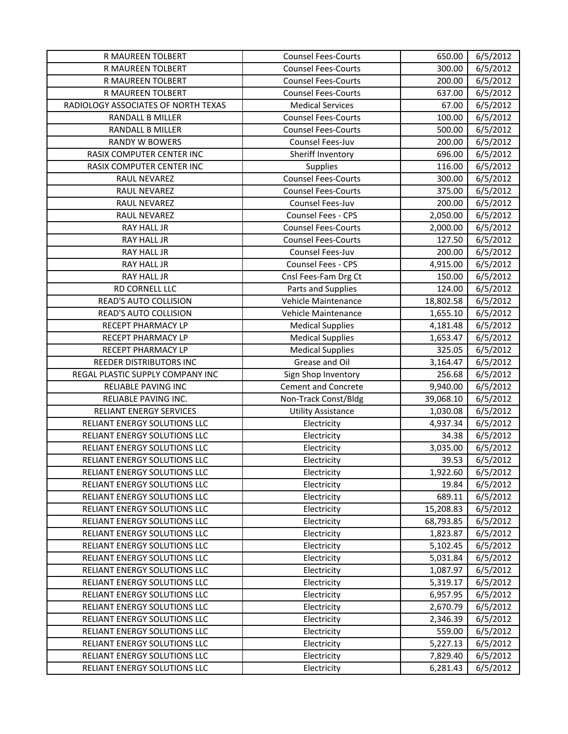| R MAUREEN TOLBERT                   | <b>Counsel Fees-Courts</b> | 650.00    | 6/5/2012 |
|-------------------------------------|----------------------------|-----------|----------|
| R MAUREEN TOLBERT                   | <b>Counsel Fees-Courts</b> | 300.00    | 6/5/2012 |
| R MAUREEN TOLBERT                   | <b>Counsel Fees-Courts</b> | 200.00    | 6/5/2012 |
| R MAUREEN TOLBERT                   | <b>Counsel Fees-Courts</b> | 637.00    | 6/5/2012 |
| RADIOLOGY ASSOCIATES OF NORTH TEXAS | <b>Medical Services</b>    | 67.00     | 6/5/2012 |
| RANDALL B MILLER                    | <b>Counsel Fees-Courts</b> | 100.00    | 6/5/2012 |
| RANDALL B MILLER                    | <b>Counsel Fees-Courts</b> | 500.00    | 6/5/2012 |
| RANDY W BOWERS                      | Counsel Fees-Juv           | 200.00    | 6/5/2012 |
| RASIX COMPUTER CENTER INC           | Sheriff Inventory          | 696.00    | 6/5/2012 |
| RASIX COMPUTER CENTER INC           | <b>Supplies</b>            | 116.00    | 6/5/2012 |
| RAUL NEVAREZ                        | <b>Counsel Fees-Courts</b> | 300.00    | 6/5/2012 |
| RAUL NEVAREZ                        | <b>Counsel Fees-Courts</b> | 375.00    | 6/5/2012 |
| RAUL NEVAREZ                        | Counsel Fees-Juv           | 200.00    | 6/5/2012 |
| RAUL NEVAREZ                        | Counsel Fees - CPS         | 2,050.00  | 6/5/2012 |
| RAY HALL JR                         | <b>Counsel Fees-Courts</b> | 2,000.00  | 6/5/2012 |
| <b>RAY HALL JR</b>                  | <b>Counsel Fees-Courts</b> | 127.50    | 6/5/2012 |
| RAY HALL JR                         | Counsel Fees-Juv           | 200.00    | 6/5/2012 |
| RAY HALL JR                         | Counsel Fees - CPS         | 4,915.00  | 6/5/2012 |
| RAY HALL JR                         | Cnsl Fees-Fam Drg Ct       | 150.00    | 6/5/2012 |
| RD CORNELL LLC                      | Parts and Supplies         | 124.00    | 6/5/2012 |
| READ'S AUTO COLLISION               | Vehicle Maintenance        | 18,802.58 | 6/5/2012 |
| READ'S AUTO COLLISION               | Vehicle Maintenance        | 1,655.10  | 6/5/2012 |
| RECEPT PHARMACY LP                  | <b>Medical Supplies</b>    | 4,181.48  | 6/5/2012 |
| RECEPT PHARMACY LP                  | <b>Medical Supplies</b>    | 1,653.47  | 6/5/2012 |
| RECEPT PHARMACY LP                  | <b>Medical Supplies</b>    | 325.05    | 6/5/2012 |
| REEDER DISTRIBUTORS INC             | Grease and Oil             | 3,164.47  | 6/5/2012 |
| REGAL PLASTIC SUPPLY COMPANY INC    | Sign Shop Inventory        | 256.68    | 6/5/2012 |
| RELIABLE PAVING INC                 | <b>Cement and Concrete</b> | 9,940.00  | 6/5/2012 |
| RELIABLE PAVING INC.                | Non-Track Const/Bldg       | 39,068.10 | 6/5/2012 |
| <b>RELIANT ENERGY SERVICES</b>      | <b>Utility Assistance</b>  | 1,030.08  | 6/5/2012 |
| RELIANT ENERGY SOLUTIONS LLC        | Electricity                | 4,937.34  | 6/5/2012 |
| RELIANT ENERGY SOLUTIONS LLC        | Electricity                | 34.38     | 6/5/2012 |
| RELIANT ENERGY SOLUTIONS LLC        | Electricity                | 3,035.00  | 6/5/2012 |
| RELIANT ENERGY SOLUTIONS LLC        | Electricity                | 39.53     | 6/5/2012 |
| RELIANT ENERGY SOLUTIONS LLC        | Electricity                | 1,922.60  | 6/5/2012 |
| RELIANT ENERGY SOLUTIONS LLC        | Electricity                | 19.84     | 6/5/2012 |
| RELIANT ENERGY SOLUTIONS LLC        | Electricity                | 689.11    | 6/5/2012 |
| RELIANT ENERGY SOLUTIONS LLC        | Electricity                | 15,208.83 | 6/5/2012 |
| RELIANT ENERGY SOLUTIONS LLC        | Electricity                | 68,793.85 | 6/5/2012 |
| RELIANT ENERGY SOLUTIONS LLC        | Electricity                | 1,823.87  | 6/5/2012 |
| RELIANT ENERGY SOLUTIONS LLC        | Electricity                | 5,102.45  | 6/5/2012 |
| RELIANT ENERGY SOLUTIONS LLC        | Electricity                | 5,031.84  | 6/5/2012 |
| RELIANT ENERGY SOLUTIONS LLC        | Electricity                | 1,087.97  | 6/5/2012 |
| RELIANT ENERGY SOLUTIONS LLC        | Electricity                | 5,319.17  | 6/5/2012 |
| RELIANT ENERGY SOLUTIONS LLC        | Electricity                | 6,957.95  | 6/5/2012 |
| RELIANT ENERGY SOLUTIONS LLC        | Electricity                | 2,670.79  | 6/5/2012 |
| RELIANT ENERGY SOLUTIONS LLC        | Electricity                | 2,346.39  | 6/5/2012 |
| RELIANT ENERGY SOLUTIONS LLC        | Electricity                | 559.00    | 6/5/2012 |
| RELIANT ENERGY SOLUTIONS LLC        | Electricity                | 5,227.13  | 6/5/2012 |
| RELIANT ENERGY SOLUTIONS LLC        | Electricity                | 7,829.40  | 6/5/2012 |
| RELIANT ENERGY SOLUTIONS LLC        | Electricity                | 6,281.43  | 6/5/2012 |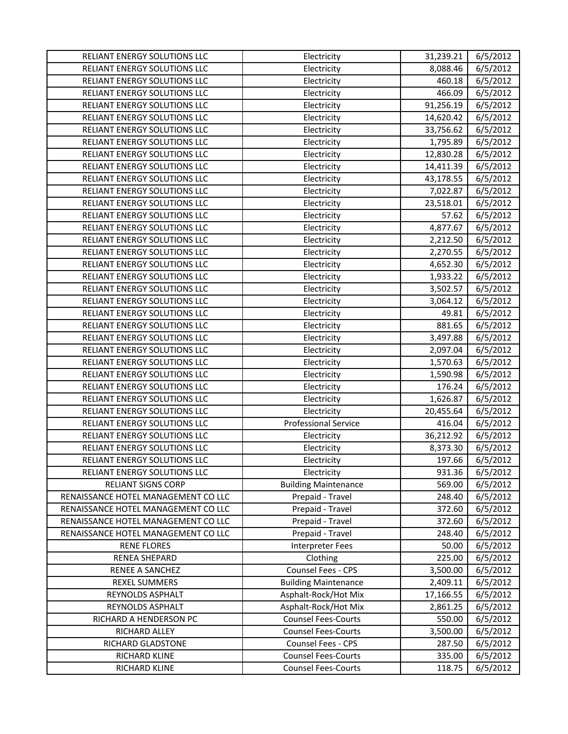| RELIANT ENERGY SOLUTIONS LLC        | Electricity                 | 31,239.21 | 6/5/2012 |
|-------------------------------------|-----------------------------|-----------|----------|
| RELIANT ENERGY SOLUTIONS LLC        | Electricity                 | 8,088.46  | 6/5/2012 |
| RELIANT ENERGY SOLUTIONS LLC        | Electricity                 | 460.18    | 6/5/2012 |
| RELIANT ENERGY SOLUTIONS LLC        | Electricity                 | 466.09    | 6/5/2012 |
| RELIANT ENERGY SOLUTIONS LLC        | Electricity                 | 91,256.19 | 6/5/2012 |
| RELIANT ENERGY SOLUTIONS LLC        | Electricity                 | 14,620.42 | 6/5/2012 |
| RELIANT ENERGY SOLUTIONS LLC        | Electricity                 | 33,756.62 | 6/5/2012 |
| RELIANT ENERGY SOLUTIONS LLC        | Electricity                 | 1,795.89  | 6/5/2012 |
| RELIANT ENERGY SOLUTIONS LLC        | Electricity                 | 12,830.28 | 6/5/2012 |
| RELIANT ENERGY SOLUTIONS LLC        | Electricity                 | 14,411.39 | 6/5/2012 |
| RELIANT ENERGY SOLUTIONS LLC        | Electricity                 | 43,178.55 | 6/5/2012 |
| RELIANT ENERGY SOLUTIONS LLC        | Electricity                 | 7,022.87  | 6/5/2012 |
| RELIANT ENERGY SOLUTIONS LLC        | Electricity                 | 23,518.01 | 6/5/2012 |
| RELIANT ENERGY SOLUTIONS LLC        | Electricity                 | 57.62     | 6/5/2012 |
| RELIANT ENERGY SOLUTIONS LLC        | Electricity                 | 4,877.67  | 6/5/2012 |
| RELIANT ENERGY SOLUTIONS LLC        | Electricity                 | 2,212.50  | 6/5/2012 |
| RELIANT ENERGY SOLUTIONS LLC        | Electricity                 | 2,270.55  | 6/5/2012 |
| RELIANT ENERGY SOLUTIONS LLC        | Electricity                 | 4,652.30  | 6/5/2012 |
| RELIANT ENERGY SOLUTIONS LLC        | Electricity                 | 1,933.22  | 6/5/2012 |
| RELIANT ENERGY SOLUTIONS LLC        | Electricity                 | 3,502.57  | 6/5/2012 |
| RELIANT ENERGY SOLUTIONS LLC        | Electricity                 | 3,064.12  | 6/5/2012 |
| RELIANT ENERGY SOLUTIONS LLC        | Electricity                 | 49.81     | 6/5/2012 |
| RELIANT ENERGY SOLUTIONS LLC        | Electricity                 | 881.65    | 6/5/2012 |
| RELIANT ENERGY SOLUTIONS LLC        | Electricity                 | 3,497.88  | 6/5/2012 |
| RELIANT ENERGY SOLUTIONS LLC        | Electricity                 | 2,097.04  | 6/5/2012 |
| RELIANT ENERGY SOLUTIONS LLC        | Electricity                 | 1,570.63  | 6/5/2012 |
| RELIANT ENERGY SOLUTIONS LLC        | Electricity                 | 1,590.98  | 6/5/2012 |
| RELIANT ENERGY SOLUTIONS LLC        | Electricity                 | 176.24    | 6/5/2012 |
| RELIANT ENERGY SOLUTIONS LLC        | Electricity                 | 1,626.87  | 6/5/2012 |
| RELIANT ENERGY SOLUTIONS LLC        | Electricity                 | 20,455.64 | 6/5/2012 |
| RELIANT ENERGY SOLUTIONS LLC        | <b>Professional Service</b> | 416.04    | 6/5/2012 |
| RELIANT ENERGY SOLUTIONS LLC        | Electricity                 | 36,212.92 | 6/5/2012 |
| RELIANT ENERGY SOLUTIONS LLC        | Electricity                 | 8,373.30  | 6/5/2012 |
| RELIANT ENERGY SOLUTIONS LLC        | Electricity                 | 197.66    | 6/5/2012 |
| RELIANT ENERGY SOLUTIONS LLC        | Electricity                 | 931.36    | 6/5/2012 |
| <b>RELIANT SIGNS CORP</b>           | <b>Building Maintenance</b> | 569.00    | 6/5/2012 |
| RENAISSANCE HOTEL MANAGEMENT CO LLC | Prepaid - Travel            | 248.40    | 6/5/2012 |
| RENAISSANCE HOTEL MANAGEMENT CO LLC | Prepaid - Travel            | 372.60    | 6/5/2012 |
| RENAISSANCE HOTEL MANAGEMENT CO LLC | Prepaid - Travel            | 372.60    | 6/5/2012 |
| RENAISSANCE HOTEL MANAGEMENT CO LLC | Prepaid - Travel            | 248.40    | 6/5/2012 |
| <b>RENE FLORES</b>                  | <b>Interpreter Fees</b>     | 50.00     | 6/5/2012 |
| RENEA SHEPARD                       | Clothing                    | 225.00    | 6/5/2012 |
| RENEE A SANCHEZ                     | Counsel Fees - CPS          | 3,500.00  | 6/5/2012 |
| <b>REXEL SUMMERS</b>                | <b>Building Maintenance</b> | 2,409.11  | 6/5/2012 |
| REYNOLDS ASPHALT                    | Asphalt-Rock/Hot Mix        | 17,166.55 | 6/5/2012 |
| REYNOLDS ASPHALT                    | Asphalt-Rock/Hot Mix        | 2,861.25  | 6/5/2012 |
| RICHARD A HENDERSON PC              | <b>Counsel Fees-Courts</b>  | 550.00    | 6/5/2012 |
| RICHARD ALLEY                       | <b>Counsel Fees-Courts</b>  | 3,500.00  | 6/5/2012 |
| RICHARD GLADSTONE                   | Counsel Fees - CPS          | 287.50    | 6/5/2012 |
| RICHARD KLINE                       | <b>Counsel Fees-Courts</b>  | 335.00    | 6/5/2012 |
| RICHARD KLINE                       | <b>Counsel Fees-Courts</b>  | 118.75    | 6/5/2012 |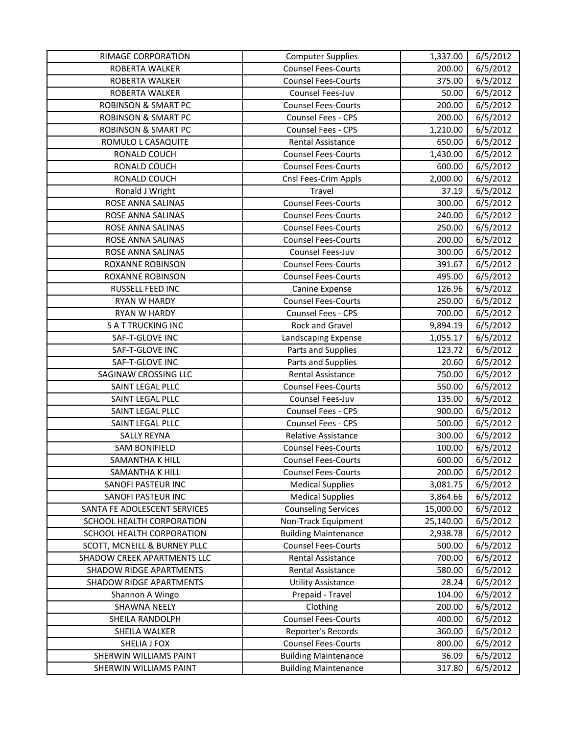| RIMAGE CORPORATION             | <b>Computer Supplies</b>    | 1,337.00  | 6/5/2012 |
|--------------------------------|-----------------------------|-----------|----------|
| ROBERTA WALKER                 | <b>Counsel Fees-Courts</b>  | 200.00    | 6/5/2012 |
| ROBERTA WALKER                 | <b>Counsel Fees-Courts</b>  | 375.00    | 6/5/2012 |
| ROBERTA WALKER                 | Counsel Fees-Juv            | 50.00     | 6/5/2012 |
| <b>ROBINSON &amp; SMART PC</b> | <b>Counsel Fees-Courts</b>  | 200.00    | 6/5/2012 |
| <b>ROBINSON &amp; SMART PC</b> | Counsel Fees - CPS          | 200.00    | 6/5/2012 |
| <b>ROBINSON &amp; SMART PC</b> | Counsel Fees - CPS          | 1,210.00  | 6/5/2012 |
| ROMULO L CASAQUITE             | <b>Rental Assistance</b>    | 650.00    | 6/5/2012 |
| RONALD COUCH                   | <b>Counsel Fees-Courts</b>  | 1,430.00  | 6/5/2012 |
| RONALD COUCH                   | <b>Counsel Fees-Courts</b>  | 600.00    | 6/5/2012 |
| RONALD COUCH                   | Cnsl Fees-Crim Appls        | 2,000.00  | 6/5/2012 |
| Ronald J Wright                | Travel                      | 37.19     | 6/5/2012 |
| ROSE ANNA SALINAS              | <b>Counsel Fees-Courts</b>  | 300.00    | 6/5/2012 |
| ROSE ANNA SALINAS              | <b>Counsel Fees-Courts</b>  | 240.00    | 6/5/2012 |
| ROSE ANNA SALINAS              | <b>Counsel Fees-Courts</b>  | 250.00    | 6/5/2012 |
| ROSE ANNA SALINAS              | <b>Counsel Fees-Courts</b>  | 200.00    | 6/5/2012 |
| ROSE ANNA SALINAS              | Counsel Fees-Juv            | 300.00    | 6/5/2012 |
| ROXANNE ROBINSON               | <b>Counsel Fees-Courts</b>  | 391.67    | 6/5/2012 |
| ROXANNE ROBINSON               | <b>Counsel Fees-Courts</b>  | 495.00    | 6/5/2012 |
| RUSSELL FEED INC               | Canine Expense              | 126.96    | 6/5/2012 |
| RYAN W HARDY                   | <b>Counsel Fees-Courts</b>  | 250.00    | 6/5/2012 |
| RYAN W HARDY                   | Counsel Fees - CPS          | 700.00    | 6/5/2012 |
| <b>SATTRUCKING INC</b>         | Rock and Gravel             | 9,894.19  | 6/5/2012 |
| SAF-T-GLOVE INC                | Landscaping Expense         | 1,055.17  | 6/5/2012 |
| SAF-T-GLOVE INC                | Parts and Supplies          | 123.72    | 6/5/2012 |
| SAF-T-GLOVE INC                | Parts and Supplies          | 20.60     | 6/5/2012 |
| SAGINAW CROSSING LLC           | Rental Assistance           | 750.00    | 6/5/2012 |
| SAINT LEGAL PLLC               | <b>Counsel Fees-Courts</b>  | 550.00    | 6/5/2012 |
| SAINT LEGAL PLLC               | Counsel Fees-Juv            | 135.00    | 6/5/2012 |
| SAINT LEGAL PLLC               | <b>Counsel Fees - CPS</b>   | 900.00    | 6/5/2012 |
| SAINT LEGAL PLLC               | Counsel Fees - CPS          | 500.00    | 6/5/2012 |
| <b>SALLY REYNA</b>             | Relative Assistance         | 300.00    | 6/5/2012 |
| <b>SAM BONIFIELD</b>           | <b>Counsel Fees-Courts</b>  | 100.00    | 6/5/2012 |
| SAMANTHA K HILL                | <b>Counsel Fees-Courts</b>  | 600.00    | 6/5/2012 |
| SAMANTHA K HILL                | <b>Counsel Fees-Courts</b>  | 200.00    | 6/5/2012 |
| SANOFI PASTEUR INC             | <b>Medical Supplies</b>     | 3,081.75  | 6/5/2012 |
| SANOFI PASTEUR INC             | <b>Medical Supplies</b>     | 3,864.66  | 6/5/2012 |
| SANTA FE ADOLESCENT SERVICES   | <b>Counseling Services</b>  | 15,000.00 | 6/5/2012 |
| SCHOOL HEALTH CORPORATION      | Non-Track Equipment         | 25,140.00 | 6/5/2012 |
| SCHOOL HEALTH CORPORATION      | <b>Building Maintenance</b> | 2,938.78  | 6/5/2012 |
| SCOTT, MCNEILL & BURNEY PLLC   | <b>Counsel Fees-Courts</b>  | 500.00    | 6/5/2012 |
| SHADOW CREEK APARTMENTS LLC    | <b>Rental Assistance</b>    | 700.00    | 6/5/2012 |
| <b>SHADOW RIDGE APARTMENTS</b> | Rental Assistance           | 580.00    | 6/5/2012 |
| <b>SHADOW RIDGE APARTMENTS</b> | <b>Utility Assistance</b>   | 28.24     | 6/5/2012 |
| Shannon A Wingo                | Prepaid - Travel            | 104.00    | 6/5/2012 |
| SHAWNA NEELY                   | Clothing                    | 200.00    | 6/5/2012 |
| SHEILA RANDOLPH                | <b>Counsel Fees-Courts</b>  | 400.00    | 6/5/2012 |
| SHEILA WALKER                  | Reporter's Records          | 360.00    | 6/5/2012 |
| SHELIA J FOX                   | <b>Counsel Fees-Courts</b>  | 800.00    | 6/5/2012 |
| SHERWIN WILLIAMS PAINT         | <b>Building Maintenance</b> | 36.09     | 6/5/2012 |
| SHERWIN WILLIAMS PAINT         | <b>Building Maintenance</b> | 317.80    | 6/5/2012 |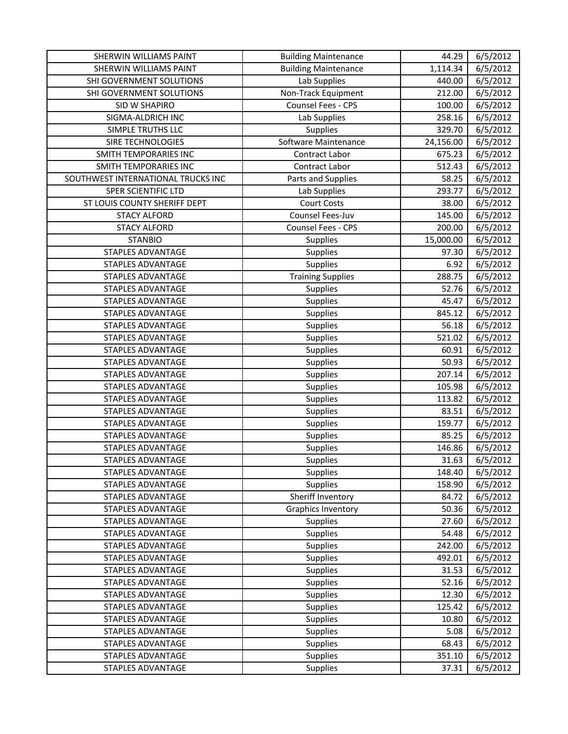| SHERWIN WILLIAMS PAINT             | <b>Building Maintenance</b> | 44.29     | 6/5/2012 |
|------------------------------------|-----------------------------|-----------|----------|
| SHERWIN WILLIAMS PAINT             | <b>Building Maintenance</b> | 1,114.34  | 6/5/2012 |
| SHI GOVERNMENT SOLUTIONS           | Lab Supplies                | 440.00    | 6/5/2012 |
| SHI GOVERNMENT SOLUTIONS           | Non-Track Equipment         | 212.00    | 6/5/2012 |
| SID W SHAPIRO                      | Counsel Fees - CPS          | 100.00    | 6/5/2012 |
| SIGMA-ALDRICH INC                  | Lab Supplies                | 258.16    | 6/5/2012 |
| SIMPLE TRUTHS LLC                  | Supplies                    | 329.70    | 6/5/2012 |
| SIRE TECHNOLOGIES                  | Software Maintenance        | 24,156.00 | 6/5/2012 |
| SMITH TEMPORARIES INC              | Contract Labor              | 675.23    | 6/5/2012 |
| SMITH TEMPORARIES INC              | Contract Labor              | 512.43    | 6/5/2012 |
| SOUTHWEST INTERNATIONAL TRUCKS INC | Parts and Supplies          | 58.25     | 6/5/2012 |
| SPER SCIENTIFIC LTD                | Lab Supplies                | 293.77    | 6/5/2012 |
| ST LOUIS COUNTY SHERIFF DEPT       | <b>Court Costs</b>          | 38.00     | 6/5/2012 |
| <b>STACY ALFORD</b>                | Counsel Fees-Juv            | 145.00    | 6/5/2012 |
| <b>STACY ALFORD</b>                | Counsel Fees - CPS          | 200.00    | 6/5/2012 |
| <b>STANBIO</b>                     | Supplies                    | 15,000.00 | 6/5/2012 |
| STAPLES ADVANTAGE                  | <b>Supplies</b>             | 97.30     | 6/5/2012 |
| <b>STAPLES ADVANTAGE</b>           | Supplies                    | 6.92      | 6/5/2012 |
| <b>STAPLES ADVANTAGE</b>           | <b>Training Supplies</b>    | 288.75    | 6/5/2012 |
| STAPLES ADVANTAGE                  | Supplies                    | 52.76     | 6/5/2012 |
| STAPLES ADVANTAGE                  | Supplies                    | 45.47     | 6/5/2012 |
| STAPLES ADVANTAGE                  | Supplies                    | 845.12    | 6/5/2012 |
| <b>STAPLES ADVANTAGE</b>           | Supplies                    | 56.18     | 6/5/2012 |
| <b>STAPLES ADVANTAGE</b>           | Supplies                    | 521.02    | 6/5/2012 |
| STAPLES ADVANTAGE                  | Supplies                    | 60.91     | 6/5/2012 |
| <b>STAPLES ADVANTAGE</b>           | Supplies                    | 50.93     | 6/5/2012 |
| <b>STAPLES ADVANTAGE</b>           | Supplies                    | 207.14    | 6/5/2012 |
| <b>STAPLES ADVANTAGE</b>           | Supplies                    | 105.98    | 6/5/2012 |
| <b>STAPLES ADVANTAGE</b>           | Supplies                    | 113.82    | 6/5/2012 |
| STAPLES ADVANTAGE                  | Supplies                    | 83.51     | 6/5/2012 |
| STAPLES ADVANTAGE                  | Supplies                    | 159.77    | 6/5/2012 |
| <b>STAPLES ADVANTAGE</b>           | Supplies                    | 85.25     | 6/5/2012 |
| <b>STAPLES ADVANTAGE</b>           | Supplies                    | 146.86    | 6/5/2012 |
| STAPLES ADVANTAGE                  | Supplies                    | 31.63     | 6/5/2012 |
| STAPLES ADVANTAGE                  | Supplies                    | 148.40    | 6/5/2012 |
| STAPLES ADVANTAGE                  | <b>Supplies</b>             | 158.90    | 6/5/2012 |
| <b>STAPLES ADVANTAGE</b>           | Sheriff Inventory           | 84.72     | 6/5/2012 |
| <b>STAPLES ADVANTAGE</b>           | <b>Graphics Inventory</b>   | 50.36     | 6/5/2012 |
| STAPLES ADVANTAGE                  | Supplies                    | 27.60     | 6/5/2012 |
| STAPLES ADVANTAGE                  | <b>Supplies</b>             | 54.48     | 6/5/2012 |
| STAPLES ADVANTAGE                  | Supplies                    | 242.00    | 6/5/2012 |
| <b>STAPLES ADVANTAGE</b>           | Supplies                    | 492.01    | 6/5/2012 |
| STAPLES ADVANTAGE                  | Supplies                    | 31.53     | 6/5/2012 |
| <b>STAPLES ADVANTAGE</b>           | <b>Supplies</b>             | 52.16     | 6/5/2012 |
| STAPLES ADVANTAGE                  | Supplies                    | 12.30     | 6/5/2012 |
| STAPLES ADVANTAGE                  | <b>Supplies</b>             | 125.42    | 6/5/2012 |
| STAPLES ADVANTAGE                  | Supplies                    | 10.80     | 6/5/2012 |
| <b>STAPLES ADVANTAGE</b>           | Supplies                    | 5.08      | 6/5/2012 |
| STAPLES ADVANTAGE                  | Supplies                    | 68.43     | 6/5/2012 |
| STAPLES ADVANTAGE                  | <b>Supplies</b>             | 351.10    | 6/5/2012 |
| STAPLES ADVANTAGE                  | Supplies                    | 37.31     | 6/5/2012 |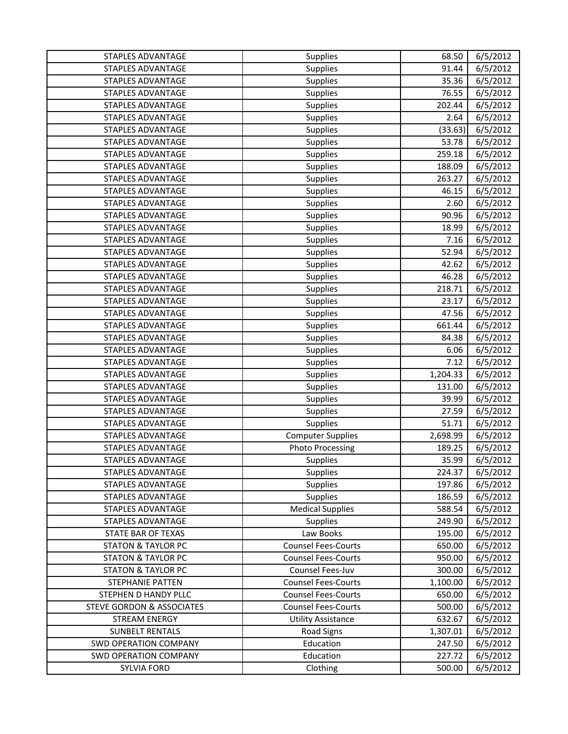| STAPLES ADVANTAGE                    | Supplies                   | 68.50    | 6/5/2012 |
|--------------------------------------|----------------------------|----------|----------|
| <b>STAPLES ADVANTAGE</b>             | Supplies                   | 91.44    | 6/5/2012 |
| <b>STAPLES ADVANTAGE</b>             | Supplies                   | 35.36    | 6/5/2012 |
| <b>STAPLES ADVANTAGE</b>             | Supplies                   | 76.55    | 6/5/2012 |
| <b>STAPLES ADVANTAGE</b>             | Supplies                   | 202.44   | 6/5/2012 |
| <b>STAPLES ADVANTAGE</b>             | <b>Supplies</b>            | 2.64     | 6/5/2012 |
| <b>STAPLES ADVANTAGE</b>             | Supplies                   | (33.63)  | 6/5/2012 |
| <b>STAPLES ADVANTAGE</b>             | <b>Supplies</b>            | 53.78    | 6/5/2012 |
| <b>STAPLES ADVANTAGE</b>             | Supplies                   | 259.18   | 6/5/2012 |
| <b>STAPLES ADVANTAGE</b>             | Supplies                   | 188.09   | 6/5/2012 |
| <b>STAPLES ADVANTAGE</b>             | Supplies                   | 263.27   | 6/5/2012 |
| <b>STAPLES ADVANTAGE</b>             | Supplies                   | 46.15    | 6/5/2012 |
| <b>STAPLES ADVANTAGE</b>             | Supplies                   | 2.60     | 6/5/2012 |
| <b>STAPLES ADVANTAGE</b>             | Supplies                   | 90.96    | 6/5/2012 |
| STAPLES ADVANTAGE                    | Supplies                   | 18.99    | 6/5/2012 |
| <b>STAPLES ADVANTAGE</b>             | Supplies                   | 7.16     | 6/5/2012 |
| STAPLES ADVANTAGE                    | Supplies                   | 52.94    | 6/5/2012 |
| <b>STAPLES ADVANTAGE</b>             | Supplies                   | 42.62    | 6/5/2012 |
| <b>STAPLES ADVANTAGE</b>             | Supplies                   | 46.28    | 6/5/2012 |
| <b>STAPLES ADVANTAGE</b>             | Supplies                   | 218.71   | 6/5/2012 |
| <b>STAPLES ADVANTAGE</b>             | Supplies                   | 23.17    | 6/5/2012 |
| <b>STAPLES ADVANTAGE</b>             | Supplies                   | 47.56    | 6/5/2012 |
| <b>STAPLES ADVANTAGE</b>             | Supplies                   | 661.44   | 6/5/2012 |
| <b>STAPLES ADVANTAGE</b>             | <b>Supplies</b>            | 84.38    | 6/5/2012 |
| <b>STAPLES ADVANTAGE</b>             | Supplies                   | 6.06     | 6/5/2012 |
| <b>STAPLES ADVANTAGE</b>             | Supplies                   | 7.12     | 6/5/2012 |
| <b>STAPLES ADVANTAGE</b>             | Supplies                   | 1,204.33 | 6/5/2012 |
| <b>STAPLES ADVANTAGE</b>             | Supplies                   | 131.00   | 6/5/2012 |
| <b>STAPLES ADVANTAGE</b>             | Supplies                   | 39.99    | 6/5/2012 |
| <b>STAPLES ADVANTAGE</b>             | Supplies                   | 27.59    | 6/5/2012 |
| <b>STAPLES ADVANTAGE</b>             | Supplies                   | 51.71    | 6/5/2012 |
| <b>STAPLES ADVANTAGE</b>             | <b>Computer Supplies</b>   | 2,698.99 | 6/5/2012 |
| <b>STAPLES ADVANTAGE</b>             | <b>Photo Processing</b>    | 189.25   | 6/5/2012 |
| STAPLES ADVANTAGE                    | Supplies                   | 35.99    | 6/5/2012 |
| STAPLES ADVANTAGE                    | Supplies                   | 224.37   | 6/5/2012 |
| STAPLES ADVANTAGE                    | <b>Supplies</b>            | 197.86   | 6/5/2012 |
| STAPLES ADVANTAGE                    | <b>Supplies</b>            | 186.59   | 6/5/2012 |
| <b>STAPLES ADVANTAGE</b>             | <b>Medical Supplies</b>    | 588.54   | 6/5/2012 |
| STAPLES ADVANTAGE                    | Supplies                   | 249.90   | 6/5/2012 |
| STATE BAR OF TEXAS                   | Law Books                  | 195.00   | 6/5/2012 |
| <b>STATON &amp; TAYLOR PC</b>        | <b>Counsel Fees-Courts</b> | 650.00   | 6/5/2012 |
| <b>STATON &amp; TAYLOR PC</b>        | <b>Counsel Fees-Courts</b> | 950.00   | 6/5/2012 |
| <b>STATON &amp; TAYLOR PC</b>        | Counsel Fees-Juv           | 300.00   | 6/5/2012 |
| STEPHANIE PATTEN                     | <b>Counsel Fees-Courts</b> | 1,100.00 | 6/5/2012 |
| STEPHEN D HANDY PLLC                 | <b>Counsel Fees-Courts</b> | 650.00   | 6/5/2012 |
| <b>STEVE GORDON &amp; ASSOCIATES</b> | <b>Counsel Fees-Courts</b> | 500.00   | 6/5/2012 |
| <b>STREAM ENERGY</b>                 | <b>Utility Assistance</b>  | 632.67   | 6/5/2012 |
| <b>SUNBELT RENTALS</b>               | <b>Road Signs</b>          | 1,307.01 | 6/5/2012 |
| <b>SWD OPERATION COMPANY</b>         | Education                  | 247.50   | 6/5/2012 |
| <b>SWD OPERATION COMPANY</b>         | Education                  | 227.72   | 6/5/2012 |
| <b>SYLVIA FORD</b>                   | Clothing                   | 500.00   | 6/5/2012 |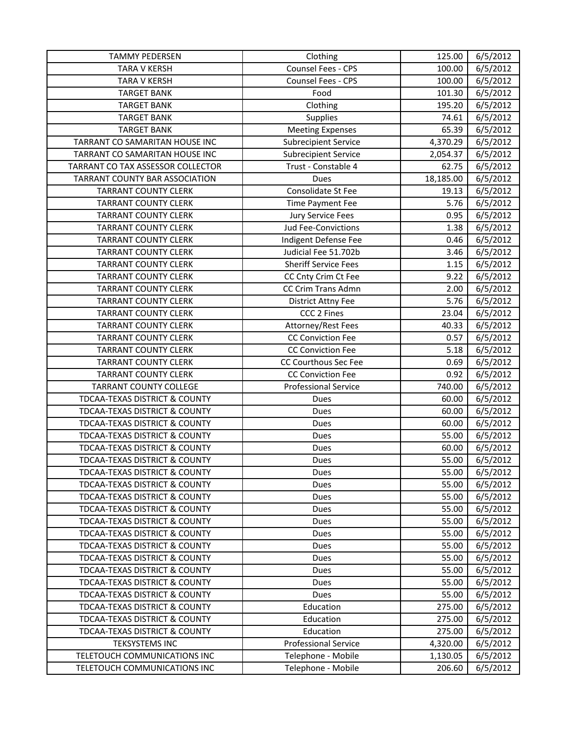| <b>TAMMY PEDERSEN</b>                    | Clothing                    | 125.00    | 6/5/2012 |
|------------------------------------------|-----------------------------|-----------|----------|
| <b>TARA V KERSH</b>                      | Counsel Fees - CPS          | 100.00    | 6/5/2012 |
| <b>TARA V KERSH</b>                      | Counsel Fees - CPS          | 100.00    | 6/5/2012 |
| <b>TARGET BANK</b>                       | Food                        | 101.30    | 6/5/2012 |
| <b>TARGET BANK</b>                       | Clothing                    | 195.20    | 6/5/2012 |
| <b>TARGET BANK</b>                       | <b>Supplies</b>             | 74.61     | 6/5/2012 |
| <b>TARGET BANK</b>                       | <b>Meeting Expenses</b>     | 65.39     | 6/5/2012 |
| TARRANT CO SAMARITAN HOUSE INC           | <b>Subrecipient Service</b> | 4,370.29  | 6/5/2012 |
| TARRANT CO SAMARITAN HOUSE INC           | <b>Subrecipient Service</b> | 2,054.37  | 6/5/2012 |
| TARRANT CO TAX ASSESSOR COLLECTOR        | Trust - Constable 4         | 62.75     | 6/5/2012 |
| <b>TARRANT COUNTY BAR ASSOCIATION</b>    | Dues                        | 18,185.00 | 6/5/2012 |
| <b>TARRANT COUNTY CLERK</b>              | Consolidate St Fee          | 19.13     | 6/5/2012 |
| <b>TARRANT COUNTY CLERK</b>              | Time Payment Fee            | 5.76      | 6/5/2012 |
| <b>TARRANT COUNTY CLERK</b>              | Jury Service Fees           | 0.95      | 6/5/2012 |
| <b>TARRANT COUNTY CLERK</b>              | <b>Jud Fee-Convictions</b>  | 1.38      | 6/5/2012 |
| <b>TARRANT COUNTY CLERK</b>              | Indigent Defense Fee        | 0.46      | 6/5/2012 |
| <b>TARRANT COUNTY CLERK</b>              | Judicial Fee 51.702b        | 3.46      | 6/5/2012 |
| <b>TARRANT COUNTY CLERK</b>              | <b>Sheriff Service Fees</b> | 1.15      | 6/5/2012 |
| <b>TARRANT COUNTY CLERK</b>              | CC Cnty Crim Ct Fee         | 9.22      | 6/5/2012 |
| <b>TARRANT COUNTY CLERK</b>              | CC Crim Trans Admn          | 2.00      | 6/5/2012 |
| <b>TARRANT COUNTY CLERK</b>              | District Attny Fee          | 5.76      | 6/5/2012 |
| <b>TARRANT COUNTY CLERK</b>              | CCC 2 Fines                 | 23.04     | 6/5/2012 |
| <b>TARRANT COUNTY CLERK</b>              | Attorney/Rest Fees          | 40.33     | 6/5/2012 |
| <b>TARRANT COUNTY CLERK</b>              | CC Conviction Fee           | 0.57      | 6/5/2012 |
| <b>TARRANT COUNTY CLERK</b>              | <b>CC Conviction Fee</b>    | 5.18      | 6/5/2012 |
| <b>TARRANT COUNTY CLERK</b>              | CC Courthous Sec Fee        | 0.69      | 6/5/2012 |
| <b>TARRANT COUNTY CLERK</b>              | <b>CC Conviction Fee</b>    | 0.92      | 6/5/2012 |
| <b>TARRANT COUNTY COLLEGE</b>            | <b>Professional Service</b> | 740.00    | 6/5/2012 |
| TDCAA-TEXAS DISTRICT & COUNTY            | Dues                        | 60.00     | 6/5/2012 |
| TDCAA-TEXAS DISTRICT & COUNTY            | Dues                        | 60.00     | 6/5/2012 |
| TDCAA-TEXAS DISTRICT & COUNTY            | Dues                        | 60.00     | 6/5/2012 |
| TDCAA-TEXAS DISTRICT & COUNTY            | Dues                        | 55.00     | 6/5/2012 |
| TDCAA-TEXAS DISTRICT & COUNTY            | Dues                        | 60.00     | 6/5/2012 |
| TDCAA-TEXAS DISTRICT & COUNTY            | Dues                        | 55.00     | 6/5/2012 |
| <b>TDCAA-TEXAS DISTRICT &amp; COUNTY</b> | Dues                        | 55.00     | 6/5/2012 |
| TDCAA-TEXAS DISTRICT & COUNTY            | Dues                        | 55.00     | 6/5/2012 |
| TDCAA-TEXAS DISTRICT & COUNTY            | Dues                        | 55.00     | 6/5/2012 |
| TDCAA-TEXAS DISTRICT & COUNTY            | Dues                        | 55.00     | 6/5/2012 |
| TDCAA-TEXAS DISTRICT & COUNTY            | Dues                        | 55.00     | 6/5/2012 |
| <b>TDCAA-TEXAS DISTRICT &amp; COUNTY</b> | Dues                        | 55.00     | 6/5/2012 |
| TDCAA-TEXAS DISTRICT & COUNTY            | Dues                        | 55.00     | 6/5/2012 |
| TDCAA-TEXAS DISTRICT & COUNTY            | Dues                        | 55.00     | 6/5/2012 |
| TDCAA-TEXAS DISTRICT & COUNTY            | Dues                        | 55.00     | 6/5/2012 |
| TDCAA-TEXAS DISTRICT & COUNTY            | Dues                        | 55.00     | 6/5/2012 |
| TDCAA-TEXAS DISTRICT & COUNTY            | Dues                        | 55.00     | 6/5/2012 |
| TDCAA-TEXAS DISTRICT & COUNTY            | Education                   | 275.00    | 6/5/2012 |
| TDCAA-TEXAS DISTRICT & COUNTY            | Education                   | 275.00    | 6/5/2012 |
| TDCAA-TEXAS DISTRICT & COUNTY            | Education                   | 275.00    | 6/5/2012 |
| <b>TEKSYSTEMS INC</b>                    | <b>Professional Service</b> | 4,320.00  | 6/5/2012 |
| TELETOUCH COMMUNICATIONS INC             | Telephone - Mobile          | 1,130.05  | 6/5/2012 |
| TELETOUCH COMMUNICATIONS INC             | Telephone - Mobile          | 206.60    | 6/5/2012 |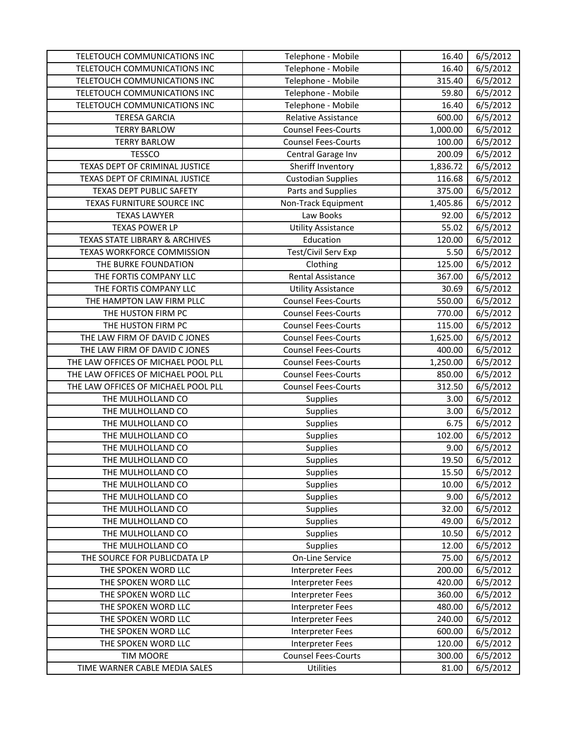| TELETOUCH COMMUNICATIONS INC        | Telephone - Mobile         | 16.40    | 6/5/2012 |
|-------------------------------------|----------------------------|----------|----------|
| TELETOUCH COMMUNICATIONS INC        | Telephone - Mobile         | 16.40    | 6/5/2012 |
| TELETOUCH COMMUNICATIONS INC        | Telephone - Mobile         | 315.40   | 6/5/2012 |
| TELETOUCH COMMUNICATIONS INC        | Telephone - Mobile         | 59.80    | 6/5/2012 |
| TELETOUCH COMMUNICATIONS INC        | Telephone - Mobile         | 16.40    | 6/5/2012 |
| <b>TERESA GARCIA</b>                | <b>Relative Assistance</b> | 600.00   | 6/5/2012 |
| <b>TERRY BARLOW</b>                 | <b>Counsel Fees-Courts</b> | 1,000.00 | 6/5/2012 |
| <b>TERRY BARLOW</b>                 | <b>Counsel Fees-Courts</b> | 100.00   | 6/5/2012 |
| <b>TESSCO</b>                       | Central Garage Inv         | 200.09   | 6/5/2012 |
| TEXAS DEPT OF CRIMINAL JUSTICE      | Sheriff Inventory          | 1,836.72 | 6/5/2012 |
| TEXAS DEPT OF CRIMINAL JUSTICE      | <b>Custodian Supplies</b>  | 116.68   | 6/5/2012 |
| <b>TEXAS DEPT PUBLIC SAFETY</b>     | Parts and Supplies         | 375.00   | 6/5/2012 |
| TEXAS FURNITURE SOURCE INC          | Non-Track Equipment        | 1,405.86 | 6/5/2012 |
| <b>TEXAS LAWYER</b>                 | Law Books                  | 92.00    | 6/5/2012 |
| <b>TEXAS POWER LP</b>               | <b>Utility Assistance</b>  | 55.02    | 6/5/2012 |
| TEXAS STATE LIBRARY & ARCHIVES      | Education                  | 120.00   | 6/5/2012 |
| TEXAS WORKFORCE COMMISSION          | Test/Civil Serv Exp        | 5.50     | 6/5/2012 |
| THE BURKE FOUNDATION                | Clothing                   | 125.00   | 6/5/2012 |
| THE FORTIS COMPANY LLC              | Rental Assistance          | 367.00   | 6/5/2012 |
| THE FORTIS COMPANY LLC              | <b>Utility Assistance</b>  | 30.69    | 6/5/2012 |
| THE HAMPTON LAW FIRM PLLC           | <b>Counsel Fees-Courts</b> | 550.00   | 6/5/2012 |
| THE HUSTON FIRM PC                  | <b>Counsel Fees-Courts</b> | 770.00   | 6/5/2012 |
| THE HUSTON FIRM PC                  | <b>Counsel Fees-Courts</b> | 115.00   | 6/5/2012 |
| THE LAW FIRM OF DAVID C JONES       | <b>Counsel Fees-Courts</b> | 1,625.00 | 6/5/2012 |
| THE LAW FIRM OF DAVID C JONES       | <b>Counsel Fees-Courts</b> | 400.00   | 6/5/2012 |
| THE LAW OFFICES OF MICHAEL POOL PLL | <b>Counsel Fees-Courts</b> | 1,250.00 | 6/5/2012 |
| THE LAW OFFICES OF MICHAEL POOL PLL | <b>Counsel Fees-Courts</b> | 850.00   | 6/5/2012 |
| THE LAW OFFICES OF MICHAEL POOL PLL | <b>Counsel Fees-Courts</b> | 312.50   | 6/5/2012 |
| THE MULHOLLAND CO                   | Supplies                   | 3.00     | 6/5/2012 |
| THE MULHOLLAND CO                   | Supplies                   | 3.00     | 6/5/2012 |
| THE MULHOLLAND CO                   | <b>Supplies</b>            | 6.75     | 6/5/2012 |
| THE MULHOLLAND CO                   | Supplies                   | 102.00   | 6/5/2012 |
| THE MULHOLLAND CO                   | Supplies                   | 9.00     | 6/5/2012 |
| THE MULHOLLAND CO                   | <b>Supplies</b>            | 19.50    | 6/5/2012 |
| THE MULHOLLAND CO                   | <b>Supplies</b>            | 15.50    | 6/5/2012 |
| THE MULHOLLAND CO                   | <b>Supplies</b>            | 10.00    | 6/5/2012 |
| THE MULHOLLAND CO                   | <b>Supplies</b>            | 9.00     | 6/5/2012 |
| THE MULHOLLAND CO                   | <b>Supplies</b>            | 32.00    | 6/5/2012 |
| THE MULHOLLAND CO                   | Supplies                   | 49.00    | 6/5/2012 |
| THE MULHOLLAND CO                   | <b>Supplies</b>            | 10.50    | 6/5/2012 |
| THE MULHOLLAND CO                   | <b>Supplies</b>            | 12.00    | 6/5/2012 |
| THE SOURCE FOR PUBLICDATA LP        | On-Line Service            | 75.00    | 6/5/2012 |
| THE SPOKEN WORD LLC                 | <b>Interpreter Fees</b>    | 200.00   | 6/5/2012 |
| THE SPOKEN WORD LLC                 | <b>Interpreter Fees</b>    | 420.00   | 6/5/2012 |
| THE SPOKEN WORD LLC                 | <b>Interpreter Fees</b>    | 360.00   | 6/5/2012 |
| THE SPOKEN WORD LLC                 | Interpreter Fees           | 480.00   | 6/5/2012 |
| THE SPOKEN WORD LLC                 | <b>Interpreter Fees</b>    | 240.00   | 6/5/2012 |
| THE SPOKEN WORD LLC                 | <b>Interpreter Fees</b>    | 600.00   | 6/5/2012 |
| THE SPOKEN WORD LLC                 | Interpreter Fees           | 120.00   | 6/5/2012 |
| <b>TIM MOORE</b>                    | <b>Counsel Fees-Courts</b> | 300.00   | 6/5/2012 |
| TIME WARNER CABLE MEDIA SALES       | Utilities                  | 81.00    | 6/5/2012 |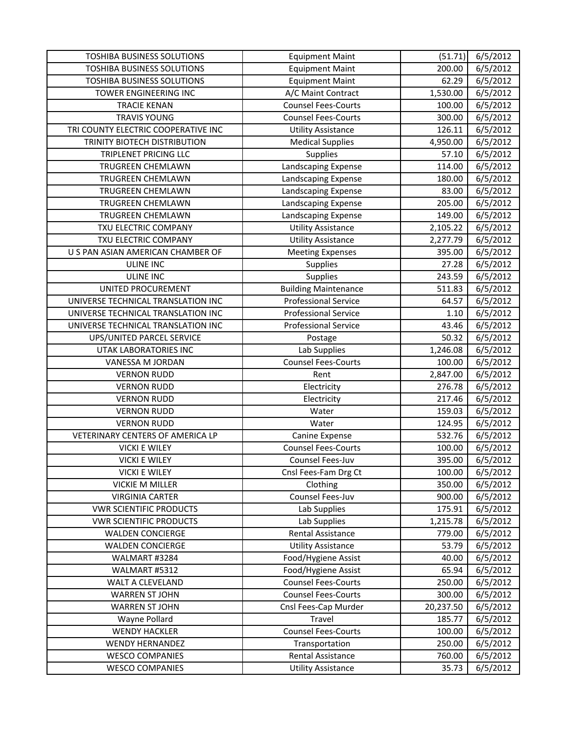| TOSHIBA BUSINESS SOLUTIONS          | <b>Equipment Maint</b>      | (51.71)   | 6/5/2012 |
|-------------------------------------|-----------------------------|-----------|----------|
| <b>TOSHIBA BUSINESS SOLUTIONS</b>   | <b>Equipment Maint</b>      | 200.00    | 6/5/2012 |
| TOSHIBA BUSINESS SOLUTIONS          | <b>Equipment Maint</b>      | 62.29     | 6/5/2012 |
| TOWER ENGINEERING INC               | A/C Maint Contract          | 1,530.00  | 6/5/2012 |
| <b>TRACIE KENAN</b>                 | <b>Counsel Fees-Courts</b>  | 100.00    | 6/5/2012 |
| <b>TRAVIS YOUNG</b>                 | <b>Counsel Fees-Courts</b>  | 300.00    | 6/5/2012 |
| TRI COUNTY ELECTRIC COOPERATIVE INC | <b>Utility Assistance</b>   | 126.11    | 6/5/2012 |
| TRINITY BIOTECH DISTRIBUTION        | <b>Medical Supplies</b>     | 4,950.00  | 6/5/2012 |
| TRIPLENET PRICING LLC               | <b>Supplies</b>             | 57.10     | 6/5/2012 |
| TRUGREEN CHEMLAWN                   | Landscaping Expense         | 114.00    | 6/5/2012 |
| TRUGREEN CHEMLAWN                   | Landscaping Expense         | 180.00    | 6/5/2012 |
| TRUGREEN CHEMLAWN                   | Landscaping Expense         | 83.00     | 6/5/2012 |
| TRUGREEN CHEMLAWN                   | Landscaping Expense         | 205.00    | 6/5/2012 |
| TRUGREEN CHEMLAWN                   | Landscaping Expense         | 149.00    | 6/5/2012 |
| TXU ELECTRIC COMPANY                | <b>Utility Assistance</b>   | 2,105.22  | 6/5/2012 |
| TXU ELECTRIC COMPANY                | <b>Utility Assistance</b>   | 2,277.79  | 6/5/2012 |
| U S PAN ASIAN AMERICAN CHAMBER OF   | <b>Meeting Expenses</b>     | 395.00    | 6/5/2012 |
| <b>ULINE INC</b>                    | Supplies                    | 27.28     | 6/5/2012 |
| <b>ULINE INC</b>                    | Supplies                    | 243.59    | 6/5/2012 |
| UNITED PROCUREMENT                  | <b>Building Maintenance</b> | 511.83    | 6/5/2012 |
| UNIVERSE TECHNICAL TRANSLATION INC  | <b>Professional Service</b> | 64.57     | 6/5/2012 |
| UNIVERSE TECHNICAL TRANSLATION INC  | <b>Professional Service</b> | 1.10      | 6/5/2012 |
| UNIVERSE TECHNICAL TRANSLATION INC  | <b>Professional Service</b> | 43.46     | 6/5/2012 |
| UPS/UNITED PARCEL SERVICE           | Postage                     | 50.32     | 6/5/2012 |
| UTAK LABORATORIES INC               | Lab Supplies                | 1,246.08  | 6/5/2012 |
| VANESSA M JORDAN                    | <b>Counsel Fees-Courts</b>  | 100.00    | 6/5/2012 |
| <b>VERNON RUDD</b>                  | Rent                        | 2,847.00  | 6/5/2012 |
| <b>VERNON RUDD</b>                  | Electricity                 | 276.78    | 6/5/2012 |
| <b>VERNON RUDD</b>                  | Electricity                 | 217.46    | 6/5/2012 |
| <b>VERNON RUDD</b>                  | Water                       | 159.03    | 6/5/2012 |
| <b>VERNON RUDD</b>                  | Water                       | 124.95    | 6/5/2012 |
| VETERINARY CENTERS OF AMERICA LP    | Canine Expense              | 532.76    | 6/5/2012 |
| <b>VICKI E WILEY</b>                | <b>Counsel Fees-Courts</b>  | 100.00    | 6/5/2012 |
| <b>VICKI E WILEY</b>                | Counsel Fees-Juv            | 395.00    | 6/5/2012 |
| <b>VICKI E WILEY</b>                | Cnsl Fees-Fam Drg Ct        | 100.00    | 6/5/2012 |
| <b>VICKIE M MILLER</b>              | Clothing                    | 350.00    | 6/5/2012 |
| <b>VIRGINIA CARTER</b>              | Counsel Fees-Juv            | 900.00    | 6/5/2012 |
| <b>VWR SCIENTIFIC PRODUCTS</b>      | Lab Supplies                | 175.91    | 6/5/2012 |
| <b>VWR SCIENTIFIC PRODUCTS</b>      | Lab Supplies                | 1,215.78  | 6/5/2012 |
| <b>WALDEN CONCIERGE</b>             | Rental Assistance           | 779.00    | 6/5/2012 |
| <b>WALDEN CONCIERGE</b>             | <b>Utility Assistance</b>   | 53.79     | 6/5/2012 |
| WALMART #3284                       | Food/Hygiene Assist         | 40.00     | 6/5/2012 |
| WALMART #5312                       | Food/Hygiene Assist         | 65.94     | 6/5/2012 |
| WALT A CLEVELAND                    | <b>Counsel Fees-Courts</b>  | 250.00    | 6/5/2012 |
| <b>WARREN ST JOHN</b>               | <b>Counsel Fees-Courts</b>  | 300.00    | 6/5/2012 |
| <b>WARREN ST JOHN</b>               | Cnsl Fees-Cap Murder        | 20,237.50 | 6/5/2012 |
| Wayne Pollard                       | Travel                      | 185.77    | 6/5/2012 |
| <b>WENDY HACKLER</b>                | <b>Counsel Fees-Courts</b>  | 100.00    | 6/5/2012 |
| <b>WENDY HERNANDEZ</b>              | Transportation              | 250.00    | 6/5/2012 |
| <b>WESCO COMPANIES</b>              | <b>Rental Assistance</b>    | 760.00    | 6/5/2012 |
| <b>WESCO COMPANIES</b>              | <b>Utility Assistance</b>   | 35.73     | 6/5/2012 |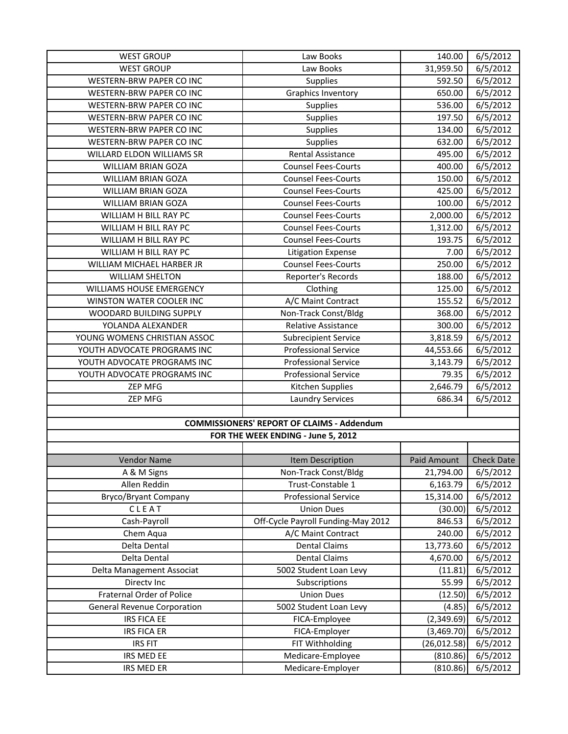| <b>WEST GROUP</b>                               | Law Books                                         | 140.00               | 6/5/2012             |
|-------------------------------------------------|---------------------------------------------------|----------------------|----------------------|
| <b>WEST GROUP</b>                               | Law Books                                         | 31,959.50            | 6/5/2012             |
| WESTERN-BRW PAPER CO INC                        | Supplies                                          | 592.50               | 6/5/2012             |
| WESTERN-BRW PAPER CO INC                        | <b>Graphics Inventory</b>                         | 650.00               | 6/5/2012             |
| WESTERN-BRW PAPER CO INC                        | Supplies                                          | 536.00               | 6/5/2012             |
| <b>WESTERN-BRW PAPER CO INC</b>                 | Supplies                                          | 197.50               | 6/5/2012             |
| WESTERN-BRW PAPER CO INC                        | Supplies                                          | 134.00               | 6/5/2012             |
| WESTERN-BRW PAPER CO INC                        | <b>Supplies</b>                                   | 632.00               | 6/5/2012             |
| WILLARD ELDON WILLIAMS SR                       | <b>Rental Assistance</b>                          | 495.00               | 6/5/2012             |
| <b>WILLIAM BRIAN GOZA</b>                       | <b>Counsel Fees-Courts</b>                        | 400.00               | 6/5/2012             |
| <b>WILLIAM BRIAN GOZA</b>                       | <b>Counsel Fees-Courts</b>                        | 150.00               | 6/5/2012             |
| <b>WILLIAM BRIAN GOZA</b>                       | <b>Counsel Fees-Courts</b>                        | 425.00               | 6/5/2012             |
| WILLIAM BRIAN GOZA                              | <b>Counsel Fees-Courts</b>                        | 100.00               | 6/5/2012             |
| WILLIAM H BILL RAY PC                           | <b>Counsel Fees-Courts</b>                        | 2,000.00             | 6/5/2012             |
| WILLIAM H BILL RAY PC                           | <b>Counsel Fees-Courts</b>                        | 1,312.00             | 6/5/2012             |
| WILLIAM H BILL RAY PC                           | <b>Counsel Fees-Courts</b>                        | 193.75               | 6/5/2012             |
| WILLIAM H BILL RAY PC                           | <b>Litigation Expense</b>                         | 7.00                 | 6/5/2012             |
| WILLIAM MICHAEL HARBER JR                       | <b>Counsel Fees-Courts</b>                        | 250.00               | 6/5/2012             |
| <b>WILLIAM SHELTON</b>                          | Reporter's Records                                | 188.00               | 6/5/2012             |
| WILLIAMS HOUSE EMERGENCY                        | Clothing                                          | 125.00               | 6/5/2012             |
| WINSTON WATER COOLER INC                        | A/C Maint Contract                                | 155.52               | 6/5/2012             |
| WOODARD BUILDING SUPPLY                         | Non-Track Const/Bldg                              | 368.00               | 6/5/2012             |
| YOLANDA ALEXANDER                               | Relative Assistance                               | 300.00               | 6/5/2012             |
| YOUNG WOMENS CHRISTIAN ASSOC                    | <b>Subrecipient Service</b>                       | 3,818.59             | 6/5/2012             |
| YOUTH ADVOCATE PROGRAMS INC                     | <b>Professional Service</b>                       | 44,553.66            | 6/5/2012             |
| YOUTH ADVOCATE PROGRAMS INC                     | <b>Professional Service</b>                       | 3,143.79             | 6/5/2012             |
| YOUTH ADVOCATE PROGRAMS INC                     | <b>Professional Service</b>                       | 79.35                | 6/5/2012             |
| <b>ZEP MFG</b>                                  | Kitchen Supplies                                  | 2,646.79             | 6/5/2012             |
| <b>ZEP MFG</b>                                  | <b>Laundry Services</b>                           | 686.34               | 6/5/2012             |
|                                                 |                                                   |                      |                      |
|                                                 | <b>COMMISSIONERS' REPORT OF CLAIMS - Addendum</b> |                      |                      |
|                                                 | FOR THE WEEK ENDING - June 5, 2012                |                      |                      |
|                                                 |                                                   |                      |                      |
| <b>Vendor Name</b>                              | Item Description                                  | Paid Amount          | <b>Check Date</b>    |
| A & M Signs                                     | Non-Track Const/Bldg                              | 21,794.00            | 6/5/2012             |
| Allen Reddin                                    | Trust-Constable 1                                 | 6,163.79             | 6/5/2012             |
| Bryco/Bryant Company                            | <b>Professional Service</b>                       | 15,314.00            | 6/5/2012             |
| CLEAT                                           | <b>Union Dues</b>                                 | (30.00)              | 6/5/2012             |
| Cash-Payroll                                    | Off-Cycle Payroll Funding-May 2012                | 846.53               | 6/5/2012             |
| Chem Aqua                                       | A/C Maint Contract                                | 240.00               | 6/5/2012             |
| Delta Dental                                    | <b>Dental Claims</b>                              | 13,773.60            | 6/5/2012             |
| Delta Dental                                    | <b>Dental Claims</b>                              | 4,670.00             | 6/5/2012             |
| Delta Management Associat                       | 5002 Student Loan Levy                            | (11.81)              | 6/5/2012             |
| Directv Inc<br><b>Fraternal Order of Police</b> | Subscriptions<br><b>Union Dues</b>                | 55.99                | 6/5/2012             |
|                                                 |                                                   | (12.50)              | 6/5/2012             |
|                                                 |                                                   |                      |                      |
| <b>General Revenue Corporation</b>              | 5002 Student Loan Levy                            | (4.85)               | 6/5/2012             |
| IRS FICA EE                                     | FICA-Employee                                     | (2,349.69)           | 6/5/2012             |
| <b>IRS FICA ER</b>                              | FICA-Employer                                     | (3,469.70)           | 6/5/2012             |
| <b>IRS FIT</b>                                  | FIT Withholding                                   | (26, 012.58)         | 6/5/2012             |
| IRS MED EE<br>IRS MED ER                        | Medicare-Employee<br>Medicare-Employer            | (810.86)<br>(810.86) | 6/5/2012<br>6/5/2012 |